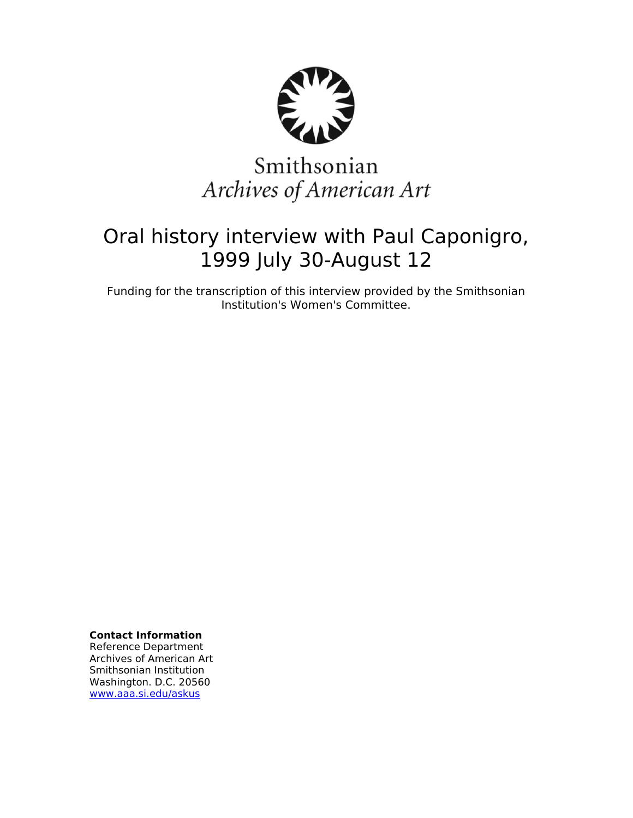

# Smithsonian Archives of American Art

# Oral history interview with Paul Caponigro, 1999 July 30-August 12

Funding for the transcription of this interview provided by the Smithsonian Institution's Women's Committee.

**Contact Information**

Reference Department Archives of American Art Smithsonian Institution Washington. D.C. 20560 [www.aaa.si.edu/askus](http://www.aaa.si.edu/askus)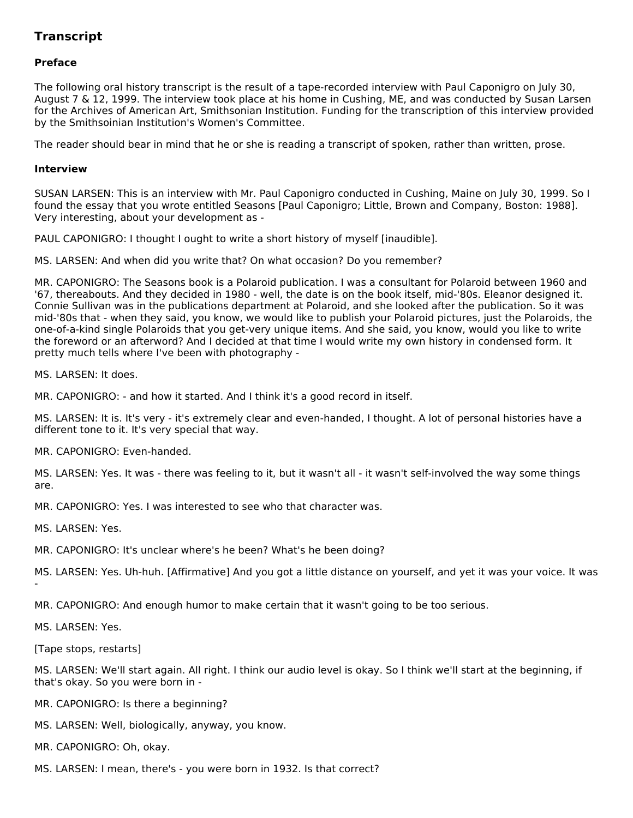# **Transcript**

# **Preface**

The following oral history transcript is the result of a tape-recorded interview with Paul Caponigro on July 30, August 7 & 12, 1999. The interview took place at his home in Cushing, ME, and was conducted by Susan Larsen for the Archives of American Art, Smithsonian Institution. Funding for the transcription of this interview provided by the Smithsoinian Institution's Women's Committee.

The reader should bear in mind that he or she is reading a transcript of spoken, rather than written, prose.

#### **Interview**

SUSAN LARSEN: This is an interview with Mr. Paul Caponigro conducted in Cushing, Maine on July 30, 1999. So I found the essay that you wrote entitled Seasons [Paul Caponigro; Little, Brown and Company, Boston: 1988]. Very interesting, about your development as -

PAUL CAPONIGRO: I thought I ought to write a short history of myself [inaudible].

MS. LARSEN: And when did you write that? On what occasion? Do you remember?

MR. CAPONIGRO: The Seasons book is a Polaroid publication. I was a consultant for Polaroid between 1960 and '67, thereabouts. And they decided in 1980 - well, the date is on the book itself, mid-'80s. Eleanor designed it. Connie Sullivan was in the publications department at Polaroid, and she looked after the publication. So it was mid-'80s that - when they said, you know, we would like to publish your Polaroid pictures, just the Polaroids, the one-of-a-kind single Polaroids that you get-very unique items. And she said, you know, would you like to write the foreword or an afterword? And I decided at that time I would write my own history in condensed form. It pretty much tells where I've been with photography -

MS. LARSEN: It does.

MR. CAPONIGRO: - and how it started. And I think it's a good record in itself.

MS. LARSEN: It is. It's very - it's extremely clear and even-handed, I thought. A lot of personal histories have a different tone to it. It's very special that way.

MR. CAPONIGRO: Even-handed.

MS. LARSEN: Yes. It was - there was feeling to it, but it wasn't all - it wasn't self-involved the way some things are.

MR. CAPONIGRO: Yes. I was interested to see who that character was.

MS. LARSEN: Yes.

MR. CAPONIGRO: It's unclear where's he been? What's he been doing?

MS. LARSEN: Yes. Uh-huh. [Affirmative] And you got a little distance on yourself, and yet it was your voice. It was -

MR. CAPONIGRO: And enough humor to make certain that it wasn't going to be too serious.

MS. LARSEN: Yes.

[Tape stops, restarts]

MS. LARSEN: We'll start again. All right. I think our audio level is okay. So I think we'll start at the beginning, if that's okay. So you were born in -

MR. CAPONIGRO: Is there a beginning?

MS. LARSEN: Well, biologically, anyway, you know.

MR. CAPONIGRO: Oh, okay.

MS. LARSEN: I mean, there's - you were born in 1932. Is that correct?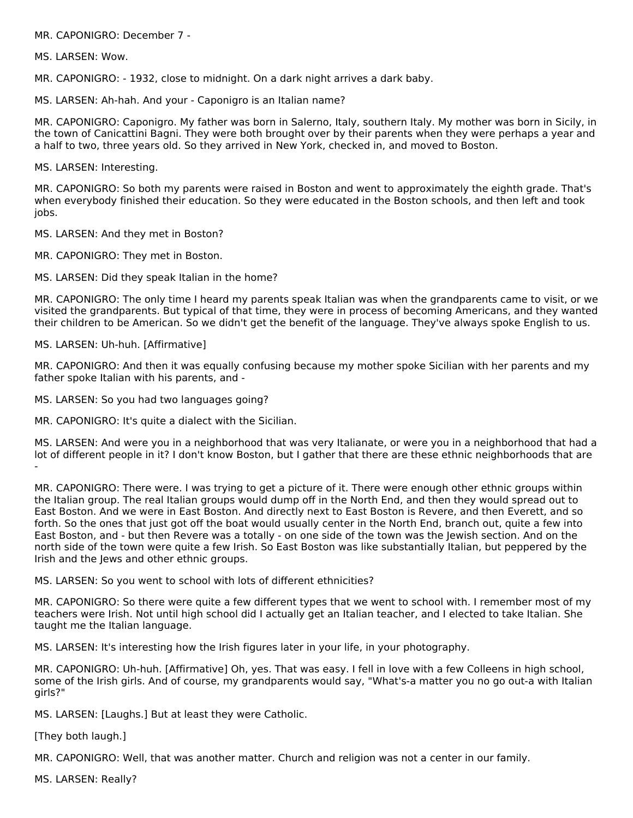MR. CAPONIGRO: December 7 -

MS. LARSEN: Wow.

MR. CAPONIGRO: - 1932, close to midnight. On a dark night arrives a dark baby.

MS. LARSEN: Ah-hah. And your - Caponigro is an Italian name?

MR. CAPONIGRO: Caponigro. My father was born in Salerno, Italy, southern Italy. My mother was born in Sicily, in the town of Canicattini Bagni. They were both brought over by their parents when they were perhaps a year and a half to two, three years old. So they arrived in New York, checked in, and moved to Boston.

MS. LARSEN: Interesting.

MR. CAPONIGRO: So both my parents were raised in Boston and went to approximately the eighth grade. That's when everybody finished their education. So they were educated in the Boston schools, and then left and took jobs.

MS. LARSEN: And they met in Boston?

MR. CAPONIGRO: They met in Boston.

MS. LARSEN: Did they speak Italian in the home?

MR. CAPONIGRO: The only time I heard my parents speak Italian was when the grandparents came to visit, or we visited the grandparents. But typical of that time, they were in process of becoming Americans, and they wanted their children to be American. So we didn't get the benefit of the language. They've always spoke English to us.

MS. LARSEN: Uh-huh. [Affirmative]

MR. CAPONIGRO: And then it was equally confusing because my mother spoke Sicilian with her parents and my father spoke Italian with his parents, and -

MS. LARSEN: So you had two languages going?

MR. CAPONIGRO: It's quite a dialect with the Sicilian.

MS. LARSEN: And were you in a neighborhood that was very Italianate, or were you in a neighborhood that had a lot of different people in it? I don't know Boston, but I gather that there are these ethnic neighborhoods that are -

MR. CAPONIGRO: There were. I was trying to get a picture of it. There were enough other ethnic groups within the Italian group. The real Italian groups would dump off in the North End, and then they would spread out to East Boston. And we were in East Boston. And directly next to East Boston is Revere, and then Everett, and so forth. So the ones that just got off the boat would usually center in the North End, branch out, quite a few into East Boston, and - but then Revere was a totally - on one side of the town was the Jewish section. And on the north side of the town were quite a few Irish. So East Boston was like substantially Italian, but peppered by the Irish and the Jews and other ethnic groups.

MS. LARSEN: So you went to school with lots of different ethnicities?

MR. CAPONIGRO: So there were quite a few different types that we went to school with. I remember most of my teachers were Irish. Not until high school did I actually get an Italian teacher, and I elected to take Italian. She taught me the Italian language.

MS. LARSEN: It's interesting how the Irish figures later in your life, in your photography.

MR. CAPONIGRO: Uh-huh. [Affirmative] Oh, yes. That was easy. I fell in love with a few Colleens in high school, some of the Irish girls. And of course, my grandparents would say, "What's-a matter you no go out-a with Italian girls?"

MS. LARSEN: [Laughs.] But at least they were Catholic.

[They both laugh.]

MR. CAPONIGRO: Well, that was another matter. Church and religion was not a center in our family.

MS. LARSEN: Really?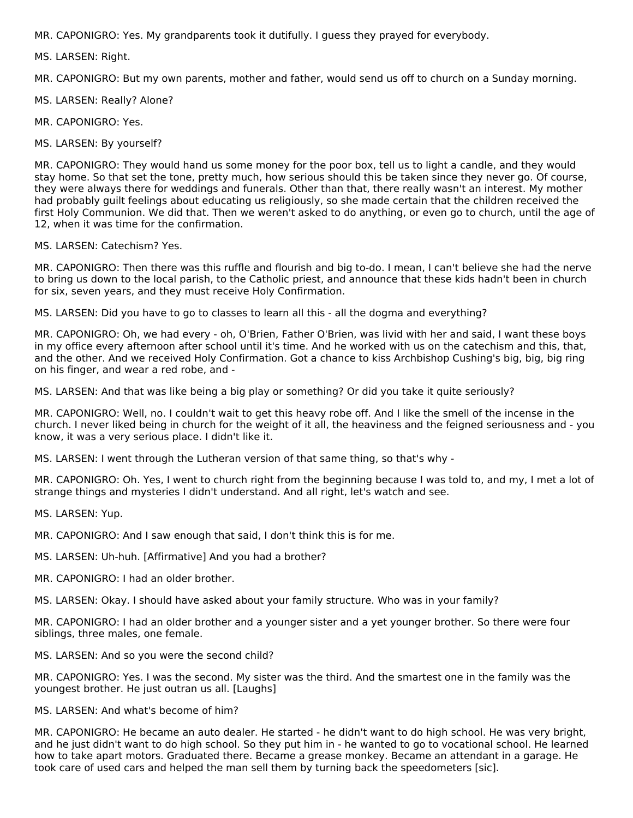MR. CAPONIGRO: Yes. My grandparents took it dutifully. I guess they prayed for everybody.

MS. LARSEN: Right.

MR. CAPONIGRO: But my own parents, mother and father, would send us off to church on a Sunday morning.

MS. LARSEN: Really? Alone?

MR. CAPONIGRO: Yes.

MS. LARSEN: By yourself?

MR. CAPONIGRO: They would hand us some money for the poor box, tell us to light a candle, and they would stay home. So that set the tone, pretty much, how serious should this be taken since they never go. Of course, they were always there for weddings and funerals. Other than that, there really wasn't an interest. My mother had probably guilt feelings about educating us religiously, so she made certain that the children received the first Holy Communion. We did that. Then we weren't asked to do anything, or even go to church, until the age of 12, when it was time for the confirmation.

#### MS. LARSEN: Catechism? Yes.

MR. CAPONIGRO: Then there was this ruffle and flourish and big to-do. I mean, I can't believe she had the nerve to bring us down to the local parish, to the Catholic priest, and announce that these kids hadn't been in church for six, seven years, and they must receive Holy Confirmation.

MS. LARSEN: Did you have to go to classes to learn all this - all the dogma and everything?

MR. CAPONIGRO: Oh, we had every - oh, O'Brien, Father O'Brien, was livid with her and said, I want these boys in my office every afternoon after school until it's time. And he worked with us on the catechism and this, that, and the other. And we received Holy Confirmation. Got a chance to kiss Archbishop Cushing's big, big, big ring on his finger, and wear a red robe, and -

MS. LARSEN: And that was like being a big play or something? Or did you take it quite seriously?

MR. CAPONIGRO: Well, no. I couldn't wait to get this heavy robe off. And I like the smell of the incense in the church. I never liked being in church for the weight of it all, the heaviness and the feigned seriousness and - you know, it was a very serious place. I didn't like it.

MS. LARSEN: I went through the Lutheran version of that same thing, so that's why -

MR. CAPONIGRO: Oh. Yes, I went to church right from the beginning because I was told to, and my, I met a lot of strange things and mysteries I didn't understand. And all right, let's watch and see.

MS. LARSEN: Yup.

MR. CAPONIGRO: And I saw enough that said, I don't think this is for me.

MS. LARSEN: Uh-huh. [Affirmative] And you had a brother?

MR. CAPONIGRO: I had an older brother.

MS. LARSEN: Okay. I should have asked about your family structure. Who was in your family?

MR. CAPONIGRO: I had an older brother and a younger sister and a yet younger brother. So there were four siblings, three males, one female.

MS. LARSEN: And so you were the second child?

MR. CAPONIGRO: Yes. I was the second. My sister was the third. And the smartest one in the family was the youngest brother. He just outran us all. [Laughs]

# MS. LARSEN: And what's become of him?

MR. CAPONIGRO: He became an auto dealer. He started - he didn't want to do high school. He was very bright, and he just didn't want to do high school. So they put him in - he wanted to go to vocational school. He learned how to take apart motors. Graduated there. Became a grease monkey. Became an attendant in a garage. He took care of used cars and helped the man sell them by turning back the speedometers [sic].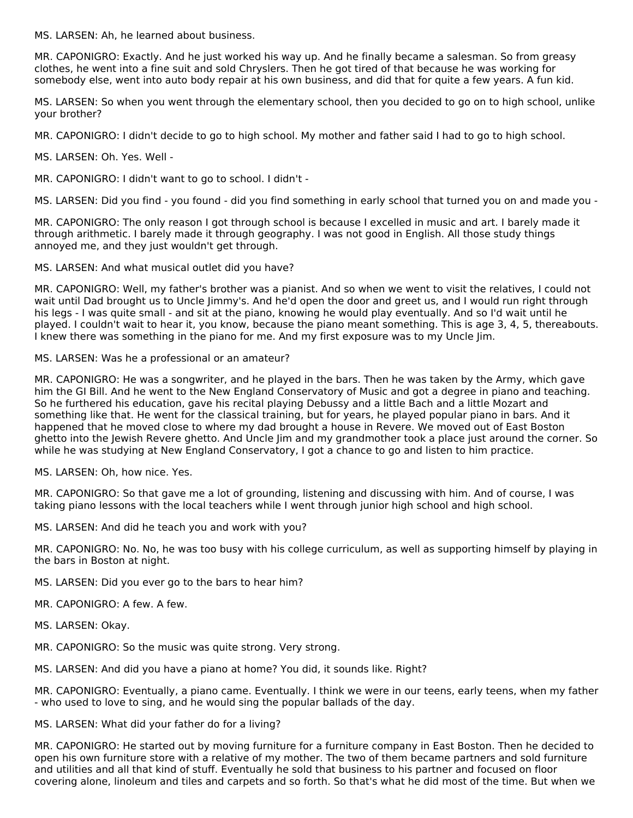MS. LARSEN: Ah, he learned about business.

MR. CAPONIGRO: Exactly. And he just worked his way up. And he finally became a salesman. So from greasy clothes, he went into a fine suit and sold Chryslers. Then he got tired of that because he was working for somebody else, went into auto body repair at his own business, and did that for quite a few years. A fun kid.

MS. LARSEN: So when you went through the elementary school, then you decided to go on to high school, unlike your brother?

MR. CAPONIGRO: I didn't decide to go to high school. My mother and father said I had to go to high school.

MS. LARSEN: Oh. Yes. Well -

MR. CAPONIGRO: I didn't want to go to school. I didn't -

MS. LARSEN: Did you find - you found - did you find something in early school that turned you on and made you -

MR. CAPONIGRO: The only reason I got through school is because I excelled in music and art. I barely made it through arithmetic. I barely made it through geography. I was not good in English. All those study things annoyed me, and they just wouldn't get through.

MS. LARSEN: And what musical outlet did you have?

MR. CAPONIGRO: Well, my father's brother was a pianist. And so when we went to visit the relatives, I could not wait until Dad brought us to Uncle Jimmy's. And he'd open the door and greet us, and I would run right through his legs - I was quite small - and sit at the piano, knowing he would play eventually. And so I'd wait until he played. I couldn't wait to hear it, you know, because the piano meant something. This is age 3, 4, 5, thereabouts. I knew there was something in the piano for me. And my first exposure was to my Uncle Jim.

MS. LARSEN: Was he a professional or an amateur?

MR. CAPONIGRO: He was a songwriter, and he played in the bars. Then he was taken by the Army, which gave him the GI Bill. And he went to the New England Conservatory of Music and got a degree in piano and teaching. So he furthered his education, gave his recital playing Debussy and a little Bach and a little Mozart and something like that. He went for the classical training, but for years, he played popular piano in bars. And it happened that he moved close to where my dad brought a house in Revere. We moved out of East Boston ghetto into the Jewish Revere ghetto. And Uncle Jim and my grandmother took a place just around the corner. So while he was studying at New England Conservatory, I got a chance to go and listen to him practice.

MS. LARSEN: Oh, how nice. Yes.

MR. CAPONIGRO: So that gave me a lot of grounding, listening and discussing with him. And of course, I was taking piano lessons with the local teachers while I went through junior high school and high school.

MS. LARSEN: And did he teach you and work with you?

MR. CAPONIGRO: No. No, he was too busy with his college curriculum, as well as supporting himself by playing in the bars in Boston at night.

MS. LARSEN: Did you ever go to the bars to hear him?

MR. CAPONIGRO: A few. A few.

MS. LARSEN: Okay.

MR. CAPONIGRO: So the music was quite strong. Very strong.

MS. LARSEN: And did you have a piano at home? You did, it sounds like. Right?

MR. CAPONIGRO: Eventually, a piano came. Eventually. I think we were in our teens, early teens, when my father - who used to love to sing, and he would sing the popular ballads of the day.

MS. LARSEN: What did your father do for a living?

MR. CAPONIGRO: He started out by moving furniture for a furniture company in East Boston. Then he decided to open his own furniture store with a relative of my mother. The two of them became partners and sold furniture and utilities and all that kind of stuff. Eventually he sold that business to his partner and focused on floor covering alone, linoleum and tiles and carpets and so forth. So that's what he did most of the time. But when we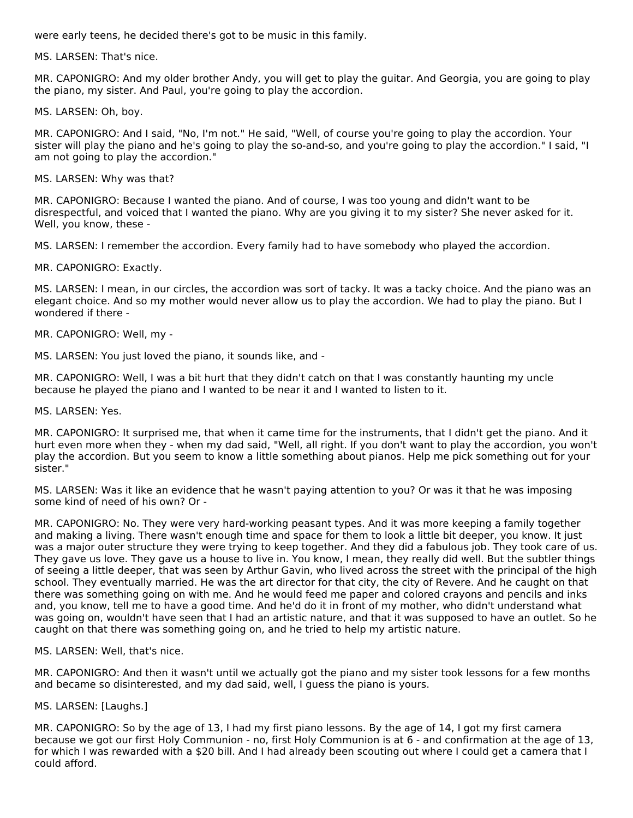were early teens, he decided there's got to be music in this family.

MS. LARSEN: That's nice.

MR. CAPONIGRO: And my older brother Andy, you will get to play the guitar. And Georgia, you are going to play the piano, my sister. And Paul, you're going to play the accordion.

MS. LARSEN: Oh, boy.

MR. CAPONIGRO: And I said, "No, I'm not." He said, "Well, of course you're going to play the accordion. Your sister will play the piano and he's going to play the so-and-so, and you're going to play the accordion." I said, "I am not going to play the accordion."

MS. LARSEN: Why was that?

MR. CAPONIGRO: Because I wanted the piano. And of course, I was too young and didn't want to be disrespectful, and voiced that I wanted the piano. Why are you giving it to my sister? She never asked for it. Well, you know, these -

MS. LARSEN: I remember the accordion. Every family had to have somebody who played the accordion.

MR. CAPONIGRO: Exactly.

MS. LARSEN: I mean, in our circles, the accordion was sort of tacky. It was a tacky choice. And the piano was an elegant choice. And so my mother would never allow us to play the accordion. We had to play the piano. But I wondered if there -

MR. CAPONIGRO: Well, my -

MS. LARSEN: You just loved the piano, it sounds like, and -

MR. CAPONIGRO: Well, I was a bit hurt that they didn't catch on that I was constantly haunting my uncle because he played the piano and I wanted to be near it and I wanted to listen to it.

MS. LARSEN: Yes.

MR. CAPONIGRO: It surprised me, that when it came time for the instruments, that I didn't get the piano. And it hurt even more when they - when my dad said, "Well, all right. If you don't want to play the accordion, you won't play the accordion. But you seem to know a little something about pianos. Help me pick something out for your sister."

MS. LARSEN: Was it like an evidence that he wasn't paying attention to you? Or was it that he was imposing some kind of need of his own? Or -

MR. CAPONIGRO: No. They were very hard-working peasant types. And it was more keeping a family together and making a living. There wasn't enough time and space for them to look a little bit deeper, you know. It just was a major outer structure they were trying to keep together. And they did a fabulous job. They took care of us. They gave us love. They gave us a house to live in. You know, I mean, they really did well. But the subtler things of seeing a little deeper, that was seen by Arthur Gavin, who lived across the street with the principal of the high school. They eventually married. He was the art director for that city, the city of Revere. And he caught on that there was something going on with me. And he would feed me paper and colored crayons and pencils and inks and, you know, tell me to have a good time. And he'd do it in front of my mother, who didn't understand what was going on, wouldn't have seen that I had an artistic nature, and that it was supposed to have an outlet. So he caught on that there was something going on, and he tried to help my artistic nature.

MS. LARSEN: Well, that's nice.

MR. CAPONIGRO: And then it wasn't until we actually got the piano and my sister took lessons for a few months and became so disinterested, and my dad said, well, I guess the piano is yours.

MS. LARSEN: [Laughs.]

MR. CAPONIGRO: So by the age of 13, I had my first piano lessons. By the age of 14, I got my first camera because we got our first Holy Communion - no, first Holy Communion is at 6 - and confirmation at the age of 13, for which I was rewarded with a \$20 bill. And I had already been scouting out where I could get a camera that I could afford.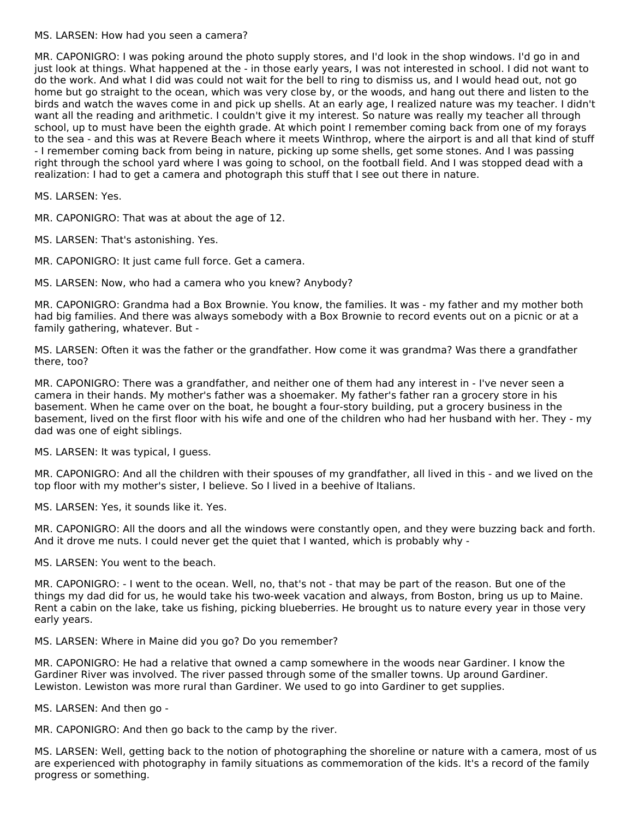#### MS. LARSEN: How had you seen a camera?

MR. CAPONIGRO: I was poking around the photo supply stores, and I'd look in the shop windows. I'd go in and just look at things. What happened at the - in those early years, I was not interested in school. I did not want to do the work. And what I did was could not wait for the bell to ring to dismiss us, and I would head out, not go home but go straight to the ocean, which was very close by, or the woods, and hang out there and listen to the birds and watch the waves come in and pick up shells. At an early age, I realized nature was my teacher. I didn't want all the reading and arithmetic. I couldn't give it my interest. So nature was really my teacher all through school, up to must have been the eighth grade. At which point I remember coming back from one of my forays to the sea - and this was at Revere Beach where it meets Winthrop, where the airport is and all that kind of stuff - I remember coming back from being in nature, picking up some shells, get some stones. And I was passing right through the school yard where I was going to school, on the football field. And I was stopped dead with a realization: I had to get a camera and photograph this stuff that I see out there in nature.

MS. LARSEN: Yes.

MR. CAPONIGRO: That was at about the age of 12.

MS. LARSEN: That's astonishing. Yes.

MR. CAPONIGRO: It just came full force. Get a camera.

MS. LARSEN: Now, who had a camera who you knew? Anybody?

MR. CAPONIGRO: Grandma had a Box Brownie. You know, the families. It was - my father and my mother both had big families. And there was always somebody with a Box Brownie to record events out on a picnic or at a family gathering, whatever. But -

MS. LARSEN: Often it was the father or the grandfather. How come it was grandma? Was there a grandfather there, too?

MR. CAPONIGRO: There was a grandfather, and neither one of them had any interest in - I've never seen a camera in their hands. My mother's father was a shoemaker. My father's father ran a grocery store in his basement. When he came over on the boat, he bought a four-story building, put a grocery business in the basement, lived on the first floor with his wife and one of the children who had her husband with her. They - my dad was one of eight siblings.

MS. LARSEN: It was typical, I guess.

MR. CAPONIGRO: And all the children with their spouses of my grandfather, all lived in this - and we lived on the top floor with my mother's sister, I believe. So I lived in a beehive of Italians.

MS. LARSEN: Yes, it sounds like it. Yes.

MR. CAPONIGRO: All the doors and all the windows were constantly open, and they were buzzing back and forth. And it drove me nuts. I could never get the quiet that I wanted, which is probably why -

MS. LARSEN: You went to the beach.

MR. CAPONIGRO: - I went to the ocean. Well, no, that's not - that may be part of the reason. But one of the things my dad did for us, he would take his two-week vacation and always, from Boston, bring us up to Maine. Rent a cabin on the lake, take us fishing, picking blueberries. He brought us to nature every year in those very early years.

MS. LARSEN: Where in Maine did you go? Do you remember?

MR. CAPONIGRO: He had a relative that owned a camp somewhere in the woods near Gardiner. I know the Gardiner River was involved. The river passed through some of the smaller towns. Up around Gardiner. Lewiston. Lewiston was more rural than Gardiner. We used to go into Gardiner to get supplies.

MS. LARSEN: And then go -

MR. CAPONIGRO: And then go back to the camp by the river.

MS. LARSEN: Well, getting back to the notion of photographing the shoreline or nature with a camera, most of us are experienced with photography in family situations as commemoration of the kids. It's a record of the family progress or something.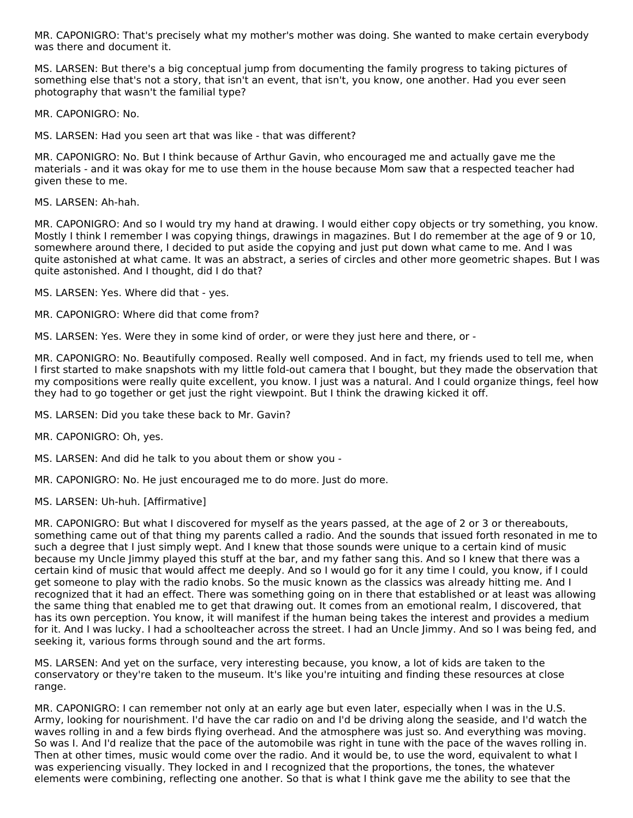MR. CAPONIGRO: That's precisely what my mother's mother was doing. She wanted to make certain everybody was there and document it.

MS. LARSEN: But there's a big conceptual jump from documenting the family progress to taking pictures of something else that's not a story, that isn't an event, that isn't, you know, one another. Had you ever seen photography that wasn't the familial type?

MR. CAPONIGRO: No.

MS. LARSEN: Had you seen art that was like - that was different?

MR. CAPONIGRO: No. But I think because of Arthur Gavin, who encouraged me and actually gave me the materials - and it was okay for me to use them in the house because Mom saw that a respected teacher had given these to me.

MS. LARSEN: Ah-hah.

MR. CAPONIGRO: And so I would try my hand at drawing. I would either copy objects or try something, you know. Mostly I think I remember I was copying things, drawings in magazines. But I do remember at the age of 9 or 10, somewhere around there, I decided to put aside the copying and just put down what came to me. And I was quite astonished at what came. It was an abstract, a series of circles and other more geometric shapes. But I was quite astonished. And I thought, did I do that?

MS. LARSEN: Yes. Where did that - yes.

MR. CAPONIGRO: Where did that come from?

MS. LARSEN: Yes. Were they in some kind of order, or were they just here and there, or -

MR. CAPONIGRO: No. Beautifully composed. Really well composed. And in fact, my friends used to tell me, when I first started to make snapshots with my little fold-out camera that I bought, but they made the observation that my compositions were really quite excellent, you know. I just was a natural. And I could organize things, feel how they had to go together or get just the right viewpoint. But I think the drawing kicked it off.

MS. LARSEN: Did you take these back to Mr. Gavin?

MR. CAPONIGRO: Oh, yes.

MS. LARSEN: And did he talk to you about them or show you -

MR. CAPONIGRO: No. He just encouraged me to do more. Just do more.

MS. LARSEN: Uh-huh. [Affirmative]

MR. CAPONIGRO: But what I discovered for myself as the years passed, at the age of 2 or 3 or thereabouts, something came out of that thing my parents called a radio. And the sounds that issued forth resonated in me to such a degree that I just simply wept. And I knew that those sounds were unique to a certain kind of music because my Uncle Jimmy played this stuff at the bar, and my father sang this. And so I knew that there was a certain kind of music that would affect me deeply. And so I would go for it any time I could, you know, if I could get someone to play with the radio knobs. So the music known as the classics was already hitting me. And I recognized that it had an effect. There was something going on in there that established or at least was allowing the same thing that enabled me to get that drawing out. It comes from an emotional realm, I discovered, that has its own perception. You know, it will manifest if the human being takes the interest and provides a medium for it. And I was lucky. I had a schoolteacher across the street. I had an Uncle Jimmy. And so I was being fed, and seeking it, various forms through sound and the art forms.

MS. LARSEN: And yet on the surface, very interesting because, you know, a lot of kids are taken to the conservatory or they're taken to the museum. It's like you're intuiting and finding these resources at close range.

MR. CAPONIGRO: I can remember not only at an early age but even later, especially when I was in the U.S. Army, looking for nourishment. I'd have the car radio on and I'd be driving along the seaside, and I'd watch the waves rolling in and a few birds flying overhead. And the atmosphere was just so. And everything was moving. So was I. And I'd realize that the pace of the automobile was right in tune with the pace of the waves rolling in. Then at other times, music would come over the radio. And it would be, to use the word, equivalent to what I was experiencing visually. They locked in and I recognized that the proportions, the tones, the whatever elements were combining, reflecting one another. So that is what I think gave me the ability to see that the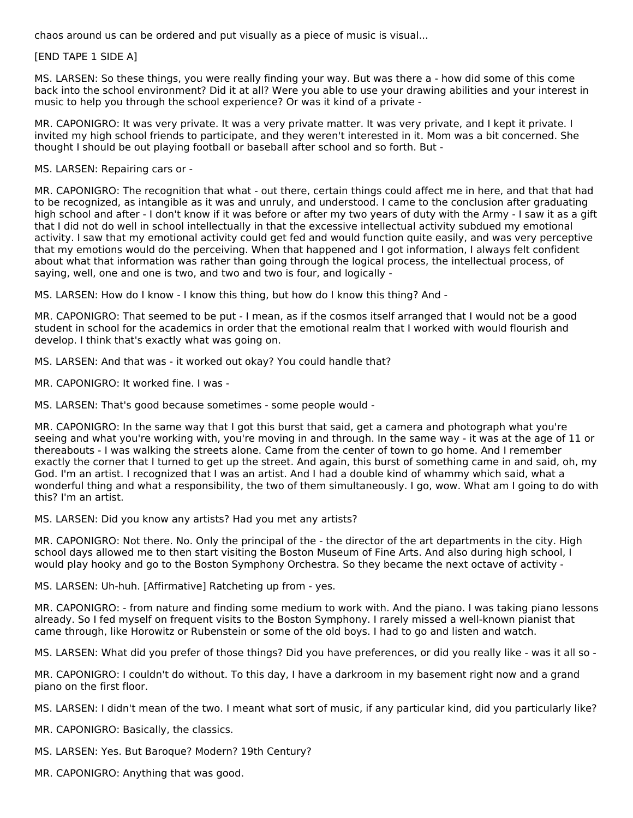chaos around us can be ordered and put visually as a piece of music is visual...

#### [END TAPE 1 SIDE A]

MS. LARSEN: So these things, you were really finding your way. But was there a - how did some of this come back into the school environment? Did it at all? Were you able to use your drawing abilities and your interest in music to help you through the school experience? Or was it kind of a private -

MR. CAPONIGRO: It was very private. It was a very private matter. It was very private, and I kept it private. I invited my high school friends to participate, and they weren't interested in it. Mom was a bit concerned. She thought I should be out playing football or baseball after school and so forth. But -

#### MS. LARSEN: Repairing cars or -

MR. CAPONIGRO: The recognition that what - out there, certain things could affect me in here, and that that had to be recognized, as intangible as it was and unruly, and understood. I came to the conclusion after graduating high school and after - I don't know if it was before or after my two years of duty with the Army - I saw it as a gift that I did not do well in school intellectually in that the excessive intellectual activity subdued my emotional activity. I saw that my emotional activity could get fed and would function quite easily, and was very perceptive that my emotions would do the perceiving. When that happened and I got information, I always felt confident about what that information was rather than going through the logical process, the intellectual process, of saying, well, one and one is two, and two and two is four, and logically -

MS. LARSEN: How do I know - I know this thing, but how do I know this thing? And -

MR. CAPONIGRO: That seemed to be put - I mean, as if the cosmos itself arranged that I would not be a good student in school for the academics in order that the emotional realm that I worked with would flourish and develop. I think that's exactly what was going on.

MS. LARSEN: And that was - it worked out okay? You could handle that?

MR. CAPONIGRO: It worked fine. I was -

MS. LARSEN: That's good because sometimes - some people would -

MR. CAPONIGRO: In the same way that I got this burst that said, get a camera and photograph what you're seeing and what you're working with, you're moving in and through. In the same way - it was at the age of 11 or thereabouts - I was walking the streets alone. Came from the center of town to go home. And I remember exactly the corner that I turned to get up the street. And again, this burst of something came in and said, oh, my God. I'm an artist. I recognized that I was an artist. And I had a double kind of whammy which said, what a wonderful thing and what a responsibility, the two of them simultaneously. I go, wow. What am I going to do with this? I'm an artist.

MS. LARSEN: Did you know any artists? Had you met any artists?

MR. CAPONIGRO: Not there. No. Only the principal of the - the director of the art departments in the city. High school days allowed me to then start visiting the Boston Museum of Fine Arts. And also during high school, I would play hooky and go to the Boston Symphony Orchestra. So they became the next octave of activity -

MS. LARSEN: Uh-huh. [Affirmative] Ratcheting up from - yes.

MR. CAPONIGRO: - from nature and finding some medium to work with. And the piano. I was taking piano lessons already. So I fed myself on frequent visits to the Boston Symphony. I rarely missed a well-known pianist that came through, like Horowitz or Rubenstein or some of the old boys. I had to go and listen and watch.

MS. LARSEN: What did you prefer of those things? Did you have preferences, or did you really like - was it all so -

MR. CAPONIGRO: I couldn't do without. To this day, I have a darkroom in my basement right now and a grand piano on the first floor.

MS. LARSEN: I didn't mean of the two. I meant what sort of music, if any particular kind, did you particularly like?

MR. CAPONIGRO: Basically, the classics.

MS. LARSEN: Yes. But Baroque? Modern? 19th Century?

MR. CAPONIGRO: Anything that was good.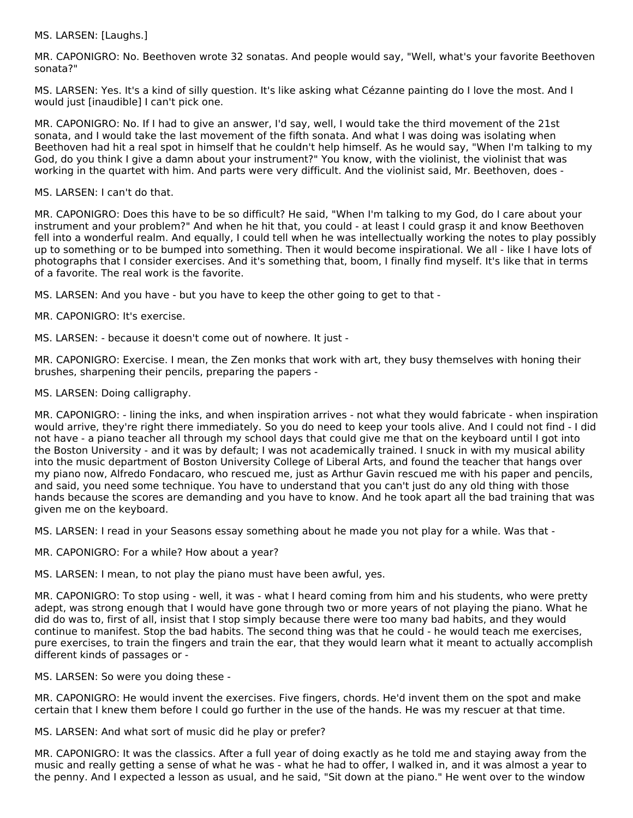MS. LARSEN: [Laughs.]

MR. CAPONIGRO: No. Beethoven wrote 32 sonatas. And people would say, "Well, what's your favorite Beethoven sonata?"

MS. LARSEN: Yes. It's a kind of silly question. It's like asking what Cézanne painting do I love the most. And I would just [inaudible] I can't pick one.

MR. CAPONIGRO: No. If I had to give an answer, I'd say, well, I would take the third movement of the 21st sonata, and I would take the last movement of the fifth sonata. And what I was doing was isolating when Beethoven had hit a real spot in himself that he couldn't help himself. As he would say, "When I'm talking to my God, do you think I give a damn about your instrument?" You know, with the violinist, the violinist that was working in the quartet with him. And parts were very difficult. And the violinist said, Mr. Beethoven, does -

MS. LARSEN: I can't do that.

MR. CAPONIGRO: Does this have to be so difficult? He said, "When I'm talking to my God, do I care about your instrument and your problem?" And when he hit that, you could - at least I could grasp it and know Beethoven fell into a wonderful realm. And equally, I could tell when he was intellectually working the notes to play possibly up to something or to be bumped into something. Then it would become inspirational. We all - like I have lots of photographs that I consider exercises. And it's something that, boom, I finally find myself. It's like that in terms of a favorite. The real work is the favorite.

MS. LARSEN: And you have - but you have to keep the other going to get to that -

MR. CAPONIGRO: It's exercise.

MS. LARSEN: - because it doesn't come out of nowhere. It just -

MR. CAPONIGRO: Exercise. I mean, the Zen monks that work with art, they busy themselves with honing their brushes, sharpening their pencils, preparing the papers -

MS. LARSEN: Doing calligraphy.

MR. CAPONIGRO: - lining the inks, and when inspiration arrives - not what they would fabricate - when inspiration would arrive, they're right there immediately. So you do need to keep your tools alive. And I could not find - I did not have - a piano teacher all through my school days that could give me that on the keyboard until I got into the Boston University - and it was by default; I was not academically trained. I snuck in with my musical ability into the music department of Boston University College of Liberal Arts, and found the teacher that hangs over my piano now, Alfredo Fondacaro, who rescued me, just as Arthur Gavin rescued me with his paper and pencils, and said, you need some technique. You have to understand that you can't just do any old thing with those hands because the scores are demanding and you have to know. And he took apart all the bad training that was given me on the keyboard.

MS. LARSEN: I read in your Seasons essay something about he made you not play for a while. Was that -

MR. CAPONIGRO: For a while? How about a year?

MS. LARSEN: I mean, to not play the piano must have been awful, yes.

MR. CAPONIGRO: To stop using - well, it was - what I heard coming from him and his students, who were pretty adept, was strong enough that I would have gone through two or more years of not playing the piano. What he did do was to, first of all, insist that I stop simply because there were too many bad habits, and they would continue to manifest. Stop the bad habits. The second thing was that he could - he would teach me exercises, pure exercises, to train the fingers and train the ear, that they would learn what it meant to actually accomplish different kinds of passages or -

MS. LARSEN: So were you doing these -

MR. CAPONIGRO: He would invent the exercises. Five fingers, chords. He'd invent them on the spot and make certain that I knew them before I could go further in the use of the hands. He was my rescuer at that time.

MS. LARSEN: And what sort of music did he play or prefer?

MR. CAPONIGRO: It was the classics. After a full year of doing exactly as he told me and staying away from the music and really getting a sense of what he was - what he had to offer, I walked in, and it was almost a year to the penny. And I expected a lesson as usual, and he said, "Sit down at the piano." He went over to the window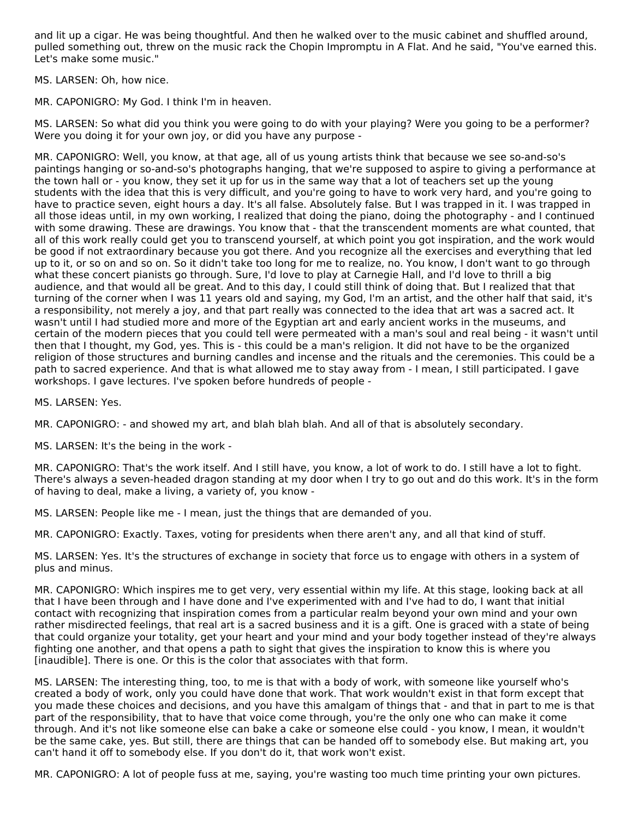and lit up a cigar. He was being thoughtful. And then he walked over to the music cabinet and shuffled around, pulled something out, threw on the music rack the Chopin Impromptu in A Flat. And he said, "You've earned this. Let's make some music."

MS. LARSEN: Oh, how nice.

MR. CAPONIGRO: My God. I think I'm in heaven.

MS. LARSEN: So what did you think you were going to do with your playing? Were you going to be a performer? Were you doing it for your own joy, or did you have any purpose -

MR. CAPONIGRO: Well, you know, at that age, all of us young artists think that because we see so-and-so's paintings hanging or so-and-so's photographs hanging, that we're supposed to aspire to giving a performance at the town hall or - you know, they set it up for us in the same way that a lot of teachers set up the young students with the idea that this is very difficult, and you're going to have to work very hard, and you're going to have to practice seven, eight hours a day. It's all false. Absolutely false. But I was trapped in it. I was trapped in all those ideas until, in my own working, I realized that doing the piano, doing the photography - and I continued with some drawing. These are drawings. You know that - that the transcendent moments are what counted, that all of this work really could get you to transcend yourself, at which point you got inspiration, and the work would be good if not extraordinary because you got there. And you recognize all the exercises and everything that led up to it, or so on and so on. So it didn't take too long for me to realize, no. You know, I don't want to go through what these concert pianists go through. Sure, I'd love to play at Carnegie Hall, and I'd love to thrill a big audience, and that would all be great. And to this day, I could still think of doing that. But I realized that that turning of the corner when I was 11 years old and saying, my God, I'm an artist, and the other half that said, it's a responsibility, not merely a joy, and that part really was connected to the idea that art was a sacred act. It wasn't until I had studied more and more of the Egyptian art and early ancient works in the museums, and certain of the modern pieces that you could tell were permeated with a man's soul and real being - it wasn't until then that I thought, my God, yes. This is - this could be a man's religion. It did not have to be the organized religion of those structures and burning candles and incense and the rituals and the ceremonies. This could be a path to sacred experience. And that is what allowed me to stay away from - I mean, I still participated. I gave workshops. I gave lectures. I've spoken before hundreds of people -

MS. LARSEN: Yes.

MR. CAPONIGRO: - and showed my art, and blah blah blah. And all of that is absolutely secondary.

MS. LARSEN: It's the being in the work -

MR. CAPONIGRO: That's the work itself. And I still have, you know, a lot of work to do. I still have a lot to fight. There's always a seven-headed dragon standing at my door when I try to go out and do this work. It's in the form of having to deal, make a living, a variety of, you know -

MS. LARSEN: People like me - I mean, just the things that are demanded of you.

MR. CAPONIGRO: Exactly. Taxes, voting for presidents when there aren't any, and all that kind of stuff.

MS. LARSEN: Yes. It's the structures of exchange in society that force us to engage with others in a system of plus and minus.

MR. CAPONIGRO: Which inspires me to get very, very essential within my life. At this stage, looking back at all that I have been through and I have done and I've experimented with and I've had to do, I want that initial contact with recognizing that inspiration comes from a particular realm beyond your own mind and your own rather misdirected feelings, that real art is a sacred business and it is a gift. One is graced with a state of being that could organize your totality, get your heart and your mind and your body together instead of they're always fighting one another, and that opens a path to sight that gives the inspiration to know this is where you [inaudible]. There is one. Or this is the color that associates with that form.

MS. LARSEN: The interesting thing, too, to me is that with a body of work, with someone like yourself who's created a body of work, only you could have done that work. That work wouldn't exist in that form except that you made these choices and decisions, and you have this amalgam of things that - and that in part to me is that part of the responsibility, that to have that voice come through, you're the only one who can make it come through. And it's not like someone else can bake a cake or someone else could - you know, I mean, it wouldn't be the same cake, yes. But still, there are things that can be handed off to somebody else. But making art, you can't hand it off to somebody else. If you don't do it, that work won't exist.

MR. CAPONIGRO: A lot of people fuss at me, saying, you're wasting too much time printing your own pictures.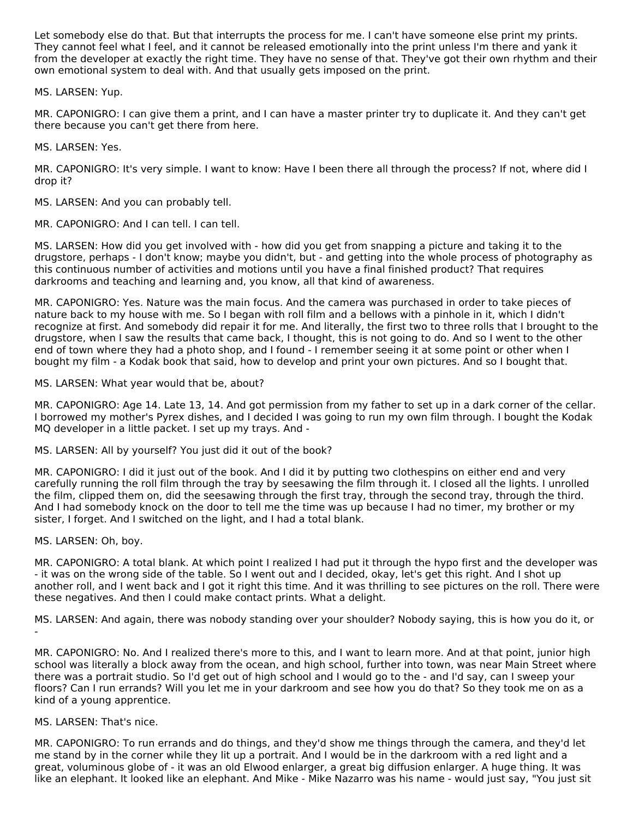Let somebody else do that. But that interrupts the process for me. I can't have someone else print my prints. They cannot feel what I feel, and it cannot be released emotionally into the print unless I'm there and yank it from the developer at exactly the right time. They have no sense of that. They've got their own rhythm and their own emotional system to deal with. And that usually gets imposed on the print.

MS. LARSEN: Yup.

MR. CAPONIGRO: I can give them a print, and I can have a master printer try to duplicate it. And they can't get there because you can't get there from here.

MS. LARSEN: Yes.

MR. CAPONIGRO: It's very simple. I want to know: Have I been there all through the process? If not, where did I drop it?

MS. LARSEN: And you can probably tell.

MR. CAPONIGRO: And I can tell. I can tell.

MS. LARSEN: How did you get involved with - how did you get from snapping a picture and taking it to the drugstore, perhaps - I don't know; maybe you didn't, but - and getting into the whole process of photography as this continuous number of activities and motions until you have a final finished product? That requires darkrooms and teaching and learning and, you know, all that kind of awareness.

MR. CAPONIGRO: Yes. Nature was the main focus. And the camera was purchased in order to take pieces of nature back to my house with me. So I began with roll film and a bellows with a pinhole in it, which I didn't recognize at first. And somebody did repair it for me. And literally, the first two to three rolls that I brought to the drugstore, when I saw the results that came back, I thought, this is not going to do. And so I went to the other end of town where they had a photo shop, and I found - I remember seeing it at some point or other when I bought my film - a Kodak book that said, how to develop and print your own pictures. And so I bought that.

MS. LARSEN: What year would that be, about?

MR. CAPONIGRO: Age 14. Late 13, 14. And got permission from my father to set up in a dark corner of the cellar. I borrowed my mother's Pyrex dishes, and I decided I was going to run my own film through. I bought the Kodak MQ developer in a little packet. I set up my trays. And -

MS. LARSEN: All by yourself? You just did it out of the book?

MR. CAPONIGRO: I did it just out of the book. And I did it by putting two clothespins on either end and very carefully running the roll film through the tray by seesawing the film through it. I closed all the lights. I unrolled the film, clipped them on, did the seesawing through the first tray, through the second tray, through the third. And I had somebody knock on the door to tell me the time was up because I had no timer, my brother or my sister, I forget. And I switched on the light, and I had a total blank.

MS. LARSEN: Oh, boy.

MR. CAPONIGRO: A total blank. At which point I realized I had put it through the hypo first and the developer was - it was on the wrong side of the table. So I went out and I decided, okay, let's get this right. And I shot up another roll, and I went back and I got it right this time. And it was thrilling to see pictures on the roll. There were these negatives. And then I could make contact prints. What a delight.

MS. LARSEN: And again, there was nobody standing over your shoulder? Nobody saying, this is how you do it, or -

MR. CAPONIGRO: No. And I realized there's more to this, and I want to learn more. And at that point, junior high school was literally a block away from the ocean, and high school, further into town, was near Main Street where there was a portrait studio. So I'd get out of high school and I would go to the - and I'd say, can I sweep your floors? Can I run errands? Will you let me in your darkroom and see how you do that? So they took me on as a kind of a young apprentice.

# MS. LARSEN: That's nice.

MR. CAPONIGRO: To run errands and do things, and they'd show me things through the camera, and they'd let me stand by in the corner while they lit up a portrait. And I would be in the darkroom with a red light and a great, voluminous globe of - it was an old Elwood enlarger, a great big diffusion enlarger. A huge thing. It was like an elephant. It looked like an elephant. And Mike - Mike Nazarro was his name - would just say, "You just sit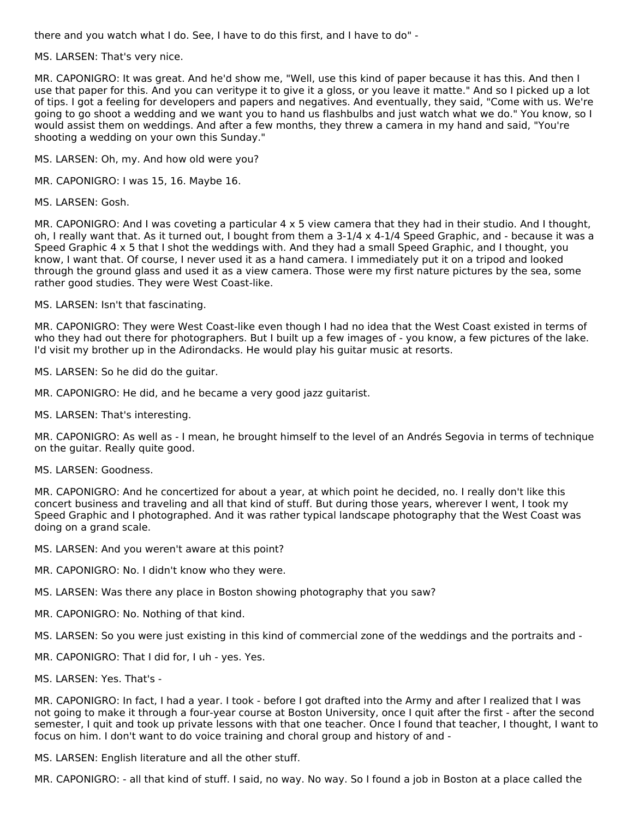there and you watch what I do. See, I have to do this first, and I have to do" -

MS. LARSEN: That's very nice.

MR. CAPONIGRO: It was great. And he'd show me, "Well, use this kind of paper because it has this. And then I use that paper for this. And you can veritype it to give it a gloss, or you leave it matte." And so I picked up a lot of tips. I got a feeling for developers and papers and negatives. And eventually, they said, "Come with us. We're going to go shoot a wedding and we want you to hand us flashbulbs and just watch what we do." You know, so I would assist them on weddings. And after a few months, they threw a camera in my hand and said, "You're shooting a wedding on your own this Sunday."

MS. LARSEN: Oh, my. And how old were you?

MR. CAPONIGRO: I was 15, 16. Maybe 16.

MS. LARSEN: Gosh.

MR. CAPONIGRO: And I was coveting a particular 4 x 5 view camera that they had in their studio. And I thought, oh, I really want that. As it turned out, I bought from them a 3-1/4 x 4-1/4 Speed Graphic, and - because it was a Speed Graphic 4 x 5 that I shot the weddings with. And they had a small Speed Graphic, and I thought, you know, I want that. Of course, I never used it as a hand camera. I immediately put it on a tripod and looked through the ground glass and used it as a view camera. Those were my first nature pictures by the sea, some rather good studies. They were West Coast-like.

MS. LARSEN: Isn't that fascinating.

MR. CAPONIGRO: They were West Coast-like even though I had no idea that the West Coast existed in terms of who they had out there for photographers. But I built up a few images of - you know, a few pictures of the lake. I'd visit my brother up in the Adirondacks. He would play his guitar music at resorts.

MS. LARSEN: So he did do the guitar.

MR. CAPONIGRO: He did, and he became a very good jazz guitarist.

MS. LARSEN: That's interesting.

MR. CAPONIGRO: As well as - I mean, he brought himself to the level of an Andrés Segovia in terms of technique on the guitar. Really quite good.

MS. LARSEN: Goodness.

MR. CAPONIGRO: And he concertized for about a year, at which point he decided, no. I really don't like this concert business and traveling and all that kind of stuff. But during those years, wherever I went, I took my Speed Graphic and I photographed. And it was rather typical landscape photography that the West Coast was doing on a grand scale.

MS. LARSEN: And you weren't aware at this point?

MR. CAPONIGRO: No. I didn't know who they were.

MS. LARSEN: Was there any place in Boston showing photography that you saw?

MR. CAPONIGRO: No. Nothing of that kind.

MS. LARSEN: So you were just existing in this kind of commercial zone of the weddings and the portraits and -

- MR. CAPONIGRO: That I did for, I uh yes. Yes.
- MS. LARSEN: Yes. That's -

MR. CAPONIGRO: In fact, I had a year. I took - before I got drafted into the Army and after I realized that I was not going to make it through a four-year course at Boston University, once I quit after the first - after the second semester, I quit and took up private lessons with that one teacher. Once I found that teacher, I thought, I want to focus on him. I don't want to do voice training and choral group and history of and -

MS. LARSEN: English literature and all the other stuff.

MR. CAPONIGRO: - all that kind of stuff. I said, no way. No way. So I found a job in Boston at a place called the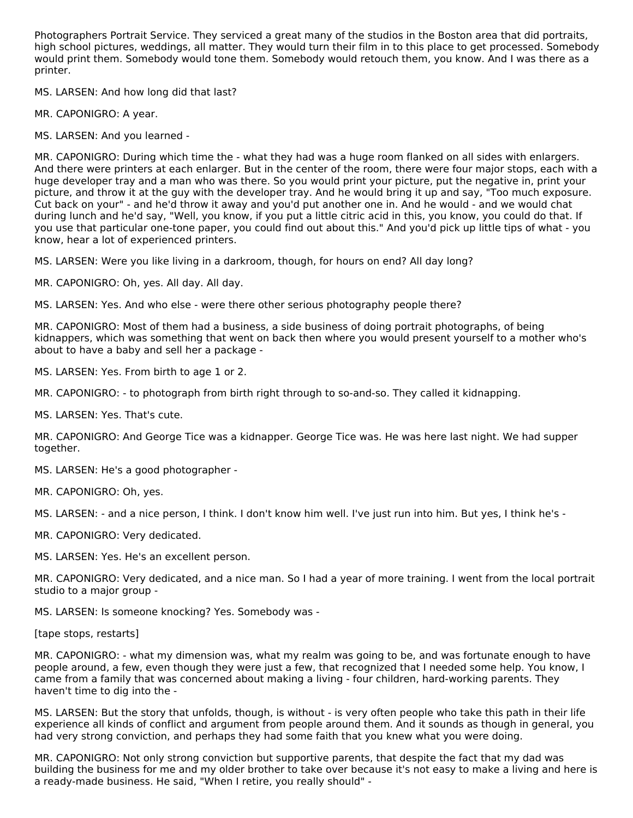Photographers Portrait Service. They serviced a great many of the studios in the Boston area that did portraits, high school pictures, weddings, all matter. They would turn their film in to this place to get processed. Somebody would print them. Somebody would tone them. Somebody would retouch them, you know. And I was there as a printer.

MS. LARSEN: And how long did that last?

MR. CAPONIGRO: A year.

MS. LARSEN: And you learned -

MR. CAPONIGRO: During which time the - what they had was a huge room flanked on all sides with enlargers. And there were printers at each enlarger. But in the center of the room, there were four major stops, each with a huge developer tray and a man who was there. So you would print your picture, put the negative in, print your picture, and throw it at the guy with the developer tray. And he would bring it up and say, "Too much exposure. Cut back on your" - and he'd throw it away and you'd put another one in. And he would - and we would chat during lunch and he'd say, "Well, you know, if you put a little citric acid in this, you know, you could do that. If you use that particular one-tone paper, you could find out about this." And you'd pick up little tips of what - you know, hear a lot of experienced printers.

MS. LARSEN: Were you like living in a darkroom, though, for hours on end? All day long?

MR. CAPONIGRO: Oh, yes. All day. All day.

MS. LARSEN: Yes. And who else - were there other serious photography people there?

MR. CAPONIGRO: Most of them had a business, a side business of doing portrait photographs, of being kidnappers, which was something that went on back then where you would present yourself to a mother who's about to have a baby and sell her a package -

MS. LARSEN: Yes. From birth to age 1 or 2.

MR. CAPONIGRO: - to photograph from birth right through to so-and-so. They called it kidnapping.

MS. LARSEN: Yes. That's cute.

MR. CAPONIGRO: And George Tice was a kidnapper. George Tice was. He was here last night. We had supper together.

MS. LARSEN: He's a good photographer -

MR. CAPONIGRO: Oh, yes.

MS. LARSEN: - and a nice person, I think. I don't know him well. I've just run into him. But yes, I think he's -

MR. CAPONIGRO: Very dedicated.

MS. LARSEN: Yes. He's an excellent person.

MR. CAPONIGRO: Very dedicated, and a nice man. So I had a year of more training. I went from the local portrait studio to a major group -

MS. LARSEN: Is someone knocking? Yes. Somebody was -

[tape stops, restarts]

MR. CAPONIGRO: - what my dimension was, what my realm was going to be, and was fortunate enough to have people around, a few, even though they were just a few, that recognized that I needed some help. You know, I came from a family that was concerned about making a living - four children, hard-working parents. They haven't time to dig into the -

MS. LARSEN: But the story that unfolds, though, is without - is very often people who take this path in their life experience all kinds of conflict and argument from people around them. And it sounds as though in general, you had very strong conviction, and perhaps they had some faith that you knew what you were doing.

MR. CAPONIGRO: Not only strong conviction but supportive parents, that despite the fact that my dad was building the business for me and my older brother to take over because it's not easy to make a living and here is a ready-made business. He said, "When I retire, you really should" -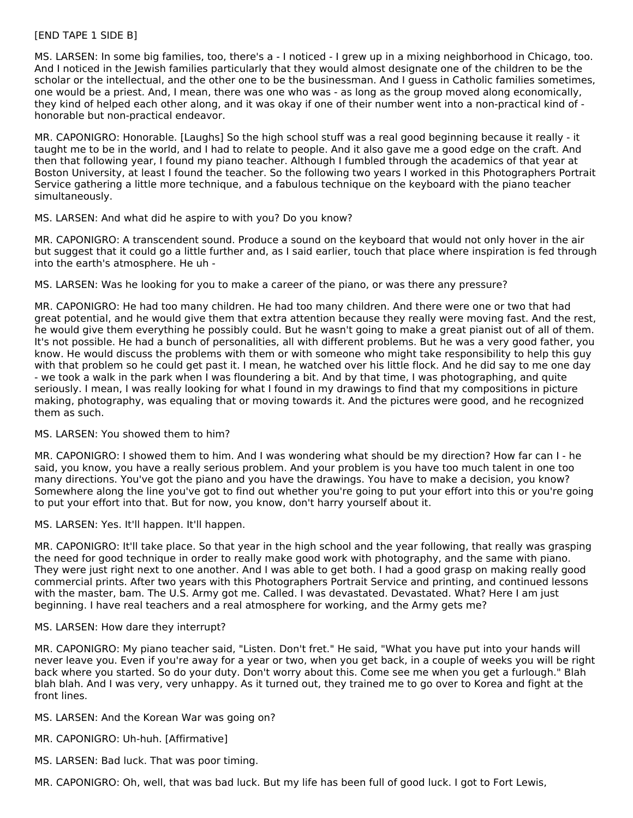#### [END TAPE 1 SIDE B]

MS. LARSEN: In some big families, too, there's a - I noticed - I grew up in a mixing neighborhood in Chicago, too. And I noticed in the Jewish families particularly that they would almost designate one of the children to be the scholar or the intellectual, and the other one to be the businessman. And I guess in Catholic families sometimes, one would be a priest. And, I mean, there was one who was - as long as the group moved along economically, they kind of helped each other along, and it was okay if one of their number went into a non-practical kind of honorable but non-practical endeavor.

MR. CAPONIGRO: Honorable. [Laughs] So the high school stuff was a real good beginning because it really - it taught me to be in the world, and I had to relate to people. And it also gave me a good edge on the craft. And then that following year, I found my piano teacher. Although I fumbled through the academics of that year at Boston University, at least I found the teacher. So the following two years I worked in this Photographers Portrait Service gathering a little more technique, and a fabulous technique on the keyboard with the piano teacher simultaneously.

#### MS. LARSEN: And what did he aspire to with you? Do you know?

MR. CAPONIGRO: A transcendent sound. Produce a sound on the keyboard that would not only hover in the air but suggest that it could go a little further and, as I said earlier, touch that place where inspiration is fed through into the earth's atmosphere. He uh -

MS. LARSEN: Was he looking for you to make a career of the piano, or was there any pressure?

MR. CAPONIGRO: He had too many children. He had too many children. And there were one or two that had great potential, and he would give them that extra attention because they really were moving fast. And the rest, he would give them everything he possibly could. But he wasn't going to make a great pianist out of all of them. It's not possible. He had a bunch of personalities, all with different problems. But he was a very good father, you know. He would discuss the problems with them or with someone who might take responsibility to help this guy with that problem so he could get past it. I mean, he watched over his little flock. And he did say to me one day - we took a walk in the park when I was floundering a bit. And by that time, I was photographing, and quite seriously. I mean, I was really looking for what I found in my drawings to find that my compositions in picture making, photography, was equaling that or moving towards it. And the pictures were good, and he recognized them as such.

#### MS. LARSEN: You showed them to him?

MR. CAPONIGRO: I showed them to him. And I was wondering what should be my direction? How far can I - he said, you know, you have a really serious problem. And your problem is you have too much talent in one too many directions. You've got the piano and you have the drawings. You have to make a decision, you know? Somewhere along the line you've got to find out whether you're going to put your effort into this or you're going to put your effort into that. But for now, you know, don't harry yourself about it.

MS. LARSEN: Yes. It'll happen. It'll happen.

MR. CAPONIGRO: It'll take place. So that year in the high school and the year following, that really was grasping the need for good technique in order to really make good work with photography, and the same with piano. They were just right next to one another. And I was able to get both. I had a good grasp on making really good commercial prints. After two years with this Photographers Portrait Service and printing, and continued lessons with the master, bam. The U.S. Army got me. Called. I was devastated. Devastated. What? Here I am just beginning. I have real teachers and a real atmosphere for working, and the Army gets me?

#### MS. LARSEN: How dare they interrupt?

MR. CAPONIGRO: My piano teacher said, "Listen. Don't fret." He said, "What you have put into your hands will never leave you. Even if you're away for a year or two, when you get back, in a couple of weeks you will be right back where you started. So do your duty. Don't worry about this. Come see me when you get a furlough." Blah blah blah. And I was very, very unhappy. As it turned out, they trained me to go over to Korea and fight at the front lines.

# MS. LARSEN: And the Korean War was going on?

- MR. CAPONIGRO: Uh-huh. [Affirmative]
- MS. LARSEN: Bad luck. That was poor timing.

MR. CAPONIGRO: Oh, well, that was bad luck. But my life has been full of good luck. I got to Fort Lewis,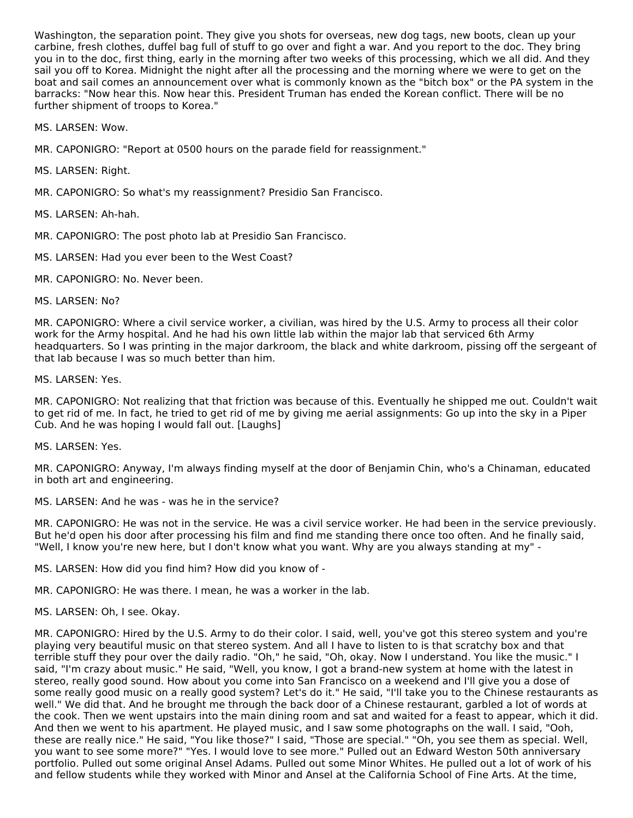Washington, the separation point. They give you shots for overseas, new dog tags, new boots, clean up your carbine, fresh clothes, duffel bag full of stuff to go over and fight a war. And you report to the doc. They bring you in to the doc, first thing, early in the morning after two weeks of this processing, which we all did. And they sail you off to Korea. Midnight the night after all the processing and the morning where we were to get on the boat and sail comes an announcement over what is commonly known as the "bitch box" or the PA system in the barracks: "Now hear this. Now hear this. President Truman has ended the Korean conflict. There will be no further shipment of troops to Korea."

MS. LARSEN: Wow.

MR. CAPONIGRO: "Report at 0500 hours on the parade field for reassignment."

MS. LARSEN: Right.

MR. CAPONIGRO: So what's my reassignment? Presidio San Francisco.

MS. LARSEN: Ah-hah.

MR. CAPONIGRO: The post photo lab at Presidio San Francisco.

MS. LARSEN: Had you ever been to the West Coast?

MR. CAPONIGRO: No. Never been.

MS. LARSEN: No?

MR. CAPONIGRO: Where a civil service worker, a civilian, was hired by the U.S. Army to process all their color work for the Army hospital. And he had his own little lab within the major lab that serviced 6th Army headquarters. So I was printing in the major darkroom, the black and white darkroom, pissing off the sergeant of that lab because I was so much better than him.

MS. LARSEN: Yes.

MR. CAPONIGRO: Not realizing that that friction was because of this. Eventually he shipped me out. Couldn't wait to get rid of me. In fact, he tried to get rid of me by giving me aerial assignments: Go up into the sky in a Piper Cub. And he was hoping I would fall out. [Laughs]

MS. LARSEN: Yes.

MR. CAPONIGRO: Anyway, I'm always finding myself at the door of Benjamin Chin, who's a Chinaman, educated in both art and engineering.

MS. LARSEN: And he was - was he in the service?

MR. CAPONIGRO: He was not in the service. He was a civil service worker. He had been in the service previously. But he'd open his door after processing his film and find me standing there once too often. And he finally said, "Well, I know you're new here, but I don't know what you want. Why are you always standing at my" -

MS. LARSEN: How did you find him? How did you know of -

MR. CAPONIGRO: He was there. I mean, he was a worker in the lab.

MS. LARSEN: Oh, I see. Okay.

MR. CAPONIGRO: Hired by the U.S. Army to do their color. I said, well, you've got this stereo system and you're playing very beautiful music on that stereo system. And all I have to listen to is that scratchy box and that terrible stuff they pour over the daily radio. "Oh," he said, "Oh, okay. Now I understand. You like the music." I said, "I'm crazy about music." He said, "Well, you know, I got a brand-new system at home with the latest in stereo, really good sound. How about you come into San Francisco on a weekend and I'll give you a dose of some really good music on a really good system? Let's do it." He said, "I'll take you to the Chinese restaurants as well." We did that. And he brought me through the back door of a Chinese restaurant, garbled a lot of words at the cook. Then we went upstairs into the main dining room and sat and waited for a feast to appear, which it did. And then we went to his apartment. He played music, and I saw some photographs on the wall. I said, "Ooh, these are really nice." He said, "You like those?" I said, "Those are special." "Oh, you see them as special. Well, you want to see some more?" "Yes. I would love to see more." Pulled out an Edward Weston 50th anniversary portfolio. Pulled out some original Ansel Adams. Pulled out some Minor Whites. He pulled out a lot of work of his and fellow students while they worked with Minor and Ansel at the California School of Fine Arts. At the time,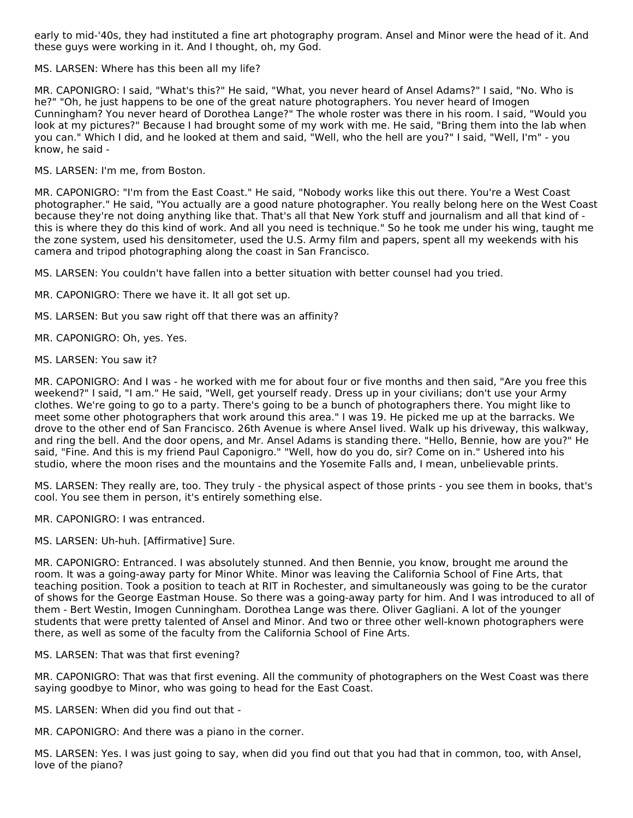early to mid-'40s, they had instituted a fine art photography program. Ansel and Minor were the head of it. And these guys were working in it. And I thought, oh, my God.

MS. LARSEN: Where has this been all my life?

MR. CAPONIGRO: I said, "What's this?" He said, "What, you never heard of Ansel Adams?" I said, "No. Who is he?" "Oh, he just happens to be one of the great nature photographers. You never heard of Imogen Cunningham? You never heard of Dorothea Lange?" The whole roster was there in his room. I said, "Would you look at my pictures?" Because I had brought some of my work with me. He said, "Bring them into the lab when you can." Which I did, and he looked at them and said, "Well, who the hell are you?" I said, "Well, I'm" - you know, he said -

MS. LARSEN: I'm me, from Boston.

MR. CAPONIGRO: "I'm from the East Coast." He said, "Nobody works like this out there. You're a West Coast photographer." He said, "You actually are a good nature photographer. You really belong here on the West Coast because they're not doing anything like that. That's all that New York stuff and journalism and all that kind of this is where they do this kind of work. And all you need is technique." So he took me under his wing, taught me the zone system, used his densitometer, used the U.S. Army film and papers, spent all my weekends with his camera and tripod photographing along the coast in San Francisco.

MS. LARSEN: You couldn't have fallen into a better situation with better counsel had you tried.

- MR. CAPONIGRO: There we have it. It all got set up.
- MS. LARSEN: But you saw right off that there was an affinity?
- MR. CAPONIGRO: Oh, yes. Yes.
- MS. LARSEN: You saw it?

MR. CAPONIGRO: And I was - he worked with me for about four or five months and then said, "Are you free this weekend?" I said, "I am." He said, "Well, get yourself ready. Dress up in your civilians; don't use your Army clothes. We're going to go to a party. There's going to be a bunch of photographers there. You might like to meet some other photographers that work around this area." I was 19. He picked me up at the barracks. We drove to the other end of San Francisco. 26th Avenue is where Ansel lived. Walk up his driveway, this walkway, and ring the bell. And the door opens, and Mr. Ansel Adams is standing there. "Hello, Bennie, how are you?" He said, "Fine. And this is my friend Paul Caponigro." "Well, how do you do, sir? Come on in." Ushered into his studio, where the moon rises and the mountains and the Yosemite Falls and, I mean, unbelievable prints.

MS. LARSEN: They really are, too. They truly - the physical aspect of those prints - you see them in books, that's cool. You see them in person, it's entirely something else.

MR. CAPONIGRO: I was entranced.

MS. LARSEN: Uh-huh. [Affirmative] Sure.

MR. CAPONIGRO: Entranced. I was absolutely stunned. And then Bennie, you know, brought me around the room. It was a going-away party for Minor White. Minor was leaving the California School of Fine Arts, that teaching position. Took a position to teach at RIT in Rochester, and simultaneously was going to be the curator of shows for the George Eastman House. So there was a going-away party for him. And I was introduced to all of them - Bert Westin, Imogen Cunningham. Dorothea Lange was there. Oliver Gagliani. A lot of the younger students that were pretty talented of Ansel and Minor. And two or three other well-known photographers were there, as well as some of the faculty from the California School of Fine Arts.

#### MS. LARSEN: That was that first evening?

MR. CAPONIGRO: That was that first evening. All the community of photographers on the West Coast was there saying goodbye to Minor, who was going to head for the East Coast.

MS. LARSEN: When did you find out that -

MR. CAPONIGRO: And there was a piano in the corner.

MS. LARSEN: Yes. I was just going to say, when did you find out that you had that in common, too, with Ansel, love of the piano?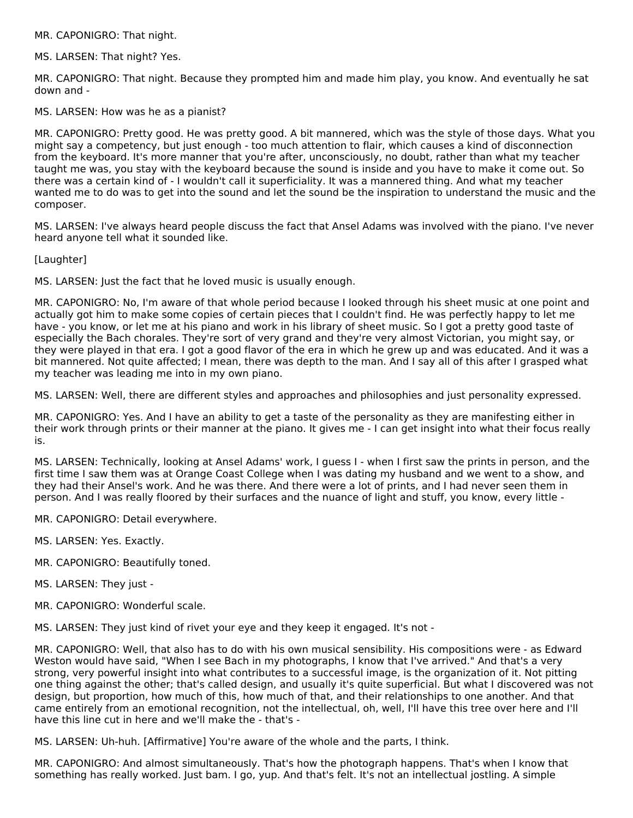MR. CAPONIGRO: That night.

MS. LARSEN: That night? Yes.

MR. CAPONIGRO: That night. Because they prompted him and made him play, you know. And eventually he sat down and -

MS. LARSEN: How was he as a pianist?

MR. CAPONIGRO: Pretty good. He was pretty good. A bit mannered, which was the style of those days. What you might say a competency, but just enough - too much attention to flair, which causes a kind of disconnection from the keyboard. It's more manner that you're after, unconsciously, no doubt, rather than what my teacher taught me was, you stay with the keyboard because the sound is inside and you have to make it come out. So there was a certain kind of - I wouldn't call it superficiality. It was a mannered thing. And what my teacher wanted me to do was to get into the sound and let the sound be the inspiration to understand the music and the composer.

MS. LARSEN: I've always heard people discuss the fact that Ansel Adams was involved with the piano. I've never heard anyone tell what it sounded like.

[Laughter]

MS. LARSEN: Just the fact that he loved music is usually enough.

MR. CAPONIGRO: No, I'm aware of that whole period because I looked through his sheet music at one point and actually got him to make some copies of certain pieces that I couldn't find. He was perfectly happy to let me have - you know, or let me at his piano and work in his library of sheet music. So I got a pretty good taste of especially the Bach chorales. They're sort of very grand and they're very almost Victorian, you might say, or they were played in that era. I got a good flavor of the era in which he grew up and was educated. And it was a bit mannered. Not quite affected; I mean, there was depth to the man. And I say all of this after I grasped what my teacher was leading me into in my own piano.

MS. LARSEN: Well, there are different styles and approaches and philosophies and just personality expressed.

MR. CAPONIGRO: Yes. And I have an ability to get a taste of the personality as they are manifesting either in their work through prints or their manner at the piano. It gives me - I can get insight into what their focus really is.

MS. LARSEN: Technically, looking at Ansel Adams' work, I guess I - when I first saw the prints in person, and the first time I saw them was at Orange Coast College when I was dating my husband and we went to a show, and they had their Ansel's work. And he was there. And there were a lot of prints, and I had never seen them in person. And I was really floored by their surfaces and the nuance of light and stuff, you know, every little -

MR. CAPONIGRO: Detail everywhere.

MS. LARSEN: Yes. Exactly.

MR. CAPONIGRO: Beautifully toned.

MS. LARSEN: They just -

MR. CAPONIGRO: Wonderful scale.

MS. LARSEN: They just kind of rivet your eye and they keep it engaged. It's not -

MR. CAPONIGRO: Well, that also has to do with his own musical sensibility. His compositions were - as Edward Weston would have said, "When I see Bach in my photographs, I know that I've arrived." And that's a very strong, very powerful insight into what contributes to a successful image, is the organization of it. Not pitting one thing against the other; that's called design, and usually it's quite superficial. But what I discovered was not design, but proportion, how much of this, how much of that, and their relationships to one another. And that came entirely from an emotional recognition, not the intellectual, oh, well, I'll have this tree over here and I'll have this line cut in here and we'll make the - that's -

MS. LARSEN: Uh-huh. [Affirmative] You're aware of the whole and the parts, I think.

MR. CAPONIGRO: And almost simultaneously. That's how the photograph happens. That's when I know that something has really worked. Just bam. I go, yup. And that's felt. It's not an intellectual jostling. A simple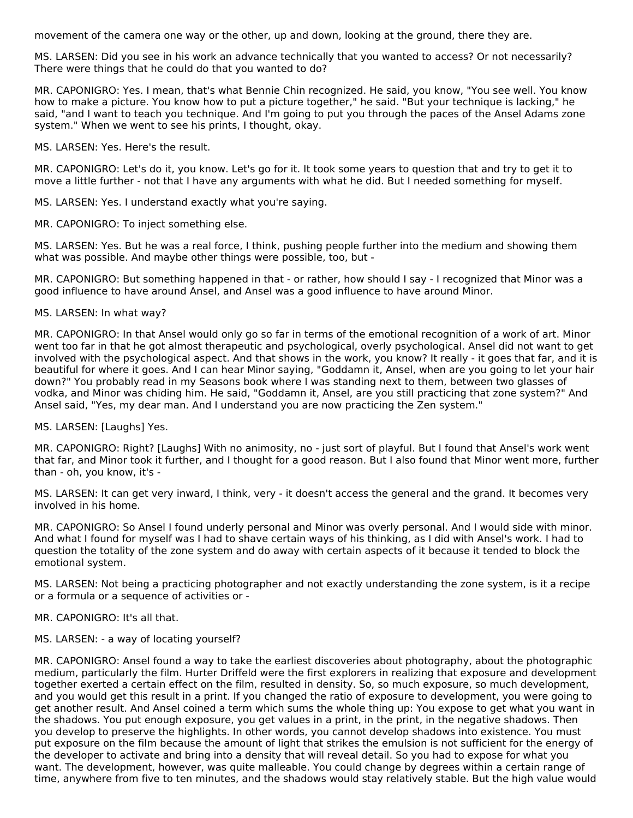movement of the camera one way or the other, up and down, looking at the ground, there they are.

MS. LARSEN: Did you see in his work an advance technically that you wanted to access? Or not necessarily? There were things that he could do that you wanted to do?

MR. CAPONIGRO: Yes. I mean, that's what Bennie Chin recognized. He said, you know, "You see well. You know how to make a picture. You know how to put a picture together," he said. "But your technique is lacking," he said, "and I want to teach you technique. And I'm going to put you through the paces of the Ansel Adams zone system." When we went to see his prints, I thought, okay.

MS. LARSEN: Yes. Here's the result.

MR. CAPONIGRO: Let's do it, you know. Let's go for it. It took some years to question that and try to get it to move a little further - not that I have any arguments with what he did. But I needed something for myself.

MS. LARSEN: Yes. I understand exactly what you're saying.

MR. CAPONIGRO: To inject something else.

MS. LARSEN: Yes. But he was a real force, I think, pushing people further into the medium and showing them what was possible. And maybe other things were possible, too, but -

MR. CAPONIGRO: But something happened in that - or rather, how should I say - I recognized that Minor was a good influence to have around Ansel, and Ansel was a good influence to have around Minor.

#### MS. LARSEN: In what way?

MR. CAPONIGRO: In that Ansel would only go so far in terms of the emotional recognition of a work of art. Minor went too far in that he got almost therapeutic and psychological, overly psychological. Ansel did not want to get involved with the psychological aspect. And that shows in the work, you know? It really - it goes that far, and it is beautiful for where it goes. And I can hear Minor saying, "Goddamn it, Ansel, when are you going to let your hair down?" You probably read in my Seasons book where I was standing next to them, between two glasses of vodka, and Minor was chiding him. He said, "Goddamn it, Ansel, are you still practicing that zone system?" And Ansel said, "Yes, my dear man. And I understand you are now practicing the Zen system."

MS. LARSEN: [Laughs] Yes.

MR. CAPONIGRO: Right? [Laughs] With no animosity, no - just sort of playful. But I found that Ansel's work went that far, and Minor took it further, and I thought for a good reason. But I also found that Minor went more, further than - oh, you know, it's -

MS. LARSEN: It can get very inward, I think, very - it doesn't access the general and the grand. It becomes very involved in his home.

MR. CAPONIGRO: So Ansel I found underly personal and Minor was overly personal. And I would side with minor. And what I found for myself was I had to shave certain ways of his thinking, as I did with Ansel's work. I had to question the totality of the zone system and do away with certain aspects of it because it tended to block the emotional system.

MS. LARSEN: Not being a practicing photographer and not exactly understanding the zone system, is it a recipe or a formula or a sequence of activities or -

MR. CAPONIGRO: It's all that.

MS. LARSEN: - a way of locating yourself?

MR. CAPONIGRO: Ansel found a way to take the earliest discoveries about photography, about the photographic medium, particularly the film. Hurter Driffeld were the first explorers in realizing that exposure and development together exerted a certain effect on the film, resulted in density. So, so much exposure, so much development, and you would get this result in a print. If you changed the ratio of exposure to development, you were going to get another result. And Ansel coined a term which sums the whole thing up: You expose to get what you want in the shadows. You put enough exposure, you get values in a print, in the print, in the negative shadows. Then you develop to preserve the highlights. In other words, you cannot develop shadows into existence. You must put exposure on the film because the amount of light that strikes the emulsion is not sufficient for the energy of the developer to activate and bring into a density that will reveal detail. So you had to expose for what you want. The development, however, was quite malleable. You could change by degrees within a certain range of time, anywhere from five to ten minutes, and the shadows would stay relatively stable. But the high value would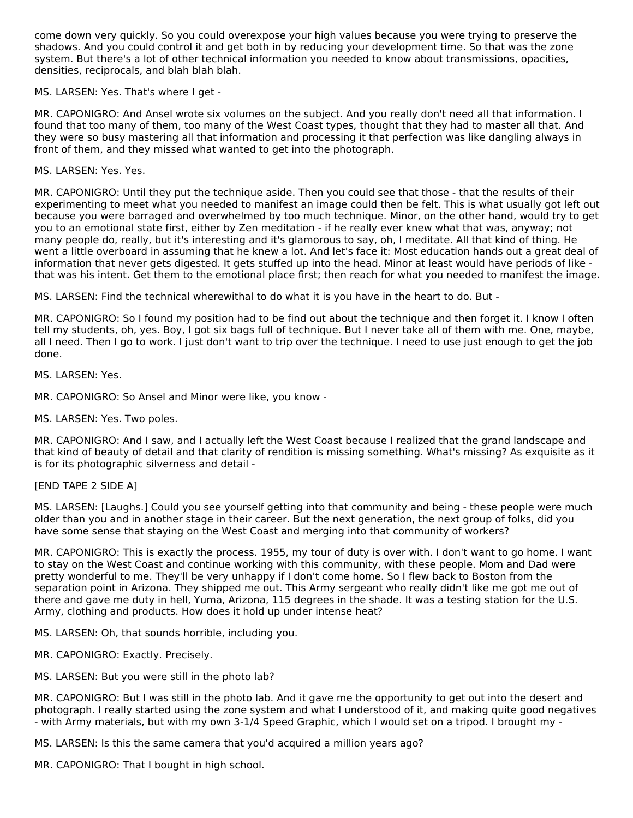come down very quickly. So you could overexpose your high values because you were trying to preserve the shadows. And you could control it and get both in by reducing your development time. So that was the zone system. But there's a lot of other technical information you needed to know about transmissions, opacities, densities, reciprocals, and blah blah blah.

MS. LARSEN: Yes. That's where I get -

MR. CAPONIGRO: And Ansel wrote six volumes on the subject. And you really don't need all that information. I found that too many of them, too many of the West Coast types, thought that they had to master all that. And they were so busy mastering all that information and processing it that perfection was like dangling always in front of them, and they missed what wanted to get into the photograph.

### MS. LARSEN: Yes. Yes.

MR. CAPONIGRO: Until they put the technique aside. Then you could see that those - that the results of their experimenting to meet what you needed to manifest an image could then be felt. This is what usually got left out because you were barraged and overwhelmed by too much technique. Minor, on the other hand, would try to get you to an emotional state first, either by Zen meditation - if he really ever knew what that was, anyway; not many people do, really, but it's interesting and it's glamorous to say, oh, I meditate. All that kind of thing. He went a little overboard in assuming that he knew a lot. And let's face it: Most education hands out a great deal of information that never gets digested. It gets stuffed up into the head. Minor at least would have periods of like that was his intent. Get them to the emotional place first; then reach for what you needed to manifest the image.

MS. LARSEN: Find the technical wherewithal to do what it is you have in the heart to do. But -

MR. CAPONIGRO: So I found my position had to be find out about the technique and then forget it. I know I often tell my students, oh, yes. Boy, I got six bags full of technique. But I never take all of them with me. One, maybe, all I need. Then I go to work. I just don't want to trip over the technique. I need to use just enough to get the job done.

MS. LARSEN: Yes.

MR. CAPONIGRO: So Ansel and Minor were like, you know -

MS. LARSEN: Yes. Two poles.

MR. CAPONIGRO: And I saw, and I actually left the West Coast because I realized that the grand landscape and that kind of beauty of detail and that clarity of rendition is missing something. What's missing? As exquisite as it is for its photographic silverness and detail -

#### [END TAPE 2 SIDE A]

MS. LARSEN: [Laughs.] Could you see yourself getting into that community and being - these people were much older than you and in another stage in their career. But the next generation, the next group of folks, did you have some sense that staying on the West Coast and merging into that community of workers?

MR. CAPONIGRO: This is exactly the process. 1955, my tour of duty is over with. I don't want to go home. I want to stay on the West Coast and continue working with this community, with these people. Mom and Dad were pretty wonderful to me. They'll be very unhappy if I don't come home. So I flew back to Boston from the separation point in Arizona. They shipped me out. This Army sergeant who really didn't like me got me out of there and gave me duty in hell, Yuma, Arizona, 115 degrees in the shade. It was a testing station for the U.S. Army, clothing and products. How does it hold up under intense heat?

MS. LARSEN: Oh, that sounds horrible, including you.

MR. CAPONIGRO: Exactly. Precisely.

MS. LARSEN: But you were still in the photo lab?

MR. CAPONIGRO: But I was still in the photo lab. And it gave me the opportunity to get out into the desert and photograph. I really started using the zone system and what I understood of it, and making quite good negatives - with Army materials, but with my own 3-1/4 Speed Graphic, which I would set on a tripod. I brought my -

MS. LARSEN: Is this the same camera that you'd acquired a million years ago?

MR. CAPONIGRO: That I bought in high school.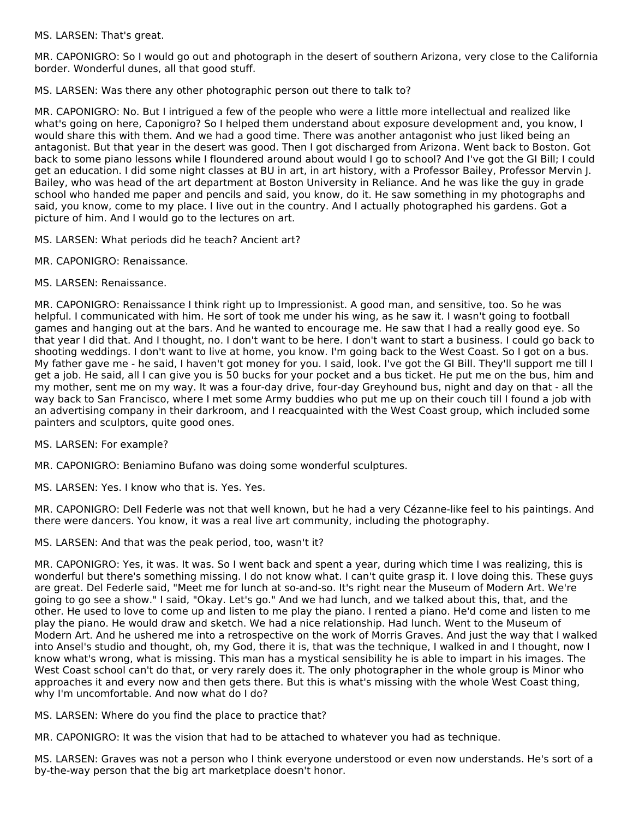MS. LARSEN: That's great.

MR. CAPONIGRO: So I would go out and photograph in the desert of southern Arizona, very close to the California border. Wonderful dunes, all that good stuff.

MS. LARSEN: Was there any other photographic person out there to talk to?

MR. CAPONIGRO: No. But I intrigued a few of the people who were a little more intellectual and realized like what's going on here, Caponigro? So I helped them understand about exposure development and, you know, I would share this with them. And we had a good time. There was another antagonist who just liked being an antagonist. But that year in the desert was good. Then I got discharged from Arizona. Went back to Boston. Got back to some piano lessons while I floundered around about would I go to school? And I've got the GI Bill; I could get an education. I did some night classes at BU in art, in art history, with a Professor Bailey, Professor Mervin J. Bailey, who was head of the art department at Boston University in Reliance. And he was like the guy in grade school who handed me paper and pencils and said, you know, do it. He saw something in my photographs and said, you know, come to my place. I live out in the country. And I actually photographed his gardens. Got a picture of him. And I would go to the lectures on art.

MS. LARSEN: What periods did he teach? Ancient art?

- MR. CAPONIGRO: Renaissance.
- MS. LARSEN: Renaissance.

MR. CAPONIGRO: Renaissance I think right up to Impressionist. A good man, and sensitive, too. So he was helpful. I communicated with him. He sort of took me under his wing, as he saw it. I wasn't going to football games and hanging out at the bars. And he wanted to encourage me. He saw that I had a really good eye. So that year I did that. And I thought, no. I don't want to be here. I don't want to start a business. I could go back to shooting weddings. I don't want to live at home, you know. I'm going back to the West Coast. So I got on a bus. My father gave me - he said, I haven't got money for you. I said, look. I've got the GI Bill. They'll support me till I get a job. He said, all I can give you is 50 bucks for your pocket and a bus ticket. He put me on the bus, him and my mother, sent me on my way. It was a four-day drive, four-day Greyhound bus, night and day on that - all the way back to San Francisco, where I met some Army buddies who put me up on their couch till I found a job with an advertising company in their darkroom, and I reacquainted with the West Coast group, which included some painters and sculptors, quite good ones.

MS. LARSEN: For example?

MR. CAPONIGRO: Beniamino Bufano was doing some wonderful sculptures.

MS. LARSEN: Yes. I know who that is. Yes. Yes.

MR. CAPONIGRO: Dell Federle was not that well known, but he had a very Cézanne-like feel to his paintings. And there were dancers. You know, it was a real live art community, including the photography.

MS. LARSEN: And that was the peak period, too, wasn't it?

MR. CAPONIGRO: Yes, it was. It was. So I went back and spent a year, during which time I was realizing, this is wonderful but there's something missing. I do not know what. I can't quite grasp it. I love doing this. These guys are great. Del Federle said, "Meet me for lunch at so-and-so. It's right near the Museum of Modern Art. We're going to go see a show." I said, "Okay. Let's go." And we had lunch, and we talked about this, that, and the other. He used to love to come up and listen to me play the piano. I rented a piano. He'd come and listen to me play the piano. He would draw and sketch. We had a nice relationship. Had lunch. Went to the Museum of Modern Art. And he ushered me into a retrospective on the work of Morris Graves. And just the way that I walked into Ansel's studio and thought, oh, my God, there it is, that was the technique, I walked in and I thought, now I know what's wrong, what is missing. This man has a mystical sensibility he is able to impart in his images. The West Coast school can't do that, or very rarely does it. The only photographer in the whole group is Minor who approaches it and every now and then gets there. But this is what's missing with the whole West Coast thing, why I'm uncomfortable. And now what do I do?

MS. LARSEN: Where do you find the place to practice that?

MR. CAPONIGRO: It was the vision that had to be attached to whatever you had as technique.

MS. LARSEN: Graves was not a person who I think everyone understood or even now understands. He's sort of a by-the-way person that the big art marketplace doesn't honor.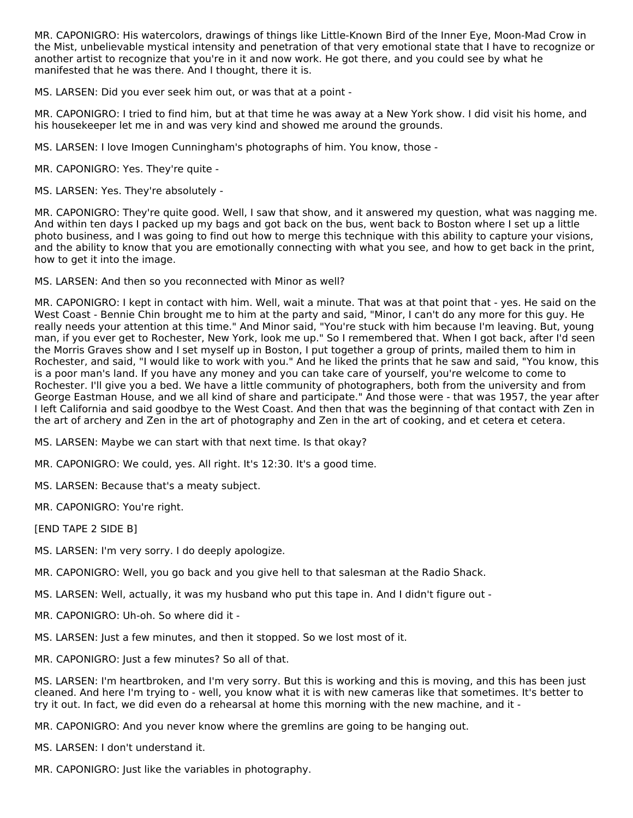MR. CAPONIGRO: His watercolors, drawings of things like Little-Known Bird of the Inner Eye, Moon-Mad Crow in the Mist, unbelievable mystical intensity and penetration of that very emotional state that I have to recognize or another artist to recognize that you're in it and now work. He got there, and you could see by what he manifested that he was there. And I thought, there it is.

MS. LARSEN: Did you ever seek him out, or was that at a point -

MR. CAPONIGRO: I tried to find him, but at that time he was away at a New York show. I did visit his home, and his housekeeper let me in and was very kind and showed me around the grounds.

MS. LARSEN: I love Imogen Cunningham's photographs of him. You know, those -

MR. CAPONIGRO: Yes. They're quite -

MS. LARSEN: Yes. They're absolutely -

MR. CAPONIGRO: They're quite good. Well, I saw that show, and it answered my question, what was nagging me. And within ten days I packed up my bags and got back on the bus, went back to Boston where I set up a little photo business, and I was going to find out how to merge this technique with this ability to capture your visions, and the ability to know that you are emotionally connecting with what you see, and how to get back in the print, how to get it into the image.

MS. LARSEN: And then so you reconnected with Minor as well?

MR. CAPONIGRO: I kept in contact with him. Well, wait a minute. That was at that point that - yes. He said on the West Coast - Bennie Chin brought me to him at the party and said, "Minor, I can't do any more for this guy. He really needs your attention at this time." And Minor said, "You're stuck with him because I'm leaving. But, young man, if you ever get to Rochester, New York, look me up." So I remembered that. When I got back, after I'd seen the Morris Graves show and I set myself up in Boston, I put together a group of prints, mailed them to him in Rochester, and said, "I would like to work with you." And he liked the prints that he saw and said, "You know, this is a poor man's land. If you have any money and you can take care of yourself, you're welcome to come to Rochester. I'll give you a bed. We have a little community of photographers, both from the university and from George Eastman House, and we all kind of share and participate." And those were - that was 1957, the year after I left California and said goodbye to the West Coast. And then that was the beginning of that contact with Zen in the art of archery and Zen in the art of photography and Zen in the art of cooking, and et cetera et cetera.

MS. LARSEN: Maybe we can start with that next time. Is that okay?

MR. CAPONIGRO: We could, yes. All right. It's 12:30. It's a good time.

MS. LARSEN: Because that's a meaty subject.

MR. CAPONIGRO: You're right.

[END TAPE 2 SIDE B]

MS. LARSEN: I'm very sorry. I do deeply apologize.

MR. CAPONIGRO: Well, you go back and you give hell to that salesman at the Radio Shack.

MS. LARSEN: Well, actually, it was my husband who put this tape in. And I didn't figure out -

MR. CAPONIGRO: Uh-oh. So where did it -

MS. LARSEN: Just a few minutes, and then it stopped. So we lost most of it.

MR. CAPONIGRO: Just a few minutes? So all of that.

MS. LARSEN: I'm heartbroken, and I'm very sorry. But this is working and this is moving, and this has been just cleaned. And here I'm trying to - well, you know what it is with new cameras like that sometimes. It's better to try it out. In fact, we did even do a rehearsal at home this morning with the new machine, and it -

MR. CAPONIGRO: And you never know where the gremlins are going to be hanging out.

MS. LARSEN: I don't understand it.

MR. CAPONIGRO: Just like the variables in photography.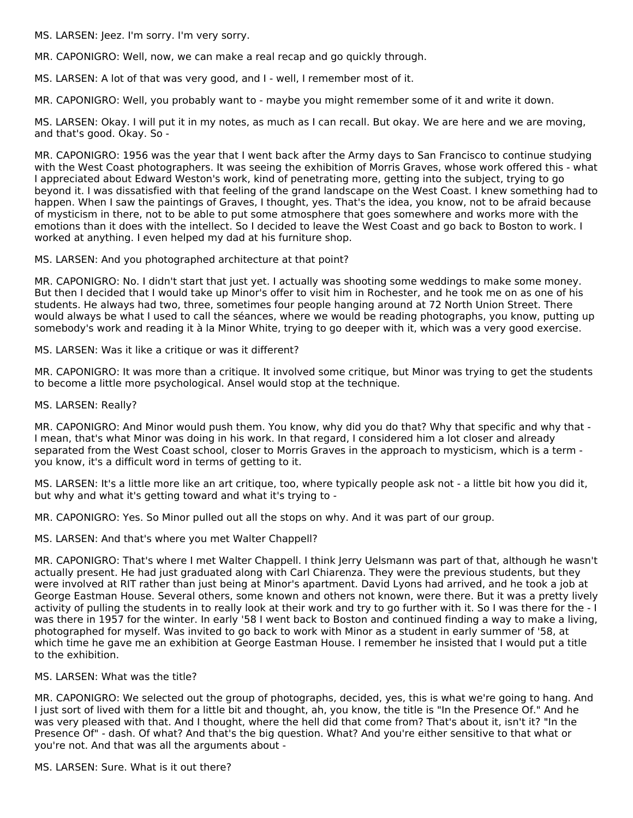MS. LARSEN: Jeez. I'm sorry. I'm very sorry.

MR. CAPONIGRO: Well, now, we can make a real recap and go quickly through.

MS. LARSEN: A lot of that was very good, and I - well, I remember most of it.

MR. CAPONIGRO: Well, you probably want to - maybe you might remember some of it and write it down.

MS. LARSEN: Okay. I will put it in my notes, as much as I can recall. But okay. We are here and we are moving, and that's good. Okay. So -

MR. CAPONIGRO: 1956 was the year that I went back after the Army days to San Francisco to continue studying with the West Coast photographers. It was seeing the exhibition of Morris Graves, whose work offered this - what I appreciated about Edward Weston's work, kind of penetrating more, getting into the subject, trying to go beyond it. I was dissatisfied with that feeling of the grand landscape on the West Coast. I knew something had to happen. When I saw the paintings of Graves, I thought, yes. That's the idea, you know, not to be afraid because of mysticism in there, not to be able to put some atmosphere that goes somewhere and works more with the emotions than it does with the intellect. So I decided to leave the West Coast and go back to Boston to work. I worked at anything. I even helped my dad at his furniture shop.

MS. LARSEN: And you photographed architecture at that point?

MR. CAPONIGRO: No. I didn't start that just yet. I actually was shooting some weddings to make some money. But then I decided that I would take up Minor's offer to visit him in Rochester, and he took me on as one of his students. He always had two, three, sometimes four people hanging around at 72 North Union Street. There would always be what I used to call the séances, where we would be reading photographs, you know, putting up somebody's work and reading it à la Minor White, trying to go deeper with it, which was a very good exercise.

#### MS. LARSEN: Was it like a critique or was it different?

MR. CAPONIGRO: It was more than a critique. It involved some critique, but Minor was trying to get the students to become a little more psychological. Ansel would stop at the technique.

#### MS. LARSEN: Really?

MR. CAPONIGRO: And Minor would push them. You know, why did you do that? Why that specific and why that - I mean, that's what Minor was doing in his work. In that regard, I considered him a lot closer and already separated from the West Coast school, closer to Morris Graves in the approach to mysticism, which is a term you know, it's a difficult word in terms of getting to it.

MS. LARSEN: It's a little more like an art critique, too, where typically people ask not - a little bit how you did it, but why and what it's getting toward and what it's trying to -

MR. CAPONIGRO: Yes. So Minor pulled out all the stops on why. And it was part of our group.

MS. LARSEN: And that's where you met Walter Chappell?

MR. CAPONIGRO: That's where I met Walter Chappell. I think Jerry Uelsmann was part of that, although he wasn't actually present. He had just graduated along with Carl Chiarenza. They were the previous students, but they were involved at RIT rather than just being at Minor's apartment. David Lyons had arrived, and he took a job at George Eastman House. Several others, some known and others not known, were there. But it was a pretty lively activity of pulling the students in to really look at their work and try to go further with it. So I was there for the - I was there in 1957 for the winter. In early '58 I went back to Boston and continued finding a way to make a living, photographed for myself. Was invited to go back to work with Minor as a student in early summer of '58, at which time he gave me an exhibition at George Eastman House. I remember he insisted that I would put a title to the exhibition.

#### MS. LARSEN: What was the title?

MR. CAPONIGRO: We selected out the group of photographs, decided, yes, this is what we're going to hang. And I just sort of lived with them for a little bit and thought, ah, you know, the title is "In the Presence Of." And he was very pleased with that. And I thought, where the hell did that come from? That's about it, isn't it? "In the Presence Of" - dash. Of what? And that's the big question. What? And you're either sensitive to that what or you're not. And that was all the arguments about -

MS. LARSEN: Sure. What is it out there?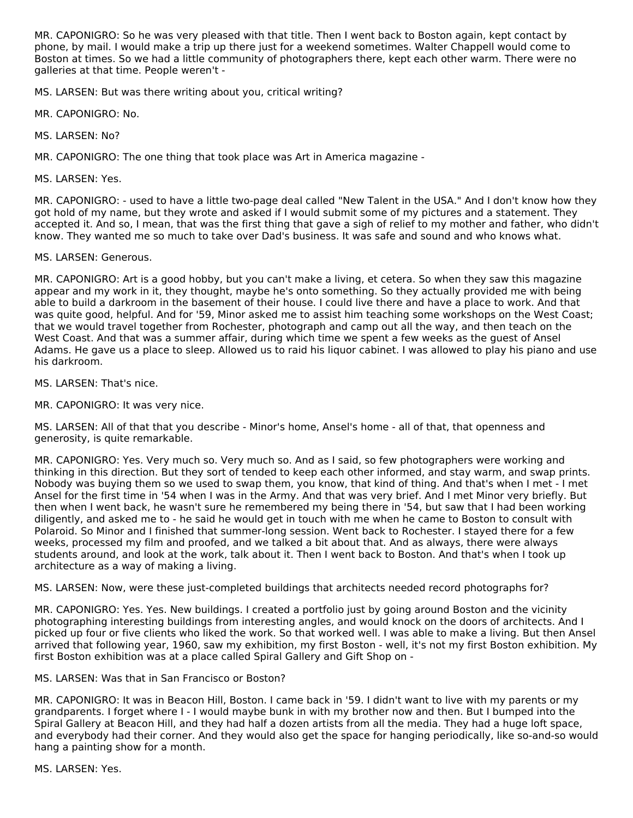MR. CAPONIGRO: So he was very pleased with that title. Then I went back to Boston again, kept contact by phone, by mail. I would make a trip up there just for a weekend sometimes. Walter Chappell would come to Boston at times. So we had a little community of photographers there, kept each other warm. There were no galleries at that time. People weren't -

MS. LARSEN: But was there writing about you, critical writing?

MR. CAPONIGRO: No.

MS. LARSEN: No?

MR. CAPONIGRO: The one thing that took place was Art in America magazine -

MS. LARSEN: Yes.

MR. CAPONIGRO: - used to have a little two-page deal called "New Talent in the USA." And I don't know how they got hold of my name, but they wrote and asked if I would submit some of my pictures and a statement. They accepted it. And so, I mean, that was the first thing that gave a sigh of relief to my mother and father, who didn't know. They wanted me so much to take over Dad's business. It was safe and sound and who knows what.

MS. LARSEN: Generous.

MR. CAPONIGRO: Art is a good hobby, but you can't make a living, et cetera. So when they saw this magazine appear and my work in it, they thought, maybe he's onto something. So they actually provided me with being able to build a darkroom in the basement of their house. I could live there and have a place to work. And that was quite good, helpful. And for '59, Minor asked me to assist him teaching some workshops on the West Coast; that we would travel together from Rochester, photograph and camp out all the way, and then teach on the West Coast. And that was a summer affair, during which time we spent a few weeks as the guest of Ansel Adams. He gave us a place to sleep. Allowed us to raid his liquor cabinet. I was allowed to play his piano and use his darkroom.

MS. LARSEN: That's nice.

MR. CAPONIGRO: It was very nice.

MS. LARSEN: All of that that you describe - Minor's home, Ansel's home - all of that, that openness and generosity, is quite remarkable.

MR. CAPONIGRO: Yes. Very much so. Very much so. And as I said, so few photographers were working and thinking in this direction. But they sort of tended to keep each other informed, and stay warm, and swap prints. Nobody was buying them so we used to swap them, you know, that kind of thing. And that's when I met - I met Ansel for the first time in '54 when I was in the Army. And that was very brief. And I met Minor very briefly. But then when I went back, he wasn't sure he remembered my being there in '54, but saw that I had been working diligently, and asked me to - he said he would get in touch with me when he came to Boston to consult with Polaroid. So Minor and I finished that summer-long session. Went back to Rochester. I stayed there for a few weeks, processed my film and proofed, and we talked a bit about that. And as always, there were always students around, and look at the work, talk about it. Then I went back to Boston. And that's when I took up architecture as a way of making a living.

MS. LARSEN: Now, were these just-completed buildings that architects needed record photographs for?

MR. CAPONIGRO: Yes. Yes. New buildings. I created a portfolio just by going around Boston and the vicinity photographing interesting buildings from interesting angles, and would knock on the doors of architects. And I picked up four or five clients who liked the work. So that worked well. I was able to make a living. But then Ansel arrived that following year, 1960, saw my exhibition, my first Boston - well, it's not my first Boston exhibition. My first Boston exhibition was at a place called Spiral Gallery and Gift Shop on -

MS. LARSEN: Was that in San Francisco or Boston?

MR. CAPONIGRO: It was in Beacon Hill, Boston. I came back in '59. I didn't want to live with my parents or my grandparents. I forget where I - I would maybe bunk in with my brother now and then. But I bumped into the Spiral Gallery at Beacon Hill, and they had half a dozen artists from all the media. They had a huge loft space, and everybody had their corner. And they would also get the space for hanging periodically, like so-and-so would hang a painting show for a month.

MS. LARSEN: Yes.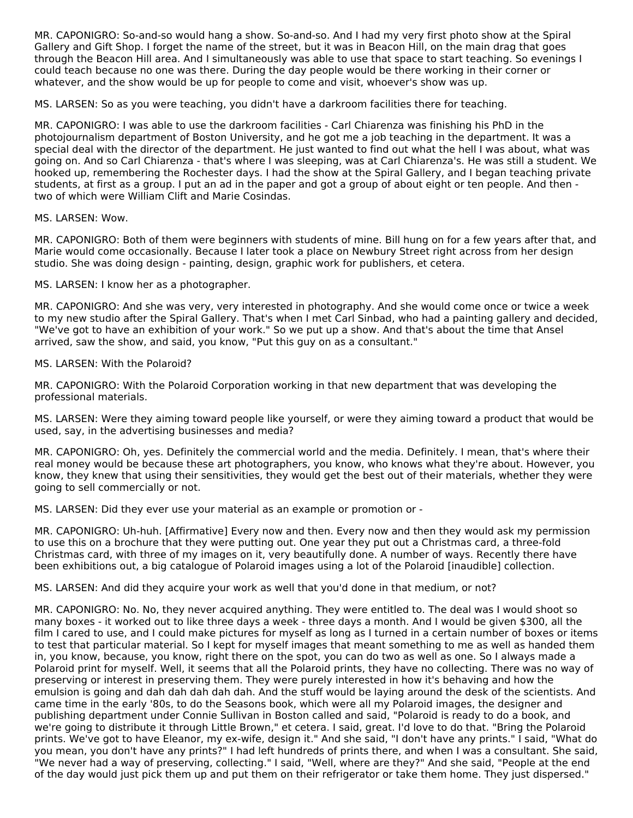MR. CAPONIGRO: So-and-so would hang a show. So-and-so. And I had my very first photo show at the Spiral Gallery and Gift Shop. I forget the name of the street, but it was in Beacon Hill, on the main drag that goes through the Beacon Hill area. And I simultaneously was able to use that space to start teaching. So evenings I could teach because no one was there. During the day people would be there working in their corner or whatever, and the show would be up for people to come and visit, whoever's show was up.

MS. LARSEN: So as you were teaching, you didn't have a darkroom facilities there for teaching.

MR. CAPONIGRO: I was able to use the darkroom facilities - Carl Chiarenza was finishing his PhD in the photojournalism department of Boston University, and he got me a job teaching in the department. It was a special deal with the director of the department. He just wanted to find out what the hell I was about, what was going on. And so Carl Chiarenza - that's where I was sleeping, was at Carl Chiarenza's. He was still a student. We hooked up, remembering the Rochester days. I had the show at the Spiral Gallery, and I began teaching private students, at first as a group. I put an ad in the paper and got a group of about eight or ten people. And then two of which were William Clift and Marie Cosindas.

#### MS. LARSEN: Wow.

MR. CAPONIGRO: Both of them were beginners with students of mine. Bill hung on for a few years after that, and Marie would come occasionally. Because I later took a place on Newbury Street right across from her design studio. She was doing design - painting, design, graphic work for publishers, et cetera.

MS. LARSEN: I know her as a photographer.

MR. CAPONIGRO: And she was very, very interested in photography. And she would come once or twice a week to my new studio after the Spiral Gallery. That's when I met Carl Sinbad, who had a painting gallery and decided, "We've got to have an exhibition of your work." So we put up a show. And that's about the time that Ansel arrived, saw the show, and said, you know, "Put this guy on as a consultant."

### MS. LARSEN: With the Polaroid?

MR. CAPONIGRO: With the Polaroid Corporation working in that new department that was developing the professional materials.

MS. LARSEN: Were they aiming toward people like yourself, or were they aiming toward a product that would be used, say, in the advertising businesses and media?

MR. CAPONIGRO: Oh, yes. Definitely the commercial world and the media. Definitely. I mean, that's where their real money would be because these art photographers, you know, who knows what they're about. However, you know, they knew that using their sensitivities, they would get the best out of their materials, whether they were going to sell commercially or not.

MS. LARSEN: Did they ever use your material as an example or promotion or -

MR. CAPONIGRO: Uh-huh. [Affirmative] Every now and then. Every now and then they would ask my permission to use this on a brochure that they were putting out. One year they put out a Christmas card, a three-fold Christmas card, with three of my images on it, very beautifully done. A number of ways. Recently there have been exhibitions out, a big catalogue of Polaroid images using a lot of the Polaroid [inaudible] collection.

MS. LARSEN: And did they acquire your work as well that you'd done in that medium, or not?

MR. CAPONIGRO: No. No, they never acquired anything. They were entitled to. The deal was I would shoot so many boxes - it worked out to like three days a week - three days a month. And I would be given \$300, all the film I cared to use, and I could make pictures for myself as long as I turned in a certain number of boxes or items to test that particular material. So I kept for myself images that meant something to me as well as handed them in, you know, because, you know, right there on the spot, you can do two as well as one. So I always made a Polaroid print for myself. Well, it seems that all the Polaroid prints, they have no collecting. There was no way of preserving or interest in preserving them. They were purely interested in how it's behaving and how the emulsion is going and dah dah dah dah dah. And the stuff would be laying around the desk of the scientists. And came time in the early '80s, to do the Seasons book, which were all my Polaroid images, the designer and publishing department under Connie Sullivan in Boston called and said, "Polaroid is ready to do a book, and we're going to distribute it through Little Brown," et cetera. I said, great. I'd love to do that. "Bring the Polaroid prints. We've got to have Eleanor, my ex-wife, design it." And she said, "I don't have any prints." I said, "What do you mean, you don't have any prints?" I had left hundreds of prints there, and when I was a consultant. She said, "We never had a way of preserving, collecting." I said, "Well, where are they?" And she said, "People at the end of the day would just pick them up and put them on their refrigerator or take them home. They just dispersed."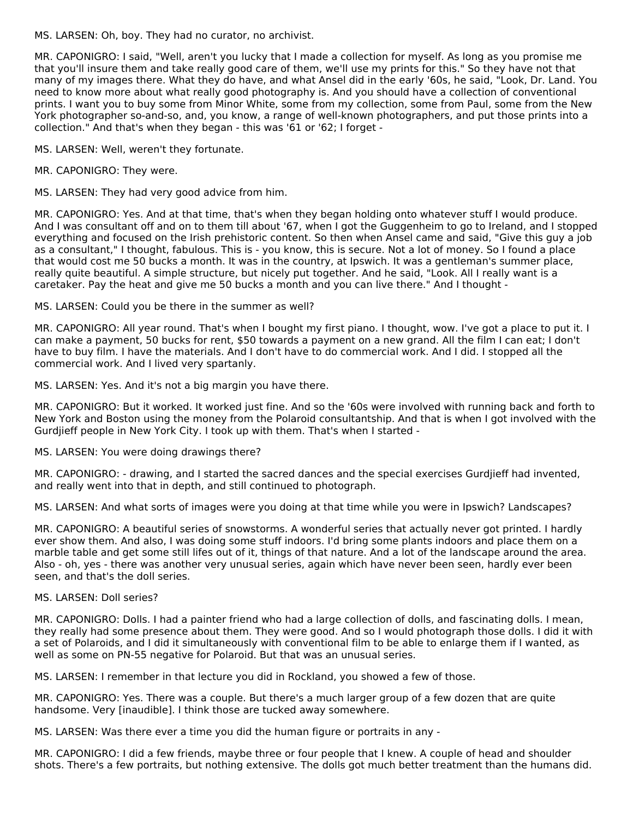MS. LARSEN: Oh, boy. They had no curator, no archivist.

MR. CAPONIGRO: I said, "Well, aren't you lucky that I made a collection for myself. As long as you promise me that you'll insure them and take really good care of them, we'll use my prints for this." So they have not that many of my images there. What they do have, and what Ansel did in the early '60s, he said, "Look, Dr. Land. You need to know more about what really good photography is. And you should have a collection of conventional prints. I want you to buy some from Minor White, some from my collection, some from Paul, some from the New York photographer so-and-so, and, you know, a range of well-known photographers, and put those prints into a collection." And that's when they began - this was '61 or '62; I forget -

MS. LARSEN: Well, weren't they fortunate.

MR. CAPONIGRO: They were.

MS. LARSEN: They had very good advice from him.

MR. CAPONIGRO: Yes. And at that time, that's when they began holding onto whatever stuff I would produce. And I was consultant off and on to them till about '67, when I got the Guggenheim to go to Ireland, and I stopped everything and focused on the Irish prehistoric content. So then when Ansel came and said, "Give this guy a job as a consultant," I thought, fabulous. This is - you know, this is secure. Not a lot of money. So I found a place that would cost me 50 bucks a month. It was in the country, at Ipswich. It was a gentleman's summer place, really quite beautiful. A simple structure, but nicely put together. And he said, "Look. All I really want is a caretaker. Pay the heat and give me 50 bucks a month and you can live there." And I thought -

MS. LARSEN: Could you be there in the summer as well?

MR. CAPONIGRO: All year round. That's when I bought my first piano. I thought, wow. I've got a place to put it. I can make a payment, 50 bucks for rent, \$50 towards a payment on a new grand. All the film I can eat; I don't have to buy film. I have the materials. And I don't have to do commercial work. And I did. I stopped all the commercial work. And I lived very spartanly.

MS. LARSEN: Yes. And it's not a big margin you have there.

MR. CAPONIGRO: But it worked. It worked just fine. And so the '60s were involved with running back and forth to New York and Boston using the money from the Polaroid consultantship. And that is when I got involved with the Gurdjieff people in New York City. I took up with them. That's when I started -

MS. LARSEN: You were doing drawings there?

MR. CAPONIGRO: - drawing, and I started the sacred dances and the special exercises Gurdjieff had invented, and really went into that in depth, and still continued to photograph.

MS. LARSEN: And what sorts of images were you doing at that time while you were in Ipswich? Landscapes?

MR. CAPONIGRO: A beautiful series of snowstorms. A wonderful series that actually never got printed. I hardly ever show them. And also, I was doing some stuff indoors. I'd bring some plants indoors and place them on a marble table and get some still lifes out of it, things of that nature. And a lot of the landscape around the area. Also - oh, yes - there was another very unusual series, again which have never been seen, hardly ever been seen, and that's the doll series.

#### MS. LARSEN: Doll series?

MR. CAPONIGRO: Dolls. I had a painter friend who had a large collection of dolls, and fascinating dolls. I mean, they really had some presence about them. They were good. And so I would photograph those dolls. I did it with a set of Polaroids, and I did it simultaneously with conventional film to be able to enlarge them if I wanted, as well as some on PN-55 negative for Polaroid. But that was an unusual series.

MS. LARSEN: I remember in that lecture you did in Rockland, you showed a few of those.

MR. CAPONIGRO: Yes. There was a couple. But there's a much larger group of a few dozen that are quite handsome. Very [inaudible]. I think those are tucked away somewhere.

MS. LARSEN: Was there ever a time you did the human figure or portraits in any -

MR. CAPONIGRO: I did a few friends, maybe three or four people that I knew. A couple of head and shoulder shots. There's a few portraits, but nothing extensive. The dolls got much better treatment than the humans did.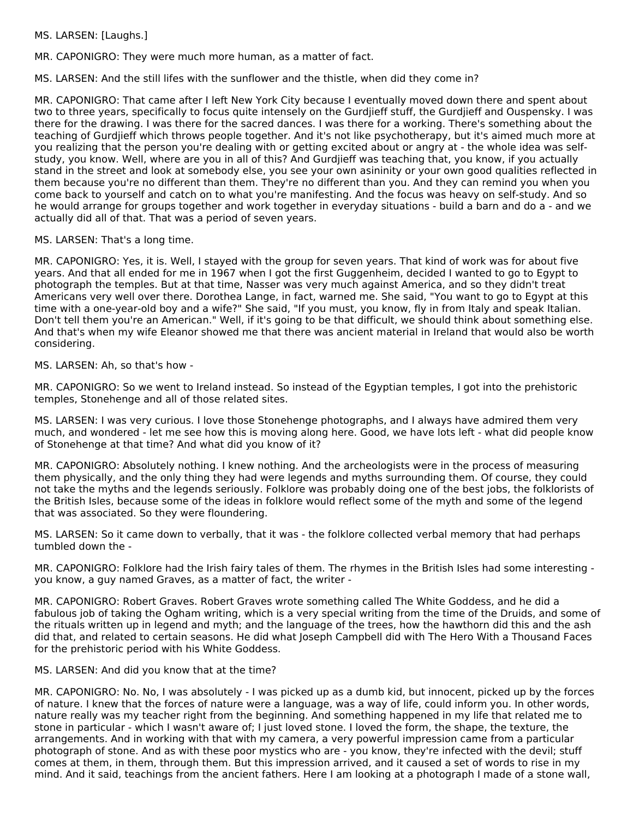MS. LARSEN: [Laughs.]

MR. CAPONIGRO: They were much more human, as a matter of fact.

MS. LARSEN: And the still lifes with the sunflower and the thistle, when did they come in?

MR. CAPONIGRO: That came after I left New York City because I eventually moved down there and spent about two to three years, specifically to focus quite intensely on the Gurdjieff stuff, the Gurdjieff and Ouspensky. I was there for the drawing. I was there for the sacred dances. I was there for a working. There's something about the teaching of Gurdjieff which throws people together. And it's not like psychotherapy, but it's aimed much more at you realizing that the person you're dealing with or getting excited about or angry at - the whole idea was selfstudy, you know. Well, where are you in all of this? And Gurdjieff was teaching that, you know, if you actually stand in the street and look at somebody else, you see your own asininity or your own good qualities reflected in them because you're no different than them. They're no different than you. And they can remind you when you come back to yourself and catch on to what you're manifesting. And the focus was heavy on self-study. And so he would arrange for groups together and work together in everyday situations - build a barn and do a - and we actually did all of that. That was a period of seven years.

MS. LARSEN: That's a long time.

MR. CAPONIGRO: Yes, it is. Well, I stayed with the group for seven years. That kind of work was for about five years. And that all ended for me in 1967 when I got the first Guggenheim, decided I wanted to go to Egypt to photograph the temples. But at that time, Nasser was very much against America, and so they didn't treat Americans very well over there. Dorothea Lange, in fact, warned me. She said, "You want to go to Egypt at this time with a one-year-old boy and a wife?" She said, "If you must, you know, fly in from Italy and speak Italian. Don't tell them you're an American." Well, if it's going to be that difficult, we should think about something else. And that's when my wife Eleanor showed me that there was ancient material in Ireland that would also be worth considering.

MS. LARSEN: Ah, so that's how -

MR. CAPONIGRO: So we went to Ireland instead. So instead of the Egyptian temples, I got into the prehistoric temples, Stonehenge and all of those related sites.

MS. LARSEN: I was very curious. I love those Stonehenge photographs, and I always have admired them very much, and wondered - let me see how this is moving along here. Good, we have lots left - what did people know of Stonehenge at that time? And what did you know of it?

MR. CAPONIGRO: Absolutely nothing. I knew nothing. And the archeologists were in the process of measuring them physically, and the only thing they had were legends and myths surrounding them. Of course, they could not take the myths and the legends seriously. Folklore was probably doing one of the best jobs, the folklorists of the British Isles, because some of the ideas in folklore would reflect some of the myth and some of the legend that was associated. So they were floundering.

MS. LARSEN: So it came down to verbally, that it was - the folklore collected verbal memory that had perhaps tumbled down the -

MR. CAPONIGRO: Folklore had the Irish fairy tales of them. The rhymes in the British Isles had some interesting you know, a guy named Graves, as a matter of fact, the writer -

MR. CAPONIGRO: Robert Graves. Robert Graves wrote something called The White Goddess, and he did a fabulous job of taking the Ogham writing, which is a very special writing from the time of the Druids, and some of the rituals written up in legend and myth; and the language of the trees, how the hawthorn did this and the ash did that, and related to certain seasons. He did what Joseph Campbell did with The Hero With a Thousand Faces for the prehistoric period with his White Goddess.

# MS. LARSEN: And did you know that at the time?

MR. CAPONIGRO: No. No, I was absolutely - I was picked up as a dumb kid, but innocent, picked up by the forces of nature. I knew that the forces of nature were a language, was a way of life, could inform you. In other words, nature really was my teacher right from the beginning. And something happened in my life that related me to stone in particular - which I wasn't aware of; I just loved stone. I loved the form, the shape, the texture, the arrangements. And in working with that with my camera, a very powerful impression came from a particular photograph of stone. And as with these poor mystics who are - you know, they're infected with the devil; stuff comes at them, in them, through them. But this impression arrived, and it caused a set of words to rise in my mind. And it said, teachings from the ancient fathers. Here I am looking at a photograph I made of a stone wall,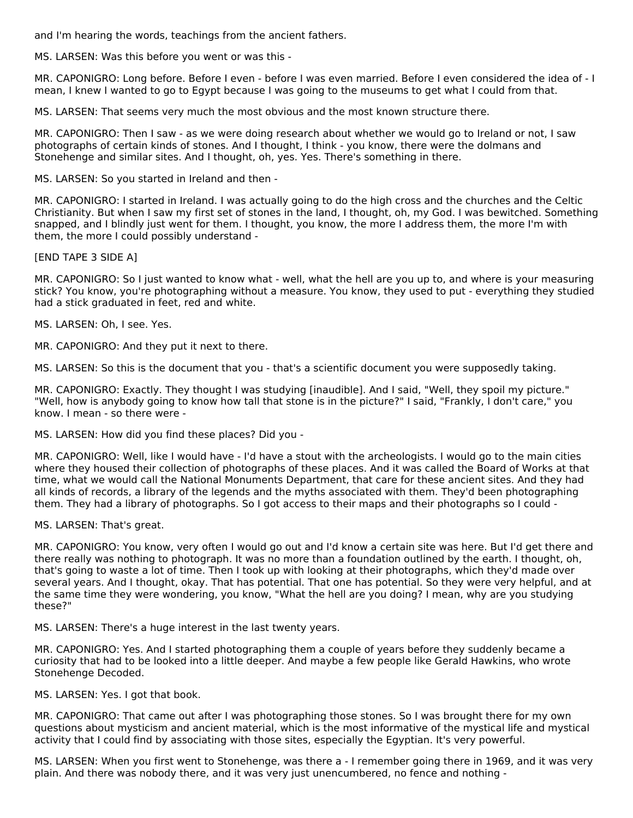and I'm hearing the words, teachings from the ancient fathers.

MS. LARSEN: Was this before you went or was this -

MR. CAPONIGRO: Long before. Before I even - before I was even married. Before I even considered the idea of - I mean, I knew I wanted to go to Egypt because I was going to the museums to get what I could from that.

MS. LARSEN: That seems very much the most obvious and the most known structure there.

MR. CAPONIGRO: Then I saw - as we were doing research about whether we would go to Ireland or not, I saw photographs of certain kinds of stones. And I thought, I think - you know, there were the dolmans and Stonehenge and similar sites. And I thought, oh, yes. Yes. There's something in there.

MS. LARSEN: So you started in Ireland and then -

MR. CAPONIGRO: I started in Ireland. I was actually going to do the high cross and the churches and the Celtic Christianity. But when I saw my first set of stones in the land, I thought, oh, my God. I was bewitched. Something snapped, and I blindly just went for them. I thought, you know, the more I address them, the more I'm with them, the more I could possibly understand -

[END TAPE 3 SIDE A]

MR. CAPONIGRO: So I just wanted to know what - well, what the hell are you up to, and where is your measuring stick? You know, you're photographing without a measure. You know, they used to put - everything they studied had a stick graduated in feet, red and white.

MS. LARSEN: Oh, I see. Yes.

MR. CAPONIGRO: And they put it next to there.

MS. LARSEN: So this is the document that you - that's a scientific document you were supposedly taking.

MR. CAPONIGRO: Exactly. They thought I was studying [inaudible]. And I said, "Well, they spoil my picture." "Well, how is anybody going to know how tall that stone is in the picture?" I said, "Frankly, I don't care," you know. I mean - so there were -

MS. LARSEN: How did you find these places? Did you -

MR. CAPONIGRO: Well, like I would have - I'd have a stout with the archeologists. I would go to the main cities where they housed their collection of photographs of these places. And it was called the Board of Works at that time, what we would call the National Monuments Department, that care for these ancient sites. And they had all kinds of records, a library of the legends and the myths associated with them. They'd been photographing them. They had a library of photographs. So I got access to their maps and their photographs so I could -

MS. LARSEN: That's great.

MR. CAPONIGRO: You know, very often I would go out and I'd know a certain site was here. But I'd get there and there really was nothing to photograph. It was no more than a foundation outlined by the earth. I thought, oh, that's going to waste a lot of time. Then I took up with looking at their photographs, which they'd made over several years. And I thought, okay. That has potential. That one has potential. So they were very helpful, and at the same time they were wondering, you know, "What the hell are you doing? I mean, why are you studying these?"

MS. LARSEN: There's a huge interest in the last twenty years.

MR. CAPONIGRO: Yes. And I started photographing them a couple of years before they suddenly became a curiosity that had to be looked into a little deeper. And maybe a few people like Gerald Hawkins, who wrote Stonehenge Decoded.

MS. LARSEN: Yes. I got that book.

MR. CAPONIGRO: That came out after I was photographing those stones. So I was brought there for my own questions about mysticism and ancient material, which is the most informative of the mystical life and mystical activity that I could find by associating with those sites, especially the Egyptian. It's very powerful.

MS. LARSEN: When you first went to Stonehenge, was there a - I remember going there in 1969, and it was very plain. And there was nobody there, and it was very just unencumbered, no fence and nothing -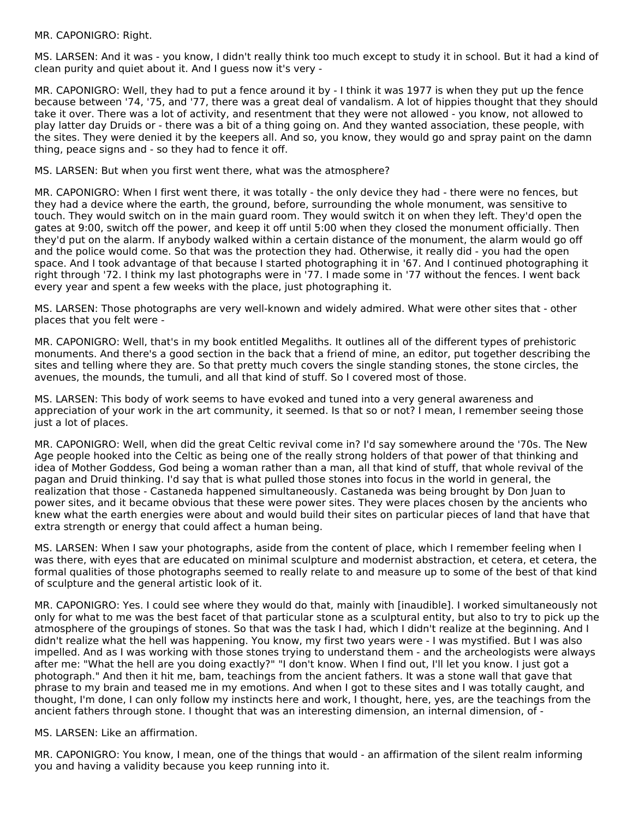#### MR. CAPONIGRO: Right.

MS. LARSEN: And it was - you know, I didn't really think too much except to study it in school. But it had a kind of clean purity and quiet about it. And I guess now it's very -

MR. CAPONIGRO: Well, they had to put a fence around it by - I think it was 1977 is when they put up the fence because between '74, '75, and '77, there was a great deal of vandalism. A lot of hippies thought that they should take it over. There was a lot of activity, and resentment that they were not allowed - you know, not allowed to play latter day Druids or - there was a bit of a thing going on. And they wanted association, these people, with the sites. They were denied it by the keepers all. And so, you know, they would go and spray paint on the damn thing, peace signs and - so they had to fence it off.

MS. LARSEN: But when you first went there, what was the atmosphere?

MR. CAPONIGRO: When I first went there, it was totally - the only device they had - there were no fences, but they had a device where the earth, the ground, before, surrounding the whole monument, was sensitive to touch. They would switch on in the main guard room. They would switch it on when they left. They'd open the gates at 9:00, switch off the power, and keep it off until 5:00 when they closed the monument officially. Then they'd put on the alarm. If anybody walked within a certain distance of the monument, the alarm would go off and the police would come. So that was the protection they had. Otherwise, it really did - you had the open space. And I took advantage of that because I started photographing it in '67. And I continued photographing it right through '72. I think my last photographs were in '77. I made some in '77 without the fences. I went back every year and spent a few weeks with the place, just photographing it.

MS. LARSEN: Those photographs are very well-known and widely admired. What were other sites that - other places that you felt were -

MR. CAPONIGRO: Well, that's in my book entitled Megaliths. It outlines all of the different types of prehistoric monuments. And there's a good section in the back that a friend of mine, an editor, put together describing the sites and telling where they are. So that pretty much covers the single standing stones, the stone circles, the avenues, the mounds, the tumuli, and all that kind of stuff. So I covered most of those.

MS. LARSEN: This body of work seems to have evoked and tuned into a very general awareness and appreciation of your work in the art community, it seemed. Is that so or not? I mean, I remember seeing those just a lot of places.

MR. CAPONIGRO: Well, when did the great Celtic revival come in? I'd say somewhere around the '70s. The New Age people hooked into the Celtic as being one of the really strong holders of that power of that thinking and idea of Mother Goddess, God being a woman rather than a man, all that kind of stuff, that whole revival of the pagan and Druid thinking. I'd say that is what pulled those stones into focus in the world in general, the realization that those - Castaneda happened simultaneously. Castaneda was being brought by Don Juan to power sites, and it became obvious that these were power sites. They were places chosen by the ancients who knew what the earth energies were about and would build their sites on particular pieces of land that have that extra strength or energy that could affect a human being.

MS. LARSEN: When I saw your photographs, aside from the content of place, which I remember feeling when I was there, with eyes that are educated on minimal sculpture and modernist abstraction, et cetera, et cetera, the formal qualities of those photographs seemed to really relate to and measure up to some of the best of that kind of sculpture and the general artistic look of it.

MR. CAPONIGRO: Yes. I could see where they would do that, mainly with [inaudible]. I worked simultaneously not only for what to me was the best facet of that particular stone as a sculptural entity, but also to try to pick up the atmosphere of the groupings of stones. So that was the task I had, which I didn't realize at the beginning. And I didn't realize what the hell was happening. You know, my first two years were - I was mystified. But I was also impelled. And as I was working with those stones trying to understand them - and the archeologists were always after me: "What the hell are you doing exactly?" "I don't know. When I find out, I'll let you know. I just got a photograph." And then it hit me, bam, teachings from the ancient fathers. It was a stone wall that gave that phrase to my brain and teased me in my emotions. And when I got to these sites and I was totally caught, and thought, I'm done, I can only follow my instincts here and work, I thought, here, yes, are the teachings from the ancient fathers through stone. I thought that was an interesting dimension, an internal dimension, of -

#### MS. LARSEN: Like an affirmation.

MR. CAPONIGRO: You know, I mean, one of the things that would - an affirmation of the silent realm informing you and having a validity because you keep running into it.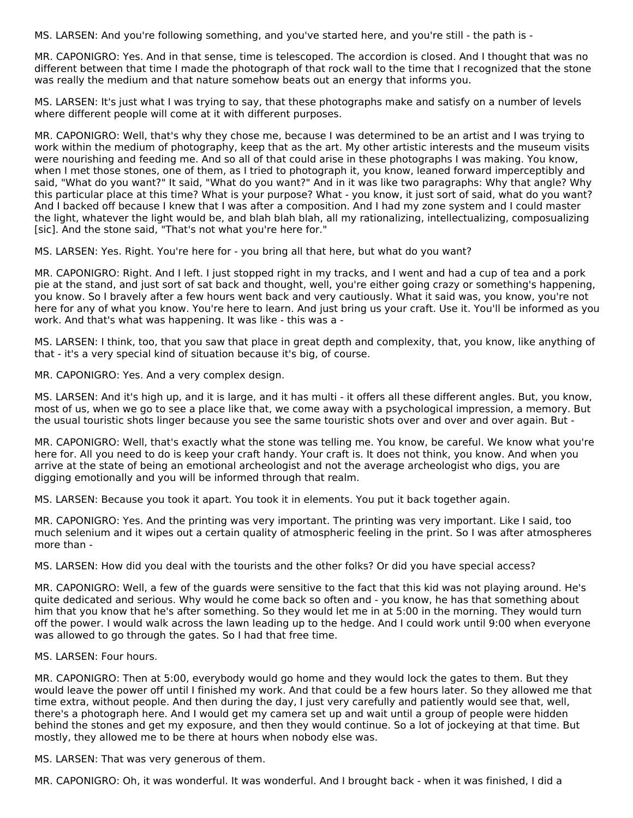MS. LARSEN: And you're following something, and you've started here, and you're still - the path is -

MR. CAPONIGRO: Yes. And in that sense, time is telescoped. The accordion is closed. And I thought that was no different between that time I made the photograph of that rock wall to the time that I recognized that the stone was really the medium and that nature somehow beats out an energy that informs you.

MS. LARSEN: It's just what I was trying to say, that these photographs make and satisfy on a number of levels where different people will come at it with different purposes.

MR. CAPONIGRO: Well, that's why they chose me, because I was determined to be an artist and I was trying to work within the medium of photography, keep that as the art. My other artistic interests and the museum visits were nourishing and feeding me. And so all of that could arise in these photographs I was making. You know, when I met those stones, one of them, as I tried to photograph it, you know, leaned forward imperceptibly and said, "What do you want?" It said, "What do you want?" And in it was like two paragraphs: Why that angle? Why this particular place at this time? What is your purpose? What - you know, it just sort of said, what do you want? And I backed off because I knew that I was after a composition. And I had my zone system and I could master the light, whatever the light would be, and blah blah blah, all my rationalizing, intellectualizing, composualizing [sic]. And the stone said, "That's not what you're here for."

MS. LARSEN: Yes. Right. You're here for - you bring all that here, but what do you want?

MR. CAPONIGRO: Right. And I left. I just stopped right in my tracks, and I went and had a cup of tea and a pork pie at the stand, and just sort of sat back and thought, well, you're either going crazy or something's happening, you know. So I bravely after a few hours went back and very cautiously. What it said was, you know, you're not here for any of what you know. You're here to learn. And just bring us your craft. Use it. You'll be informed as you work. And that's what was happening. It was like - this was a -

MS. LARSEN: I think, too, that you saw that place in great depth and complexity, that, you know, like anything of that - it's a very special kind of situation because it's big, of course.

MR. CAPONIGRO: Yes. And a very complex design.

MS. LARSEN: And it's high up, and it is large, and it has multi - it offers all these different angles. But, you know, most of us, when we go to see a place like that, we come away with a psychological impression, a memory. But the usual touristic shots linger because you see the same touristic shots over and over and over again. But -

MR. CAPONIGRO: Well, that's exactly what the stone was telling me. You know, be careful. We know what you're here for. All you need to do is keep your craft handy. Your craft is. It does not think, you know. And when you arrive at the state of being an emotional archeologist and not the average archeologist who digs, you are digging emotionally and you will be informed through that realm.

MS. LARSEN: Because you took it apart. You took it in elements. You put it back together again.

MR. CAPONIGRO: Yes. And the printing was very important. The printing was very important. Like I said, too much selenium and it wipes out a certain quality of atmospheric feeling in the print. So I was after atmospheres more than -

MS. LARSEN: How did you deal with the tourists and the other folks? Or did you have special access?

MR. CAPONIGRO: Well, a few of the guards were sensitive to the fact that this kid was not playing around. He's quite dedicated and serious. Why would he come back so often and - you know, he has that something about him that you know that he's after something. So they would let me in at 5:00 in the morning. They would turn off the power. I would walk across the lawn leading up to the hedge. And I could work until 9:00 when everyone was allowed to go through the gates. So I had that free time.

#### MS. LARSEN: Four hours.

MR. CAPONIGRO: Then at 5:00, everybody would go home and they would lock the gates to them. But they would leave the power off until I finished my work. And that could be a few hours later. So they allowed me that time extra, without people. And then during the day, I just very carefully and patiently would see that, well, there's a photograph here. And I would get my camera set up and wait until a group of people were hidden behind the stones and get my exposure, and then they would continue. So a lot of jockeying at that time. But mostly, they allowed me to be there at hours when nobody else was.

MS. LARSEN: That was very generous of them.

MR. CAPONIGRO: Oh, it was wonderful. It was wonderful. And I brought back - when it was finished, I did a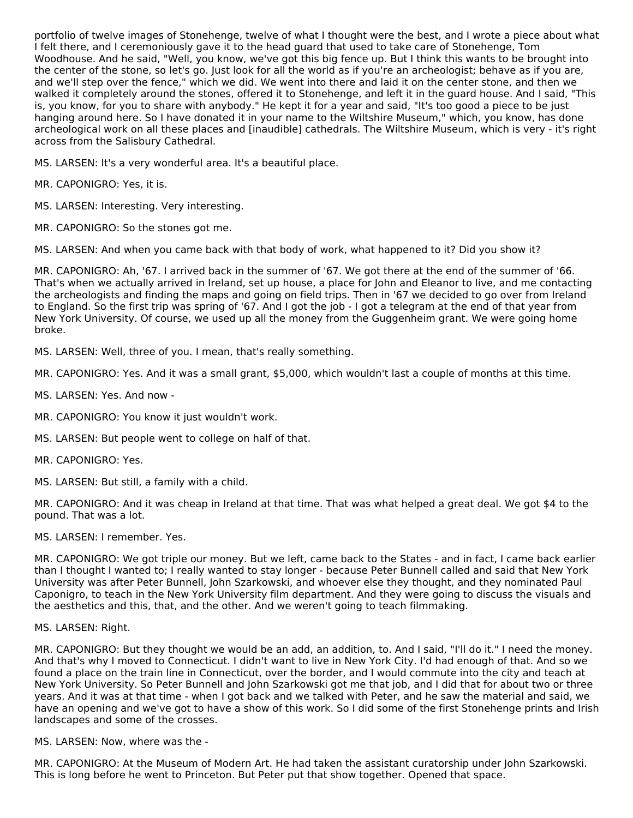portfolio of twelve images of Stonehenge, twelve of what I thought were the best, and I wrote a piece about what I felt there, and I ceremoniously gave it to the head guard that used to take care of Stonehenge, Tom Woodhouse. And he said, "Well, you know, we've got this big fence up. But I think this wants to be brought into the center of the stone, so let's go. Just look for all the world as if you're an archeologist; behave as if you are, and we'll step over the fence," which we did. We went into there and laid it on the center stone, and then we walked it completely around the stones, offered it to Stonehenge, and left it in the guard house. And I said, "This is, you know, for you to share with anybody." He kept it for a year and said, "It's too good a piece to be just hanging around here. So I have donated it in your name to the Wiltshire Museum," which, you know, has done archeological work on all these places and [inaudible] cathedrals. The Wiltshire Museum, which is very - it's right across from the Salisbury Cathedral.

MS. LARSEN: It's a very wonderful area. It's a beautiful place.

- MR. CAPONIGRO: Yes, it is.
- MS. LARSEN: Interesting. Very interesting.
- MR. CAPONIGRO: So the stones got me.

MS. LARSEN: And when you came back with that body of work, what happened to it? Did you show it?

MR. CAPONIGRO: Ah, '67. I arrived back in the summer of '67. We got there at the end of the summer of '66. That's when we actually arrived in Ireland, set up house, a place for John and Eleanor to live, and me contacting the archeologists and finding the maps and going on field trips. Then in '67 we decided to go over from Ireland to England. So the first trip was spring of '67. And I got the job - I got a telegram at the end of that year from New York University. Of course, we used up all the money from the Guggenheim grant. We were going home broke.

MS. LARSEN: Well, three of you. I mean, that's really something.

MR. CAPONIGRO: Yes. And it was a small grant, \$5,000, which wouldn't last a couple of months at this time.

MS. LARSEN: Yes. And now -

- MR. CAPONIGRO: You know it just wouldn't work.
- MS. LARSEN: But people went to college on half of that.
- MR. CAPONIGRO: Yes.
- MS. LARSEN: But still, a family with a child.

MR. CAPONIGRO: And it was cheap in Ireland at that time. That was what helped a great deal. We got \$4 to the pound. That was a lot.

MS. LARSEN: I remember. Yes.

MR. CAPONIGRO: We got triple our money. But we left, came back to the States - and in fact, I came back earlier than I thought I wanted to; I really wanted to stay longer - because Peter Bunnell called and said that New York University was after Peter Bunnell, John Szarkowski, and whoever else they thought, and they nominated Paul Caponigro, to teach in the New York University film department. And they were going to discuss the visuals and the aesthetics and this, that, and the other. And we weren't going to teach filmmaking.

#### MS. LARSEN: Right.

MR. CAPONIGRO: But they thought we would be an add, an addition, to. And I said, "I'll do it." I need the money. And that's why I moved to Connecticut. I didn't want to live in New York City. I'd had enough of that. And so we found a place on the train line in Connecticut, over the border, and I would commute into the city and teach at New York University. So Peter Bunnell and John Szarkowski got me that job, and I did that for about two or three years. And it was at that time - when I got back and we talked with Peter, and he saw the material and said, we have an opening and we've got to have a show of this work. So I did some of the first Stonehenge prints and Irish landscapes and some of the crosses.

MS. LARSEN: Now, where was the -

MR. CAPONIGRO: At the Museum of Modern Art. He had taken the assistant curatorship under John Szarkowski. This is long before he went to Princeton. But Peter put that show together. Opened that space.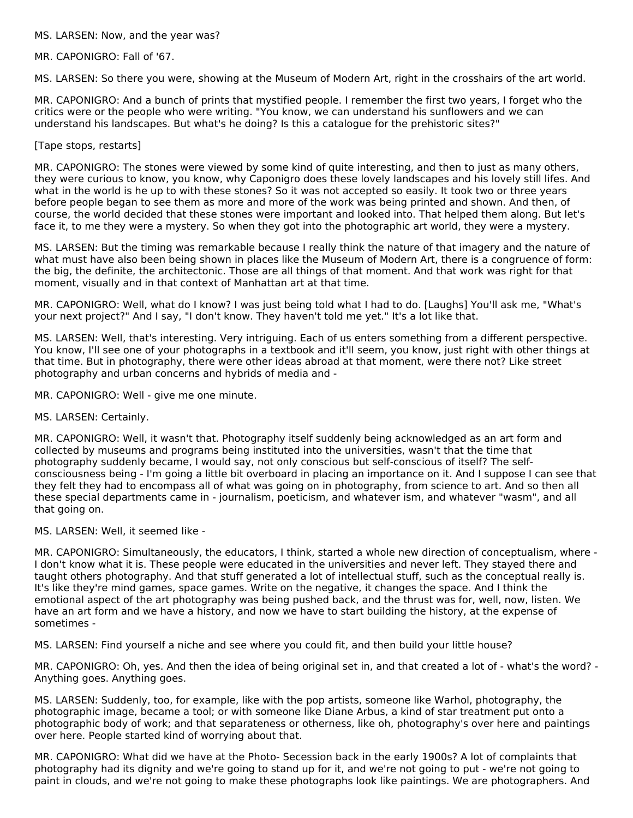#### MS. LARSEN: Now, and the year was?

MR. CAPONIGRO: Fall of '67.

MS. LARSEN: So there you were, showing at the Museum of Modern Art, right in the crosshairs of the art world.

MR. CAPONIGRO: And a bunch of prints that mystified people. I remember the first two years, I forget who the critics were or the people who were writing. "You know, we can understand his sunflowers and we can understand his landscapes. But what's he doing? Is this a catalogue for the prehistoric sites?"

### [Tape stops, restarts]

MR. CAPONIGRO: The stones were viewed by some kind of quite interesting, and then to just as many others, they were curious to know, you know, why Caponigro does these lovely landscapes and his lovely still lifes. And what in the world is he up to with these stones? So it was not accepted so easily. It took two or three years before people began to see them as more and more of the work was being printed and shown. And then, of course, the world decided that these stones were important and looked into. That helped them along. But let's face it, to me they were a mystery. So when they got into the photographic art world, they were a mystery.

MS. LARSEN: But the timing was remarkable because I really think the nature of that imagery and the nature of what must have also been being shown in places like the Museum of Modern Art, there is a congruence of form: the big, the definite, the architectonic. Those are all things of that moment. And that work was right for that moment, visually and in that context of Manhattan art at that time.

MR. CAPONIGRO: Well, what do I know? I was just being told what I had to do. [Laughs] You'll ask me, "What's your next project?" And I say, "I don't know. They haven't told me yet." It's a lot like that.

MS. LARSEN: Well, that's interesting. Very intriguing. Each of us enters something from a different perspective. You know, I'll see one of your photographs in a textbook and it'll seem, you know, just right with other things at that time. But in photography, there were other ideas abroad at that moment, were there not? Like street photography and urban concerns and hybrids of media and -

MR. CAPONIGRO: Well - give me one minute.

MS. LARSEN: Certainly.

MR. CAPONIGRO: Well, it wasn't that. Photography itself suddenly being acknowledged as an art form and collected by museums and programs being instituted into the universities, wasn't that the time that photography suddenly became, I would say, not only conscious but self-conscious of itself? The selfconsciousness being - I'm going a little bit overboard in placing an importance on it. And I suppose I can see that they felt they had to encompass all of what was going on in photography, from science to art. And so then all these special departments came in - journalism, poeticism, and whatever ism, and whatever "wasm", and all that going on.

MS. LARSEN: Well, it seemed like -

MR. CAPONIGRO: Simultaneously, the educators, I think, started a whole new direction of conceptualism, where - I don't know what it is. These people were educated in the universities and never left. They stayed there and taught others photography. And that stuff generated a lot of intellectual stuff, such as the conceptual really is. It's like they're mind games, space games. Write on the negative, it changes the space. And I think the emotional aspect of the art photography was being pushed back, and the thrust was for, well, now, listen. We have an art form and we have a history, and now we have to start building the history, at the expense of sometimes -

MS. LARSEN: Find yourself a niche and see where you could fit, and then build your little house?

MR. CAPONIGRO: Oh, yes. And then the idea of being original set in, and that created a lot of - what's the word? - Anything goes. Anything goes.

MS. LARSEN: Suddenly, too, for example, like with the pop artists, someone like Warhol, photography, the photographic image, became a tool; or with someone like Diane Arbus, a kind of star treatment put onto a photographic body of work; and that separateness or otherness, like oh, photography's over here and paintings over here. People started kind of worrying about that.

MR. CAPONIGRO: What did we have at the Photo- Secession back in the early 1900s? A lot of complaints that photography had its dignity and we're going to stand up for it, and we're not going to put - we're not going to paint in clouds, and we're not going to make these photographs look like paintings. We are photographers. And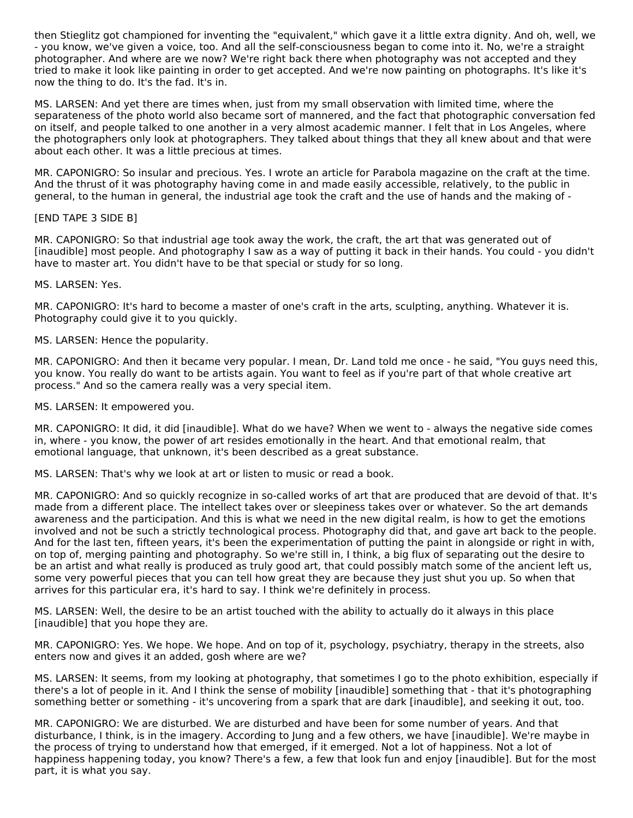then Stieglitz got championed for inventing the "equivalent," which gave it a little extra dignity. And oh, well, we - you know, we've given a voice, too. And all the self-consciousness began to come into it. No, we're a straight photographer. And where are we now? We're right back there when photography was not accepted and they tried to make it look like painting in order to get accepted. And we're now painting on photographs. It's like it's now the thing to do. It's the fad. It's in.

MS. LARSEN: And yet there are times when, just from my small observation with limited time, where the separateness of the photo world also became sort of mannered, and the fact that photographic conversation fed on itself, and people talked to one another in a very almost academic manner. I felt that in Los Angeles, where the photographers only look at photographers. They talked about things that they all knew about and that were about each other. It was a little precious at times.

MR. CAPONIGRO: So insular and precious. Yes. I wrote an article for Parabola magazine on the craft at the time. And the thrust of it was photography having come in and made easily accessible, relatively, to the public in general, to the human in general, the industrial age took the craft and the use of hands and the making of -

#### [END TAPE 3 SIDE B]

MR. CAPONIGRO: So that industrial age took away the work, the craft, the art that was generated out of [inaudible] most people. And photography I saw as a way of putting it back in their hands. You could - you didn't have to master art. You didn't have to be that special or study for so long.

#### MS. LARSEN: Yes.

MR. CAPONIGRO: It's hard to become a master of one's craft in the arts, sculpting, anything. Whatever it is. Photography could give it to you quickly.

### MS. LARSEN: Hence the popularity.

MR. CAPONIGRO: And then it became very popular. I mean, Dr. Land told me once - he said, "You guys need this, you know. You really do want to be artists again. You want to feel as if you're part of that whole creative art process." And so the camera really was a very special item.

#### MS. LARSEN: It empowered you.

MR. CAPONIGRO: It did, it did [inaudible]. What do we have? When we went to - always the negative side comes in, where - you know, the power of art resides emotionally in the heart. And that emotional realm, that emotional language, that unknown, it's been described as a great substance.

MS. LARSEN: That's why we look at art or listen to music or read a book.

MR. CAPONIGRO: And so quickly recognize in so-called works of art that are produced that are devoid of that. It's made from a different place. The intellect takes over or sleepiness takes over or whatever. So the art demands awareness and the participation. And this is what we need in the new digital realm, is how to get the emotions involved and not be such a strictly technological process. Photography did that, and gave art back to the people. And for the last ten, fifteen years, it's been the experimentation of putting the paint in alongside or right in with, on top of, merging painting and photography. So we're still in, I think, a big flux of separating out the desire to be an artist and what really is produced as truly good art, that could possibly match some of the ancient left us, some very powerful pieces that you can tell how great they are because they just shut you up. So when that arrives for this particular era, it's hard to say. I think we're definitely in process.

MS. LARSEN: Well, the desire to be an artist touched with the ability to actually do it always in this place [inaudible] that you hope they are.

MR. CAPONIGRO: Yes. We hope. We hope. And on top of it, psychology, psychiatry, therapy in the streets, also enters now and gives it an added, gosh where are we?

MS. LARSEN: It seems, from my looking at photography, that sometimes I go to the photo exhibition, especially if there's a lot of people in it. And I think the sense of mobility [inaudible] something that - that it's photographing something better or something - it's uncovering from a spark that are dark [inaudible], and seeking it out, too.

MR. CAPONIGRO: We are disturbed. We are disturbed and have been for some number of years. And that disturbance, I think, is in the imagery. According to Jung and a few others, we have [inaudible]. We're maybe in the process of trying to understand how that emerged, if it emerged. Not a lot of happiness. Not a lot of happiness happening today, you know? There's a few, a few that look fun and enjoy [inaudible]. But for the most part, it is what you say.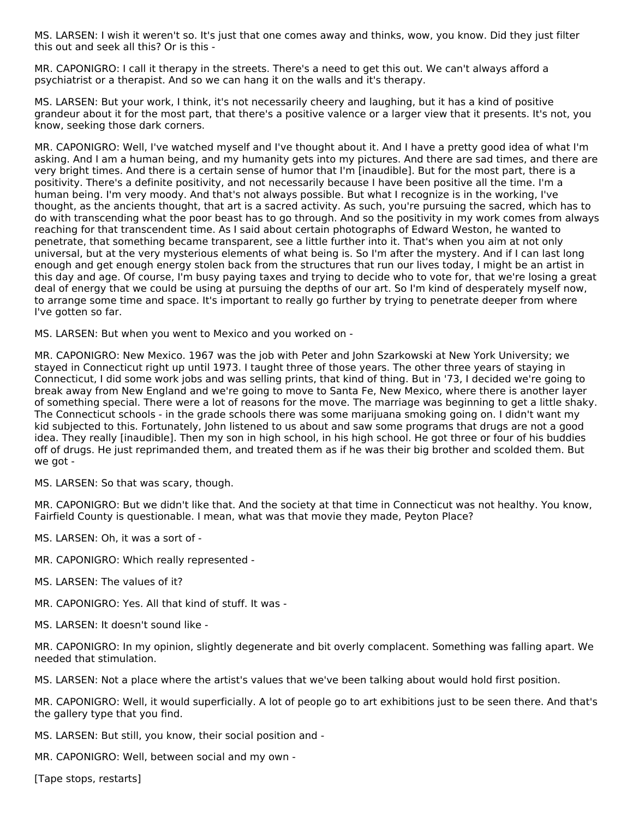MS. LARSEN: I wish it weren't so. It's just that one comes away and thinks, wow, you know. Did they just filter this out and seek all this? Or is this -

MR. CAPONIGRO: I call it therapy in the streets. There's a need to get this out. We can't always afford a psychiatrist or a therapist. And so we can hang it on the walls and it's therapy.

MS. LARSEN: But your work, I think, it's not necessarily cheery and laughing, but it has a kind of positive grandeur about it for the most part, that there's a positive valence or a larger view that it presents. It's not, you know, seeking those dark corners.

MR. CAPONIGRO: Well, I've watched myself and I've thought about it. And I have a pretty good idea of what I'm asking. And I am a human being, and my humanity gets into my pictures. And there are sad times, and there are very bright times. And there is a certain sense of humor that I'm [inaudible]. But for the most part, there is a positivity. There's a definite positivity, and not necessarily because I have been positive all the time. I'm a human being. I'm very moody. And that's not always possible. But what I recognize is in the working, I've thought, as the ancients thought, that art is a sacred activity. As such, you're pursuing the sacred, which has to do with transcending what the poor beast has to go through. And so the positivity in my work comes from always reaching for that transcendent time. As I said about certain photographs of Edward Weston, he wanted to penetrate, that something became transparent, see a little further into it. That's when you aim at not only universal, but at the very mysterious elements of what being is. So I'm after the mystery. And if I can last long enough and get enough energy stolen back from the structures that run our lives today, I might be an artist in this day and age. Of course, I'm busy paying taxes and trying to decide who to vote for, that we're losing a great deal of energy that we could be using at pursuing the depths of our art. So I'm kind of desperately myself now, to arrange some time and space. It's important to really go further by trying to penetrate deeper from where I've gotten so far.

MS. LARSEN: But when you went to Mexico and you worked on -

MR. CAPONIGRO: New Mexico. 1967 was the job with Peter and John Szarkowski at New York University; we stayed in Connecticut right up until 1973. I taught three of those years. The other three years of staying in Connecticut, I did some work jobs and was selling prints, that kind of thing. But in '73, I decided we're going to break away from New England and we're going to move to Santa Fe, New Mexico, where there is another layer of something special. There were a lot of reasons for the move. The marriage was beginning to get a little shaky. The Connecticut schools - in the grade schools there was some marijuana smoking going on. I didn't want my kid subjected to this. Fortunately, John listened to us about and saw some programs that drugs are not a good idea. They really [inaudible]. Then my son in high school, in his high school. He got three or four of his buddies off of drugs. He just reprimanded them, and treated them as if he was their big brother and scolded them. But we got -

MS. LARSEN: So that was scary, though.

MR. CAPONIGRO: But we didn't like that. And the society at that time in Connecticut was not healthy. You know, Fairfield County is questionable. I mean, what was that movie they made, Peyton Place?

MS. LARSEN: Oh, it was a sort of -

MR. CAPONIGRO: Which really represented -

MS. LARSEN: The values of it?

MR. CAPONIGRO: Yes. All that kind of stuff. It was -

MS. LARSEN: It doesn't sound like -

MR. CAPONIGRO: In my opinion, slightly degenerate and bit overly complacent. Something was falling apart. We needed that stimulation.

MS. LARSEN: Not a place where the artist's values that we've been talking about would hold first position.

MR. CAPONIGRO: Well, it would superficially. A lot of people go to art exhibitions just to be seen there. And that's the gallery type that you find.

MS. LARSEN: But still, you know, their social position and -

MR. CAPONIGRO: Well, between social and my own -

[Tape stops, restarts]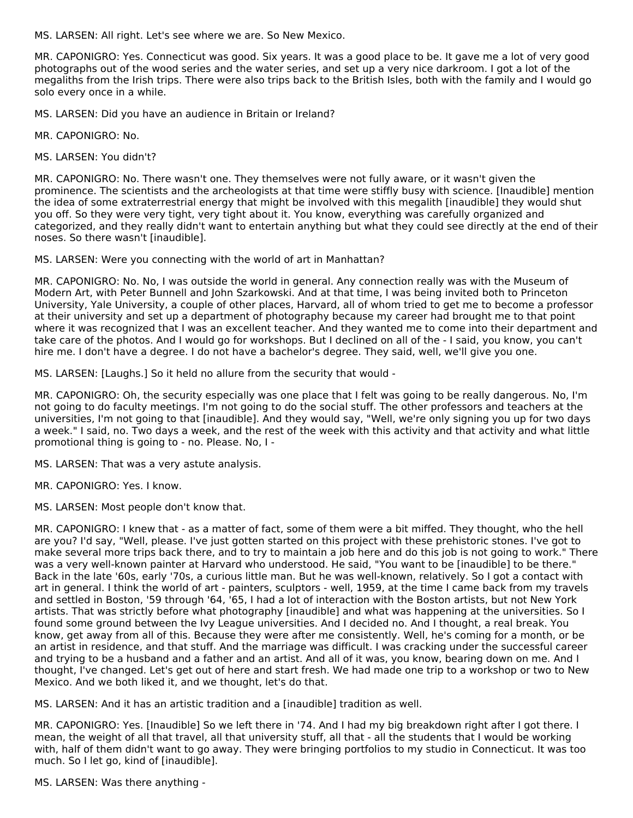MS. LARSEN: All right. Let's see where we are. So New Mexico.

MR. CAPONIGRO: Yes. Connecticut was good. Six years. It was a good place to be. It gave me a lot of very good photographs out of the wood series and the water series, and set up a very nice darkroom. I got a lot of the megaliths from the Irish trips. There were also trips back to the British Isles, both with the family and I would go solo every once in a while.

MS. LARSEN: Did you have an audience in Britain or Ireland?

MR. CAPONIGRO: No.

MS. LARSEN: You didn't?

MR. CAPONIGRO: No. There wasn't one. They themselves were not fully aware, or it wasn't given the prominence. The scientists and the archeologists at that time were stiffly busy with science. [Inaudible] mention the idea of some extraterrestrial energy that might be involved with this megalith [inaudible] they would shut you off. So they were very tight, very tight about it. You know, everything was carefully organized and categorized, and they really didn't want to entertain anything but what they could see directly at the end of their noses. So there wasn't [inaudible].

MS. LARSEN: Were you connecting with the world of art in Manhattan?

MR. CAPONIGRO: No. No, I was outside the world in general. Any connection really was with the Museum of Modern Art, with Peter Bunnell and John Szarkowski. And at that time, I was being invited both to Princeton University, Yale University, a couple of other places, Harvard, all of whom tried to get me to become a professor at their university and set up a department of photography because my career had brought me to that point where it was recognized that I was an excellent teacher. And they wanted me to come into their department and take care of the photos. And I would go for workshops. But I declined on all of the - I said, you know, you can't hire me. I don't have a degree. I do not have a bachelor's degree. They said, well, we'll give you one.

MS. LARSEN: [Laughs.] So it held no allure from the security that would -

MR. CAPONIGRO: Oh, the security especially was one place that I felt was going to be really dangerous. No, I'm not going to do faculty meetings. I'm not going to do the social stuff. The other professors and teachers at the universities, I'm not going to that [inaudible]. And they would say, "Well, we're only signing you up for two days a week." I said, no. Two days a week, and the rest of the week with this activity and that activity and what little promotional thing is going to - no. Please. No, I -

MS. LARSEN: That was a very astute analysis.

MR. CAPONIGRO: Yes. I know.

MS. LARSEN: Most people don't know that.

MR. CAPONIGRO: I knew that - as a matter of fact, some of them were a bit miffed. They thought, who the hell are you? I'd say, "Well, please. I've just gotten started on this project with these prehistoric stones. I've got to make several more trips back there, and to try to maintain a job here and do this job is not going to work." There was a very well-known painter at Harvard who understood. He said, "You want to be [inaudible] to be there." Back in the late '60s, early '70s, a curious little man. But he was well-known, relatively. So I got a contact with art in general. I think the world of art - painters, sculptors - well, 1959, at the time I came back from my travels and settled in Boston, '59 through '64, '65, I had a lot of interaction with the Boston artists, but not New York artists. That was strictly before what photography [inaudible] and what was happening at the universities. So I found some ground between the Ivy League universities. And I decided no. And I thought, a real break. You know, get away from all of this. Because they were after me consistently. Well, he's coming for a month, or be an artist in residence, and that stuff. And the marriage was difficult. I was cracking under the successful career and trying to be a husband and a father and an artist. And all of it was, you know, bearing down on me. And I thought, I've changed. Let's get out of here and start fresh. We had made one trip to a workshop or two to New Mexico. And we both liked it, and we thought, let's do that.

MS. LARSEN: And it has an artistic tradition and a [inaudible] tradition as well.

MR. CAPONIGRO: Yes. [Inaudible] So we left there in '74. And I had my big breakdown right after I got there. I mean, the weight of all that travel, all that university stuff, all that - all the students that I would be working with, half of them didn't want to go away. They were bringing portfolios to my studio in Connecticut. It was too much. So I let go, kind of [inaudible].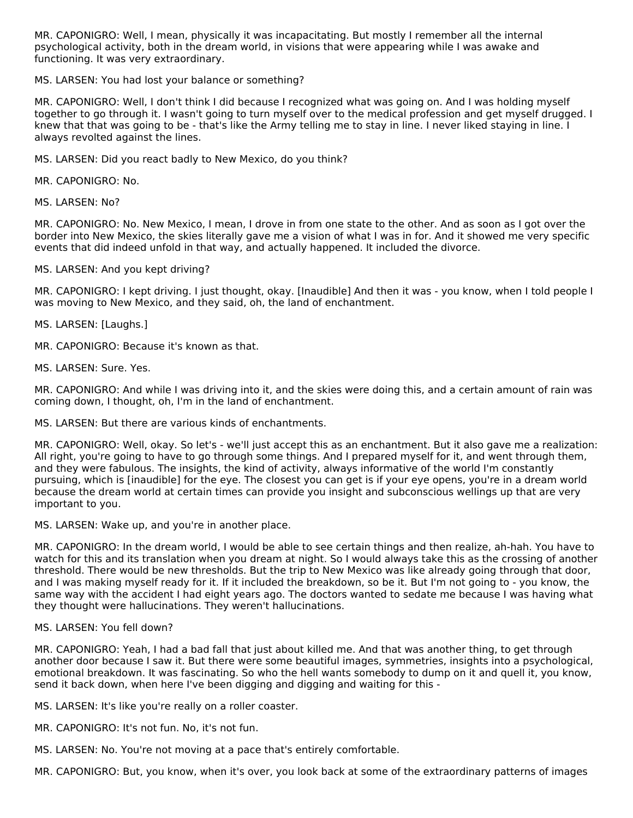MR. CAPONIGRO: Well, I mean, physically it was incapacitating. But mostly I remember all the internal psychological activity, both in the dream world, in visions that were appearing while I was awake and functioning. It was very extraordinary.

MS. LARSEN: You had lost your balance or something?

MR. CAPONIGRO: Well, I don't think I did because I recognized what was going on. And I was holding myself together to go through it. I wasn't going to turn myself over to the medical profession and get myself drugged. I knew that that was going to be - that's like the Army telling me to stay in line. I never liked staying in line. I always revolted against the lines.

MS. LARSEN: Did you react badly to New Mexico, do you think?

MR. CAPONIGRO: No.

MS. LARSEN: No?

MR. CAPONIGRO: No. New Mexico, I mean, I drove in from one state to the other. And as soon as I got over the border into New Mexico, the skies literally gave me a vision of what I was in for. And it showed me very specific events that did indeed unfold in that way, and actually happened. It included the divorce.

MS. LARSEN: And you kept driving?

MR. CAPONIGRO: I kept driving. I just thought, okay. [Inaudible] And then it was - you know, when I told people I was moving to New Mexico, and they said, oh, the land of enchantment.

MS. LARSEN: [Laughs.]

MR. CAPONIGRO: Because it's known as that.

MS. LARSEN: Sure. Yes.

MR. CAPONIGRO: And while I was driving into it, and the skies were doing this, and a certain amount of rain was coming down, I thought, oh, I'm in the land of enchantment.

MS. LARSEN: But there are various kinds of enchantments.

MR. CAPONIGRO: Well, okay. So let's - we'll just accept this as an enchantment. But it also gave me a realization: All right, you're going to have to go through some things. And I prepared myself for it, and went through them, and they were fabulous. The insights, the kind of activity, always informative of the world I'm constantly pursuing, which is [inaudible] for the eye. The closest you can get is if your eye opens, you're in a dream world because the dream world at certain times can provide you insight and subconscious wellings up that are very important to you.

MS. LARSEN: Wake up, and you're in another place.

MR. CAPONIGRO: In the dream world, I would be able to see certain things and then realize, ah-hah. You have to watch for this and its translation when you dream at night. So I would always take this as the crossing of another threshold. There would be new thresholds. But the trip to New Mexico was like already going through that door, and I was making myself ready for it. If it included the breakdown, so be it. But I'm not going to - you know, the same way with the accident I had eight years ago. The doctors wanted to sedate me because I was having what they thought were hallucinations. They weren't hallucinations.

#### MS. LARSEN: You fell down?

MR. CAPONIGRO: Yeah, I had a bad fall that just about killed me. And that was another thing, to get through another door because I saw it. But there were some beautiful images, symmetries, insights into a psychological, emotional breakdown. It was fascinating. So who the hell wants somebody to dump on it and quell it, you know, send it back down, when here I've been digging and digging and waiting for this -

MS. LARSEN: It's like you're really on a roller coaster.

MR. CAPONIGRO: It's not fun. No, it's not fun.

MS. LARSEN: No. You're not moving at a pace that's entirely comfortable.

MR. CAPONIGRO: But, you know, when it's over, you look back at some of the extraordinary patterns of images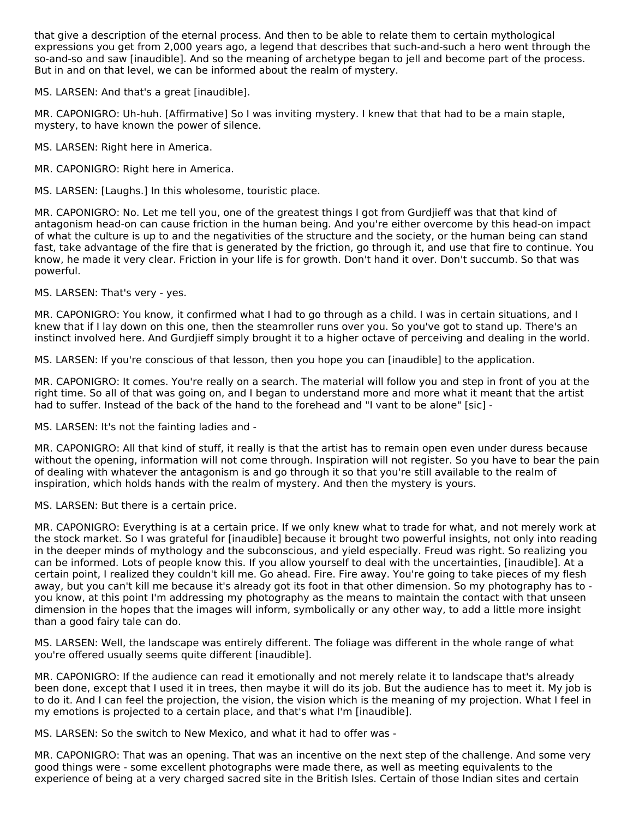that give a description of the eternal process. And then to be able to relate them to certain mythological expressions you get from 2,000 years ago, a legend that describes that such-and-such a hero went through the so-and-so and saw [inaudible]. And so the meaning of archetype began to jell and become part of the process. But in and on that level, we can be informed about the realm of mystery.

MS. LARSEN: And that's a great [inaudible].

MR. CAPONIGRO: Uh-huh. [Affirmative] So I was inviting mystery. I knew that that had to be a main staple, mystery, to have known the power of silence.

MS. LARSEN: Right here in America.

MR. CAPONIGRO: Right here in America.

MS. LARSEN: [Laughs.] In this wholesome, touristic place.

MR. CAPONIGRO: No. Let me tell you, one of the greatest things I got from Gurdjieff was that that kind of antagonism head-on can cause friction in the human being. And you're either overcome by this head-on impact of what the culture is up to and the negativities of the structure and the society, or the human being can stand fast, take advantage of the fire that is generated by the friction, go through it, and use that fire to continue. You know, he made it very clear. Friction in your life is for growth. Don't hand it over. Don't succumb. So that was powerful.

MS. LARSEN: That's very - yes.

MR. CAPONIGRO: You know, it confirmed what I had to go through as a child. I was in certain situations, and I knew that if I lay down on this one, then the steamroller runs over you. So you've got to stand up. There's an instinct involved here. And Gurdjieff simply brought it to a higher octave of perceiving and dealing in the world.

MS. LARSEN: If you're conscious of that lesson, then you hope you can [inaudible] to the application.

MR. CAPONIGRO: It comes. You're really on a search. The material will follow you and step in front of you at the right time. So all of that was going on, and I began to understand more and more what it meant that the artist had to suffer. Instead of the back of the hand to the forehead and "I vant to be alone" [sic] -

MS. LARSEN: It's not the fainting ladies and -

MR. CAPONIGRO: All that kind of stuff, it really is that the artist has to remain open even under duress because without the opening, information will not come through. Inspiration will not register. So you have to bear the pain of dealing with whatever the antagonism is and go through it so that you're still available to the realm of inspiration, which holds hands with the realm of mystery. And then the mystery is yours.

MS. LARSEN: But there is a certain price.

MR. CAPONIGRO: Everything is at a certain price. If we only knew what to trade for what, and not merely work at the stock market. So I was grateful for [inaudible] because it brought two powerful insights, not only into reading in the deeper minds of mythology and the subconscious, and yield especially. Freud was right. So realizing you can be informed. Lots of people know this. If you allow yourself to deal with the uncertainties, [inaudible]. At a certain point, I realized they couldn't kill me. Go ahead. Fire. Fire away. You're going to take pieces of my flesh away, but you can't kill me because it's already got its foot in that other dimension. So my photography has to you know, at this point I'm addressing my photography as the means to maintain the contact with that unseen dimension in the hopes that the images will inform, symbolically or any other way, to add a little more insight than a good fairy tale can do.

MS. LARSEN: Well, the landscape was entirely different. The foliage was different in the whole range of what you're offered usually seems quite different [inaudible].

MR. CAPONIGRO: If the audience can read it emotionally and not merely relate it to landscape that's already been done, except that I used it in trees, then maybe it will do its job. But the audience has to meet it. My job is to do it. And I can feel the projection, the vision, the vision which is the meaning of my projection. What I feel in my emotions is projected to a certain place, and that's what I'm [inaudible].

MS. LARSEN: So the switch to New Mexico, and what it had to offer was -

MR. CAPONIGRO: That was an opening. That was an incentive on the next step of the challenge. And some very good things were - some excellent photographs were made there, as well as meeting equivalents to the experience of being at a very charged sacred site in the British Isles. Certain of those Indian sites and certain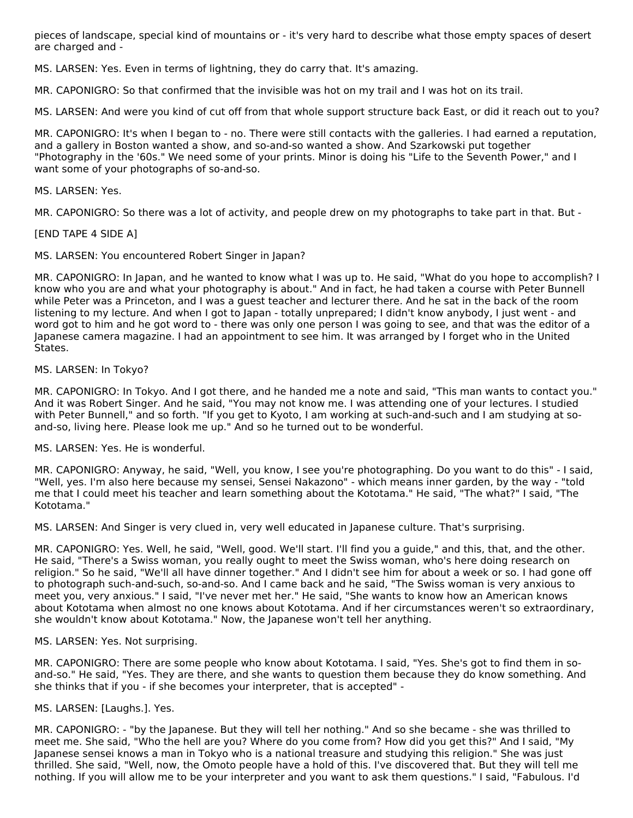pieces of landscape, special kind of mountains or - it's very hard to describe what those empty spaces of desert are charged and -

MS. LARSEN: Yes. Even in terms of lightning, they do carry that. It's amazing.

MR. CAPONIGRO: So that confirmed that the invisible was hot on my trail and I was hot on its trail.

MS. LARSEN: And were you kind of cut off from that whole support structure back East, or did it reach out to you?

MR. CAPONIGRO: It's when I began to - no. There were still contacts with the galleries. I had earned a reputation, and a gallery in Boston wanted a show, and so-and-so wanted a show. And Szarkowski put together "Photography in the '60s." We need some of your prints. Minor is doing his "Life to the Seventh Power," and I want some of your photographs of so-and-so.

#### MS. LARSEN: Yes.

MR. CAPONIGRO: So there was a lot of activity, and people drew on my photographs to take part in that. But -

#### [END TAPE 4 SIDE A]

MS. LARSEN: You encountered Robert Singer in Japan?

MR. CAPONIGRO: In Japan, and he wanted to know what I was up to. He said, "What do you hope to accomplish? I know who you are and what your photography is about." And in fact, he had taken a course with Peter Bunnell while Peter was a Princeton, and I was a guest teacher and lecturer there. And he sat in the back of the room listening to my lecture. And when I got to Japan - totally unprepared; I didn't know anybody, I just went - and word got to him and he got word to - there was only one person I was going to see, and that was the editor of a Japanese camera magazine. I had an appointment to see him. It was arranged by I forget who in the United States.

#### MS. LARSEN: In Tokyo?

MR. CAPONIGRO: In Tokyo. And I got there, and he handed me a note and said, "This man wants to contact you." And it was Robert Singer. And he said, "You may not know me. I was attending one of your lectures. I studied with Peter Bunnell," and so forth. "If you get to Kyoto, I am working at such-and-such and I am studying at soand-so, living here. Please look me up." And so he turned out to be wonderful.

#### MS. LARSEN: Yes. He is wonderful.

MR. CAPONIGRO: Anyway, he said, "Well, you know, I see you're photographing. Do you want to do this" - I said, "Well, yes. I'm also here because my sensei, Sensei Nakazono" - which means inner garden, by the way - "told me that I could meet his teacher and learn something about the Kototama." He said, "The what?" I said, "The Kototama."

MS. LARSEN: And Singer is very clued in, very well educated in Japanese culture. That's surprising.

MR. CAPONIGRO: Yes. Well, he said, "Well, good. We'll start. I'll find you a guide," and this, that, and the other. He said, "There's a Swiss woman, you really ought to meet the Swiss woman, who's here doing research on religion." So he said, "We'll all have dinner together." And I didn't see him for about a week or so. I had gone off to photograph such-and-such, so-and-so. And I came back and he said, "The Swiss woman is very anxious to meet you, very anxious." I said, "I've never met her." He said, "She wants to know how an American knows about Kototama when almost no one knows about Kototama. And if her circumstances weren't so extraordinary, she wouldn't know about Kototama." Now, the Japanese won't tell her anything.

#### MS. LARSEN: Yes. Not surprising.

MR. CAPONIGRO: There are some people who know about Kototama. I said, "Yes. She's got to find them in soand-so." He said, "Yes. They are there, and she wants to question them because they do know something. And she thinks that if you - if she becomes your interpreter, that is accepted" -

#### MS. LARSEN: [Laughs.]. Yes.

MR. CAPONIGRO: - "by the Japanese. But they will tell her nothing." And so she became - she was thrilled to meet me. She said, "Who the hell are you? Where do you come from? How did you get this?" And I said, "My Japanese sensei knows a man in Tokyo who is a national treasure and studying this religion." She was just thrilled. She said, "Well, now, the Omoto people have a hold of this. I've discovered that. But they will tell me nothing. If you will allow me to be your interpreter and you want to ask them questions." I said, "Fabulous. I'd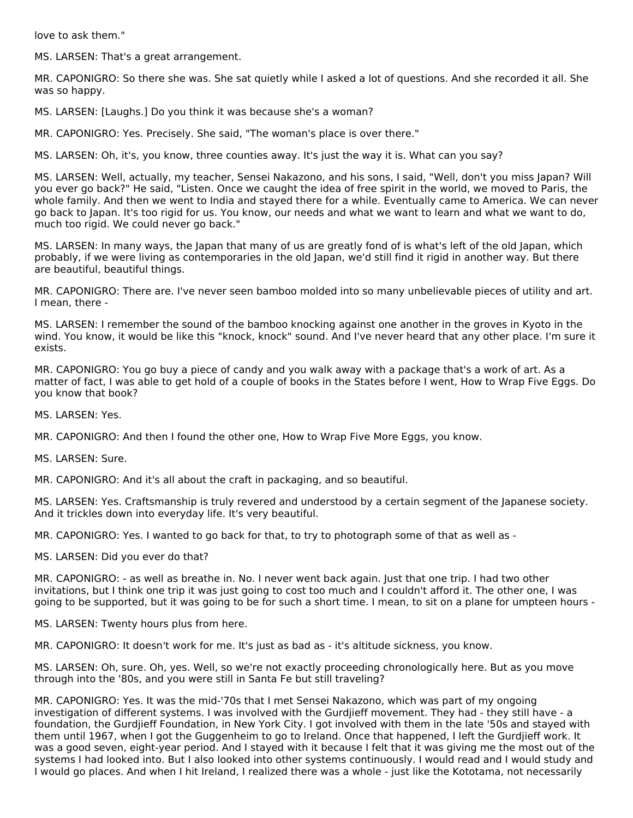love to ask them."

MS. LARSEN: That's a great arrangement.

MR. CAPONIGRO: So there she was. She sat quietly while I asked a lot of questions. And she recorded it all. She was so happy.

MS. LARSEN: [Laughs.] Do you think it was because she's a woman?

MR. CAPONIGRO: Yes. Precisely. She said, "The woman's place is over there."

MS. LARSEN: Oh, it's, you know, three counties away. It's just the way it is. What can you say?

MS. LARSEN: Well, actually, my teacher, Sensei Nakazono, and his sons, I said, "Well, don't you miss Japan? Will you ever go back?" He said, "Listen. Once we caught the idea of free spirit in the world, we moved to Paris, the whole family. And then we went to India and stayed there for a while. Eventually came to America. We can never go back to Japan. It's too rigid for us. You know, our needs and what we want to learn and what we want to do, much too rigid. We could never go back."

MS. LARSEN: In many ways, the Japan that many of us are greatly fond of is what's left of the old Japan, which probably, if we were living as contemporaries in the old Japan, we'd still find it rigid in another way. But there are beautiful, beautiful things.

MR. CAPONIGRO: There are. I've never seen bamboo molded into so many unbelievable pieces of utility and art. I mean, there -

MS. LARSEN: I remember the sound of the bamboo knocking against one another in the groves in Kyoto in the wind. You know, it would be like this "knock, knock" sound. And I've never heard that any other place. I'm sure it exists.

MR. CAPONIGRO: You go buy a piece of candy and you walk away with a package that's a work of art. As a matter of fact, I was able to get hold of a couple of books in the States before I went, How to Wrap Five Eggs. Do you know that book?

MS. LARSEN: Yes.

MR. CAPONIGRO: And then I found the other one, How to Wrap Five More Eggs, you know.

MS. LARSEN: Sure.

MR. CAPONIGRO: And it's all about the craft in packaging, and so beautiful.

MS. LARSEN: Yes. Craftsmanship is truly revered and understood by a certain segment of the Japanese society. And it trickles down into everyday life. It's very beautiful.

MR. CAPONIGRO: Yes. I wanted to go back for that, to try to photograph some of that as well as -

MS. LARSEN: Did you ever do that?

MR. CAPONIGRO: - as well as breathe in. No. I never went back again. Just that one trip. I had two other invitations, but I think one trip it was just going to cost too much and I couldn't afford it. The other one, I was going to be supported, but it was going to be for such a short time. I mean, to sit on a plane for umpteen hours -

MS. LARSEN: Twenty hours plus from here.

MR. CAPONIGRO: It doesn't work for me. It's just as bad as - it's altitude sickness, you know.

MS. LARSEN: Oh, sure. Oh, yes. Well, so we're not exactly proceeding chronologically here. But as you move through into the '80s, and you were still in Santa Fe but still traveling?

MR. CAPONIGRO: Yes. It was the mid-'70s that I met Sensei Nakazono, which was part of my ongoing investigation of different systems. I was involved with the Gurdjieff movement. They had - they still have - a foundation, the Gurdjieff Foundation, in New York City. I got involved with them in the late '50s and stayed with them until 1967, when I got the Guggenheim to go to Ireland. Once that happened, I left the Gurdjieff work. It was a good seven, eight-year period. And I stayed with it because I felt that it was giving me the most out of the systems I had looked into. But I also looked into other systems continuously. I would read and I would study and I would go places. And when I hit Ireland, I realized there was a whole - just like the Kototama, not necessarily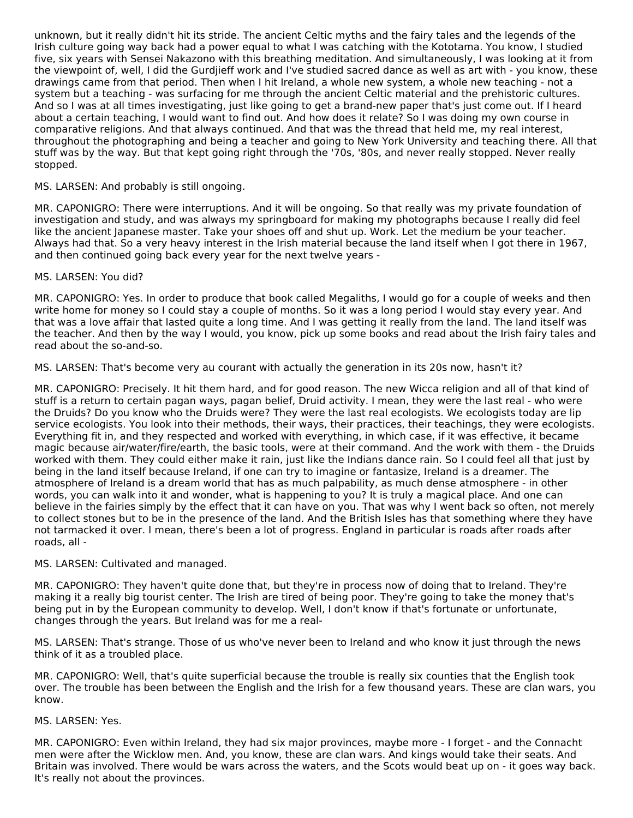unknown, but it really didn't hit its stride. The ancient Celtic myths and the fairy tales and the legends of the Irish culture going way back had a power equal to what I was catching with the Kototama. You know, I studied five, six years with Sensei Nakazono with this breathing meditation. And simultaneously, I was looking at it from the viewpoint of, well, I did the Gurdjieff work and I've studied sacred dance as well as art with - you know, these drawings came from that period. Then when I hit Ireland, a whole new system, a whole new teaching - not a system but a teaching - was surfacing for me through the ancient Celtic material and the prehistoric cultures. And so I was at all times investigating, just like going to get a brand-new paper that's just come out. If I heard about a certain teaching, I would want to find out. And how does it relate? So I was doing my own course in comparative religions. And that always continued. And that was the thread that held me, my real interest, throughout the photographing and being a teacher and going to New York University and teaching there. All that stuff was by the way. But that kept going right through the '70s, '80s, and never really stopped. Never really stopped.

# MS. LARSEN: And probably is still ongoing.

MR. CAPONIGRO: There were interruptions. And it will be ongoing. So that really was my private foundation of investigation and study, and was always my springboard for making my photographs because I really did feel like the ancient Japanese master. Take your shoes off and shut up. Work. Let the medium be your teacher. Always had that. So a very heavy interest in the Irish material because the land itself when I got there in 1967, and then continued going back every year for the next twelve years -

### MS. LARSEN: You did?

MR. CAPONIGRO: Yes. In order to produce that book called Megaliths, I would go for a couple of weeks and then write home for money so I could stay a couple of months. So it was a long period I would stay every year. And that was a love affair that lasted quite a long time. And I was getting it really from the land. The land itself was the teacher. And then by the way I would, you know, pick up some books and read about the Irish fairy tales and read about the so-and-so.

MS. LARSEN: That's become very au courant with actually the generation in its 20s now, hasn't it?

MR. CAPONIGRO: Precisely. It hit them hard, and for good reason. The new Wicca religion and all of that kind of stuff is a return to certain pagan ways, pagan belief, Druid activity. I mean, they were the last real - who were the Druids? Do you know who the Druids were? They were the last real ecologists. We ecologists today are lip service ecologists. You look into their methods, their ways, their practices, their teachings, they were ecologists. Everything fit in, and they respected and worked with everything, in which case, if it was effective, it became magic because air/water/fire/earth, the basic tools, were at their command. And the work with them - the Druids worked with them. They could either make it rain, just like the Indians dance rain. So I could feel all that just by being in the land itself because Ireland, if one can try to imagine or fantasize, Ireland is a dreamer. The atmosphere of Ireland is a dream world that has as much palpability, as much dense atmosphere - in other words, you can walk into it and wonder, what is happening to you? It is truly a magical place. And one can believe in the fairies simply by the effect that it can have on you. That was why I went back so often, not merely to collect stones but to be in the presence of the land. And the British Isles has that something where they have not tarmacked it over. I mean, there's been a lot of progress. England in particular is roads after roads after roads, all -

#### MS. LARSEN: Cultivated and managed.

MR. CAPONIGRO: They haven't quite done that, but they're in process now of doing that to Ireland. They're making it a really big tourist center. The Irish are tired of being poor. They're going to take the money that's being put in by the European community to develop. Well, I don't know if that's fortunate or unfortunate, changes through the years. But Ireland was for me a real-

MS. LARSEN: That's strange. Those of us who've never been to Ireland and who know it just through the news think of it as a troubled place.

MR. CAPONIGRO: Well, that's quite superficial because the trouble is really six counties that the English took over. The trouble has been between the English and the Irish for a few thousand years. These are clan wars, you know.

#### MS. LARSEN: Yes.

MR. CAPONIGRO: Even within Ireland, they had six major provinces, maybe more - I forget - and the Connacht men were after the Wicklow men. And, you know, these are clan wars. And kings would take their seats. And Britain was involved. There would be wars across the waters, and the Scots would beat up on - it goes way back. It's really not about the provinces.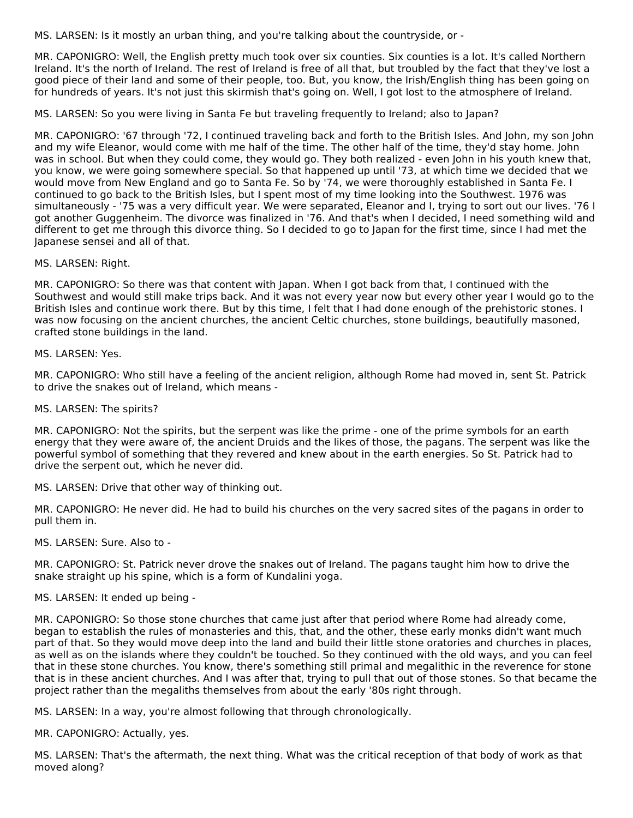MS. LARSEN: Is it mostly an urban thing, and you're talking about the countryside, or -

MR. CAPONIGRO: Well, the English pretty much took over six counties. Six counties is a lot. It's called Northern Ireland. It's the north of Ireland. The rest of Ireland is free of all that, but troubled by the fact that they've lost a good piece of their land and some of their people, too. But, you know, the Irish/English thing has been going on for hundreds of years. It's not just this skirmish that's going on. Well, I got lost to the atmosphere of Ireland.

MS. LARSEN: So you were living in Santa Fe but traveling frequently to Ireland; also to Japan?

MR. CAPONIGRO: '67 through '72, I continued traveling back and forth to the British Isles. And John, my son John and my wife Eleanor, would come with me half of the time. The other half of the time, they'd stay home. John was in school. But when they could come, they would go. They both realized - even John in his youth knew that, you know, we were going somewhere special. So that happened up until '73, at which time we decided that we would move from New England and go to Santa Fe. So by '74, we were thoroughly established in Santa Fe. I continued to go back to the British Isles, but I spent most of my time looking into the Southwest. 1976 was simultaneously - '75 was a very difficult year. We were separated, Eleanor and I, trying to sort out our lives. '76 I got another Guggenheim. The divorce was finalized in '76. And that's when I decided, I need something wild and different to get me through this divorce thing. So I decided to go to Japan for the first time, since I had met the Japanese sensei and all of that.

MS. LARSEN: Right.

MR. CAPONIGRO: So there was that content with Japan. When I got back from that, I continued with the Southwest and would still make trips back. And it was not every year now but every other year I would go to the British Isles and continue work there. But by this time, I felt that I had done enough of the prehistoric stones. I was now focusing on the ancient churches, the ancient Celtic churches, stone buildings, beautifully masoned, crafted stone buildings in the land.

MS. LARSEN: Yes.

MR. CAPONIGRO: Who still have a feeling of the ancient religion, although Rome had moved in, sent St. Patrick to drive the snakes out of Ireland, which means -

MS. LARSEN: The spirits?

MR. CAPONIGRO: Not the spirits, but the serpent was like the prime - one of the prime symbols for an earth energy that they were aware of, the ancient Druids and the likes of those, the pagans. The serpent was like the powerful symbol of something that they revered and knew about in the earth energies. So St. Patrick had to drive the serpent out, which he never did.

MS. LARSEN: Drive that other way of thinking out.

MR. CAPONIGRO: He never did. He had to build his churches on the very sacred sites of the pagans in order to pull them in.

MS. LARSEN: Sure. Also to -

MR. CAPONIGRO: St. Patrick never drove the snakes out of Ireland. The pagans taught him how to drive the snake straight up his spine, which is a form of Kundalini yoga.

MS. LARSEN: It ended up being -

MR. CAPONIGRO: So those stone churches that came just after that period where Rome had already come, began to establish the rules of monasteries and this, that, and the other, these early monks didn't want much part of that. So they would move deep into the land and build their little stone oratories and churches in places, as well as on the islands where they couldn't be touched. So they continued with the old ways, and you can feel that in these stone churches. You know, there's something still primal and megalithic in the reverence for stone that is in these ancient churches. And I was after that, trying to pull that out of those stones. So that became the project rather than the megaliths themselves from about the early '80s right through.

MS. LARSEN: In a way, you're almost following that through chronologically.

MR. CAPONIGRO: Actually, yes.

MS. LARSEN: That's the aftermath, the next thing. What was the critical reception of that body of work as that moved along?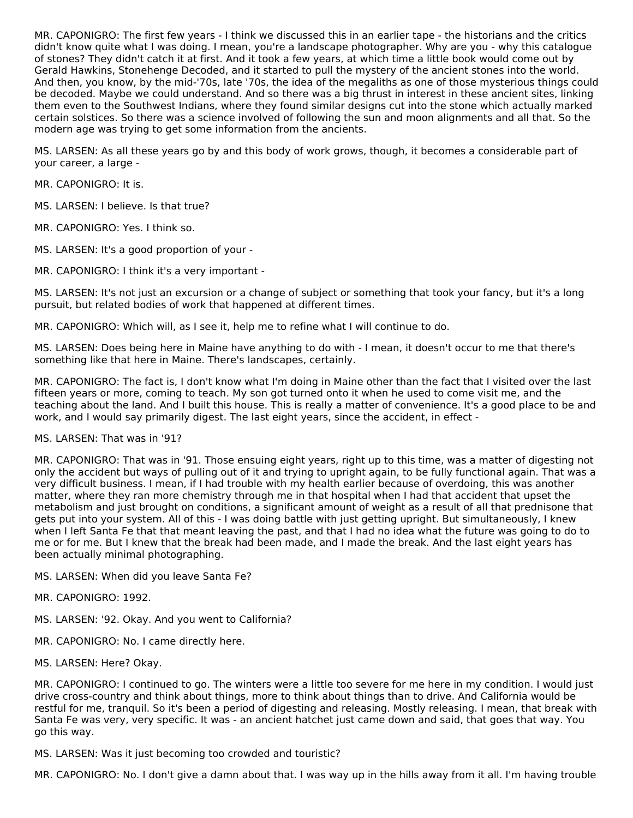MR. CAPONIGRO: The first few years - I think we discussed this in an earlier tape - the historians and the critics didn't know quite what I was doing. I mean, you're a landscape photographer. Why are you - why this catalogue of stones? They didn't catch it at first. And it took a few years, at which time a little book would come out by Gerald Hawkins, Stonehenge Decoded, and it started to pull the mystery of the ancient stones into the world. And then, you know, by the mid-'70s, late '70s, the idea of the megaliths as one of those mysterious things could be decoded. Maybe we could understand. And so there was a big thrust in interest in these ancient sites, linking them even to the Southwest Indians, where they found similar designs cut into the stone which actually marked certain solstices. So there was a science involved of following the sun and moon alignments and all that. So the modern age was trying to get some information from the ancients.

MS. LARSEN: As all these years go by and this body of work grows, though, it becomes a considerable part of your career, a large -

MR. CAPONIGRO: It is.

MS. LARSEN: I believe. Is that true?

MR. CAPONIGRO: Yes. I think so.

MS. LARSEN: It's a good proportion of your -

MR. CAPONIGRO: I think it's a very important -

MS. LARSEN: It's not just an excursion or a change of subject or something that took your fancy, but it's a long pursuit, but related bodies of work that happened at different times.

MR. CAPONIGRO: Which will, as I see it, help me to refine what I will continue to do.

MS. LARSEN: Does being here in Maine have anything to do with - I mean, it doesn't occur to me that there's something like that here in Maine. There's landscapes, certainly.

MR. CAPONIGRO: The fact is, I don't know what I'm doing in Maine other than the fact that I visited over the last fifteen years or more, coming to teach. My son got turned onto it when he used to come visit me, and the teaching about the land. And I built this house. This is really a matter of convenience. It's a good place to be and work, and I would say primarily digest. The last eight years, since the accident, in effect -

MS. LARSEN: That was in '91?

MR. CAPONIGRO: That was in '91. Those ensuing eight years, right up to this time, was a matter of digesting not only the accident but ways of pulling out of it and trying to upright again, to be fully functional again. That was a very difficult business. I mean, if I had trouble with my health earlier because of overdoing, this was another matter, where they ran more chemistry through me in that hospital when I had that accident that upset the metabolism and just brought on conditions, a significant amount of weight as a result of all that prednisone that gets put into your system. All of this - I was doing battle with just getting upright. But simultaneously, I knew when I left Santa Fe that that meant leaving the past, and that I had no idea what the future was going to do to me or for me. But I knew that the break had been made, and I made the break. And the last eight years has been actually minimal photographing.

- MS. LARSEN: When did you leave Santa Fe?
- MR. CAPONIGRO: 1992.
- MS. LARSEN: '92. Okay. And you went to California?
- MR. CAPONIGRO: No. I came directly here.
- MS. LARSEN: Here? Okay.

MR. CAPONIGRO: I continued to go. The winters were a little too severe for me here in my condition. I would just drive cross-country and think about things, more to think about things than to drive. And California would be restful for me, tranquil. So it's been a period of digesting and releasing. Mostly releasing. I mean, that break with Santa Fe was very, very specific. It was - an ancient hatchet just came down and said, that goes that way. You go this way.

MS. LARSEN: Was it just becoming too crowded and touristic?

MR. CAPONIGRO: No. I don't give a damn about that. I was way up in the hills away from it all. I'm having trouble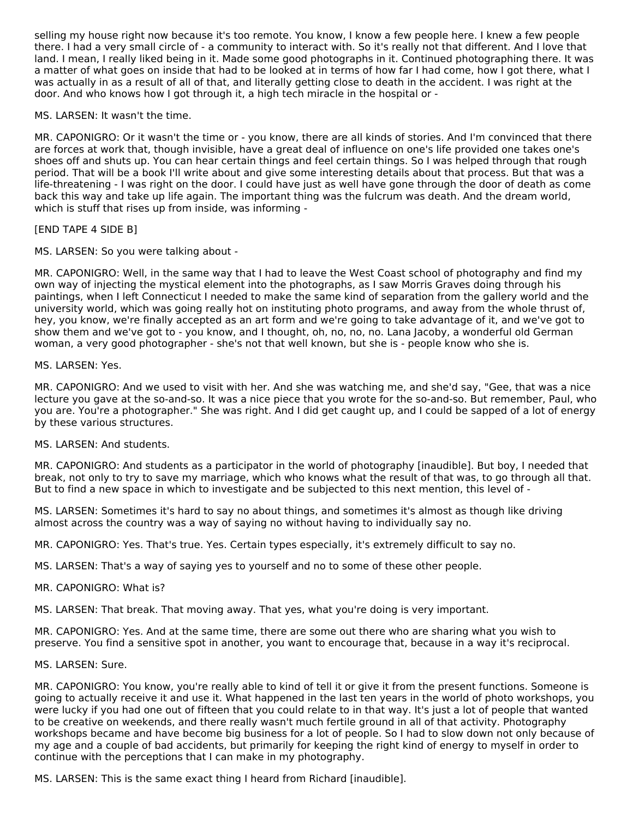selling my house right now because it's too remote. You know, I know a few people here. I knew a few people there. I had a very small circle of - a community to interact with. So it's really not that different. And I love that land. I mean, I really liked being in it. Made some good photographs in it. Continued photographing there. It was a matter of what goes on inside that had to be looked at in terms of how far I had come, how I got there, what I was actually in as a result of all of that, and literally getting close to death in the accident. I was right at the door. And who knows how I got through it, a high tech miracle in the hospital or -

MS. LARSEN: It wasn't the time.

MR. CAPONIGRO: Or it wasn't the time or - you know, there are all kinds of stories. And I'm convinced that there are forces at work that, though invisible, have a great deal of influence on one's life provided one takes one's shoes off and shuts up. You can hear certain things and feel certain things. So I was helped through that rough period. That will be a book I'll write about and give some interesting details about that process. But that was a life-threatening - I was right on the door. I could have just as well have gone through the door of death as come back this way and take up life again. The important thing was the fulcrum was death. And the dream world, which is stuff that rises up from inside, was informing -

[END TAPE 4 SIDE B]

MS. LARSEN: So you were talking about -

MR. CAPONIGRO: Well, in the same way that I had to leave the West Coast school of photography and find my own way of injecting the mystical element into the photographs, as I saw Morris Graves doing through his paintings, when I left Connecticut I needed to make the same kind of separation from the gallery world and the university world, which was going really hot on instituting photo programs, and away from the whole thrust of, hey, you know, we're finally accepted as an art form and we're going to take advantage of it, and we've got to show them and we've got to - you know, and I thought, oh, no, no, no. Lana Jacoby, a wonderful old German woman, a very good photographer - she's not that well known, but she is - people know who she is.

MS. LARSEN: Yes.

MR. CAPONIGRO: And we used to visit with her. And she was watching me, and she'd say, "Gee, that was a nice lecture you gave at the so-and-so. It was a nice piece that you wrote for the so-and-so. But remember, Paul, who you are. You're a photographer." She was right. And I did get caught up, and I could be sapped of a lot of energy by these various structures.

#### MS. LARSEN: And students.

MR. CAPONIGRO: And students as a participator in the world of photography [inaudible]. But boy, I needed that break, not only to try to save my marriage, which who knows what the result of that was, to go through all that. But to find a new space in which to investigate and be subjected to this next mention, this level of -

MS. LARSEN: Sometimes it's hard to say no about things, and sometimes it's almost as though like driving almost across the country was a way of saying no without having to individually say no.

MR. CAPONIGRO: Yes. That's true. Yes. Certain types especially, it's extremely difficult to say no.

MS. LARSEN: That's a way of saying yes to yourself and no to some of these other people.

MR. CAPONIGRO: What is?

MS. LARSEN: That break. That moving away. That yes, what you're doing is very important.

MR. CAPONIGRO: Yes. And at the same time, there are some out there who are sharing what you wish to preserve. You find a sensitive spot in another, you want to encourage that, because in a way it's reciprocal.

#### MS. LARSEN: Sure.

MR. CAPONIGRO: You know, you're really able to kind of tell it or give it from the present functions. Someone is going to actually receive it and use it. What happened in the last ten years in the world of photo workshops, you were lucky if you had one out of fifteen that you could relate to in that way. It's just a lot of people that wanted to be creative on weekends, and there really wasn't much fertile ground in all of that activity. Photography workshops became and have become big business for a lot of people. So I had to slow down not only because of my age and a couple of bad accidents, but primarily for keeping the right kind of energy to myself in order to continue with the perceptions that I can make in my photography.

MS. LARSEN: This is the same exact thing I heard from Richard [inaudible].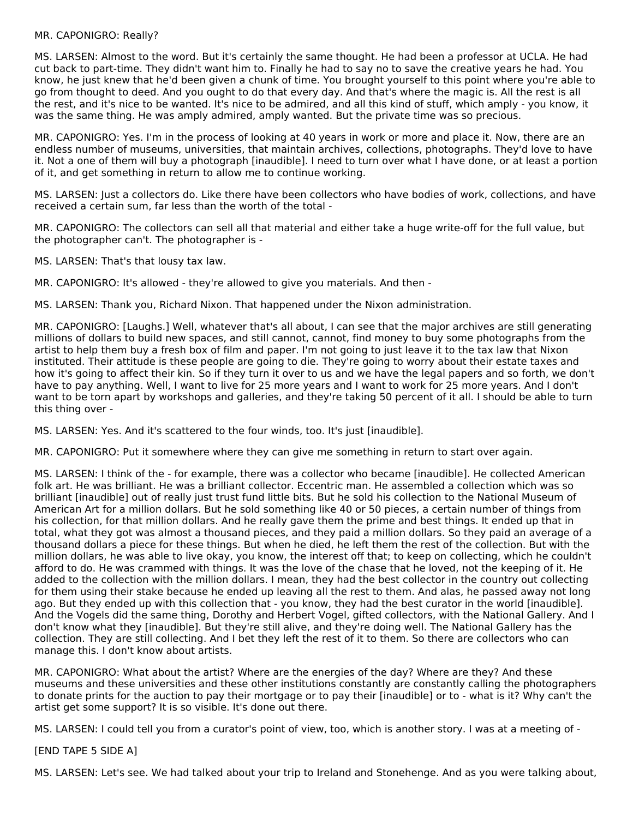#### MR. CAPONIGRO: Really?

MS. LARSEN: Almost to the word. But it's certainly the same thought. He had been a professor at UCLA. He had cut back to part-time. They didn't want him to. Finally he had to say no to save the creative years he had. You know, he just knew that he'd been given a chunk of time. You brought yourself to this point where you're able to go from thought to deed. And you ought to do that every day. And that's where the magic is. All the rest is all the rest, and it's nice to be wanted. It's nice to be admired, and all this kind of stuff, which amply - you know, it was the same thing. He was amply admired, amply wanted. But the private time was so precious.

MR. CAPONIGRO: Yes. I'm in the process of looking at 40 years in work or more and place it. Now, there are an endless number of museums, universities, that maintain archives, collections, photographs. They'd love to have it. Not a one of them will buy a photograph [inaudible]. I need to turn over what I have done, or at least a portion of it, and get something in return to allow me to continue working.

MS. LARSEN: Just a collectors do. Like there have been collectors who have bodies of work, collections, and have received a certain sum, far less than the worth of the total -

MR. CAPONIGRO: The collectors can sell all that material and either take a huge write-off for the full value, but the photographer can't. The photographer is -

MS. LARSEN: That's that lousy tax law.

MR. CAPONIGRO: It's allowed - they're allowed to give you materials. And then -

MS. LARSEN: Thank you, Richard Nixon. That happened under the Nixon administration.

MR. CAPONIGRO: [Laughs.] Well, whatever that's all about, I can see that the major archives are still generating millions of dollars to build new spaces, and still cannot, cannot, find money to buy some photographs from the artist to help them buy a fresh box of film and paper. I'm not going to just leave it to the tax law that Nixon instituted. Their attitude is these people are going to die. They're going to worry about their estate taxes and how it's going to affect their kin. So if they turn it over to us and we have the legal papers and so forth, we don't have to pay anything. Well, I want to live for 25 more years and I want to work for 25 more years. And I don't want to be torn apart by workshops and galleries, and they're taking 50 percent of it all. I should be able to turn this thing over -

MS. LARSEN: Yes. And it's scattered to the four winds, too. It's just [inaudible].

MR. CAPONIGRO: Put it somewhere where they can give me something in return to start over again.

MS. LARSEN: I think of the - for example, there was a collector who became [inaudible]. He collected American folk art. He was brilliant. He was a brilliant collector. Eccentric man. He assembled a collection which was so brilliant [inaudible] out of really just trust fund little bits. But he sold his collection to the National Museum of American Art for a million dollars. But he sold something like 40 or 50 pieces, a certain number of things from his collection, for that million dollars. And he really gave them the prime and best things. It ended up that in total, what they got was almost a thousand pieces, and they paid a million dollars. So they paid an average of a thousand dollars a piece for these things. But when he died, he left them the rest of the collection. But with the million dollars, he was able to live okay, you know, the interest off that; to keep on collecting, which he couldn't afford to do. He was crammed with things. It was the love of the chase that he loved, not the keeping of it. He added to the collection with the million dollars. I mean, they had the best collector in the country out collecting for them using their stake because he ended up leaving all the rest to them. And alas, he passed away not long ago. But they ended up with this collection that - you know, they had the best curator in the world [inaudible]. And the Vogels did the same thing, Dorothy and Herbert Vogel, gifted collectors, with the National Gallery. And I don't know what they [inaudible]. But they're still alive, and they're doing well. The National Gallery has the collection. They are still collecting. And I bet they left the rest of it to them. So there are collectors who can manage this. I don't know about artists.

MR. CAPONIGRO: What about the artist? Where are the energies of the day? Where are they? And these museums and these universities and these other institutions constantly are constantly calling the photographers to donate prints for the auction to pay their mortgage or to pay their [inaudible] or to - what is it? Why can't the artist get some support? It is so visible. It's done out there.

MS. LARSEN: I could tell you from a curator's point of view, too, which is another story. I was at a meeting of -

[END TAPE 5 SIDE A]

MS. LARSEN: Let's see. We had talked about your trip to Ireland and Stonehenge. And as you were talking about,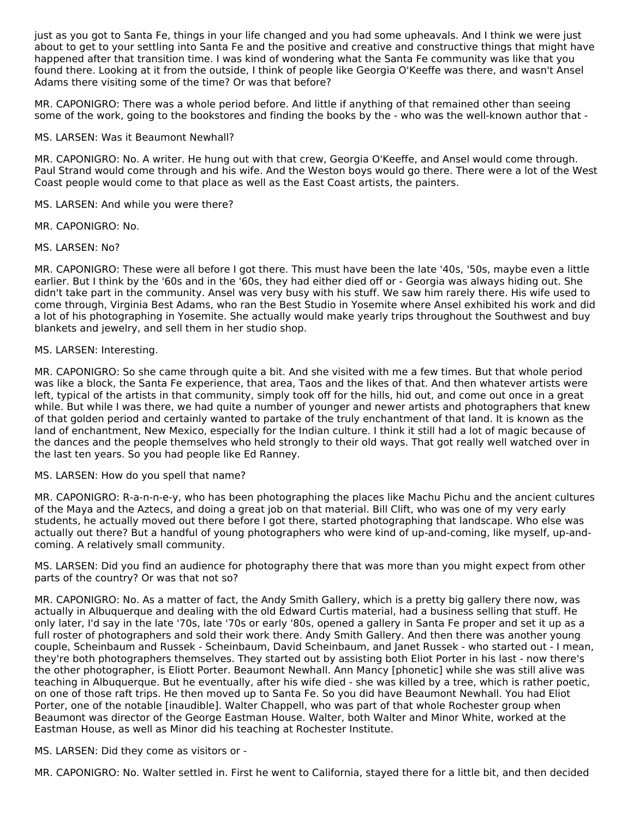just as you got to Santa Fe, things in your life changed and you had some upheavals. And I think we were just about to get to your settling into Santa Fe and the positive and creative and constructive things that might have happened after that transition time. I was kind of wondering what the Santa Fe community was like that you found there. Looking at it from the outside, I think of people like Georgia O'Keeffe was there, and wasn't Ansel Adams there visiting some of the time? Or was that before?

MR. CAPONIGRO: There was a whole period before. And little if anything of that remained other than seeing some of the work, going to the bookstores and finding the books by the - who was the well-known author that -

#### MS. LARSEN: Was it Beaumont Newhall?

MR. CAPONIGRO: No. A writer. He hung out with that crew, Georgia O'Keeffe, and Ansel would come through. Paul Strand would come through and his wife. And the Weston boys would go there. There were a lot of the West Coast people would come to that place as well as the East Coast artists, the painters.

MS. LARSEN: And while you were there?

MR. CAPONIGRO: No.

MS. LARSEN: No?

MR. CAPONIGRO: These were all before I got there. This must have been the late '40s, '50s, maybe even a little earlier. But I think by the '60s and in the '60s, they had either died off or - Georgia was always hiding out. She didn't take part in the community. Ansel was very busy with his stuff. We saw him rarely there. His wife used to come through, Virginia Best Adams, who ran the Best Studio in Yosemite where Ansel exhibited his work and did a lot of his photographing in Yosemite. She actually would make yearly trips throughout the Southwest and buy blankets and jewelry, and sell them in her studio shop.

### MS. LARSEN: Interesting.

MR. CAPONIGRO: So she came through quite a bit. And she visited with me a few times. But that whole period was like a block, the Santa Fe experience, that area, Taos and the likes of that. And then whatever artists were left, typical of the artists in that community, simply took off for the hills, hid out, and come out once in a great while. But while I was there, we had quite a number of younger and newer artists and photographers that knew of that golden period and certainly wanted to partake of the truly enchantment of that land. It is known as the land of enchantment, New Mexico, especially for the Indian culture. I think it still had a lot of magic because of the dances and the people themselves who held strongly to their old ways. That got really well watched over in the last ten years. So you had people like Ed Ranney.

MS. LARSEN: How do you spell that name?

MR. CAPONIGRO: R-a-n-n-e-y, who has been photographing the places like Machu Pichu and the ancient cultures of the Maya and the Aztecs, and doing a great job on that material. Bill Clift, who was one of my very early students, he actually moved out there before I got there, started photographing that landscape. Who else was actually out there? But a handful of young photographers who were kind of up-and-coming, like myself, up-andcoming. A relatively small community.

MS. LARSEN: Did you find an audience for photography there that was more than you might expect from other parts of the country? Or was that not so?

MR. CAPONIGRO: No. As a matter of fact, the Andy Smith Gallery, which is a pretty big gallery there now, was actually in Albuquerque and dealing with the old Edward Curtis material, had a business selling that stuff. He only later, I'd say in the late '70s, late '70s or early '80s, opened a gallery in Santa Fe proper and set it up as a full roster of photographers and sold their work there. Andy Smith Gallery. And then there was another young couple, Scheinbaum and Russek - Scheinbaum, David Scheinbaum, and Janet Russek - who started out - I mean, they're both photographers themselves. They started out by assisting both Eliot Porter in his last - now there's the other photographer, is Eliott Porter. Beaumont Newhall. Ann Mancy [phonetic] while she was still alive was teaching in Albuquerque. But he eventually, after his wife died - she was killed by a tree, which is rather poetic, on one of those raft trips. He then moved up to Santa Fe. So you did have Beaumont Newhall. You had Eliot Porter, one of the notable [inaudible]. Walter Chappell, who was part of that whole Rochester group when Beaumont was director of the George Eastman House. Walter, both Walter and Minor White, worked at the Eastman House, as well as Minor did his teaching at Rochester Institute.

MS. LARSEN: Did they come as visitors or -

MR. CAPONIGRO: No. Walter settled in. First he went to California, stayed there for a little bit, and then decided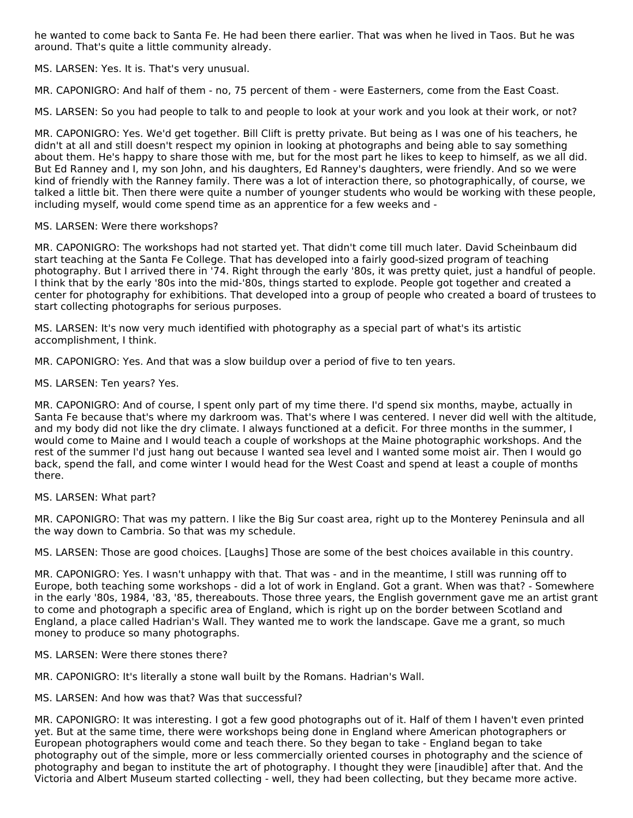he wanted to come back to Santa Fe. He had been there earlier. That was when he lived in Taos. But he was around. That's quite a little community already.

MS. LARSEN: Yes. It is. That's very unusual.

MR. CAPONIGRO: And half of them - no, 75 percent of them - were Easterners, come from the East Coast.

MS. LARSEN: So you had people to talk to and people to look at your work and you look at their work, or not?

MR. CAPONIGRO: Yes. We'd get together. Bill Clift is pretty private. But being as I was one of his teachers, he didn't at all and still doesn't respect my opinion in looking at photographs and being able to say something about them. He's happy to share those with me, but for the most part he likes to keep to himself, as we all did. But Ed Ranney and I, my son John, and his daughters, Ed Ranney's daughters, were friendly. And so we were kind of friendly with the Ranney family. There was a lot of interaction there, so photographically, of course, we talked a little bit. Then there were quite a number of younger students who would be working with these people, including myself, would come spend time as an apprentice for a few weeks and -

### MS. LARSEN: Were there workshops?

MR. CAPONIGRO: The workshops had not started yet. That didn't come till much later. David Scheinbaum did start teaching at the Santa Fe College. That has developed into a fairly good-sized program of teaching photography. But I arrived there in '74. Right through the early '80s, it was pretty quiet, just a handful of people. I think that by the early '80s into the mid-'80s, things started to explode. People got together and created a center for photography for exhibitions. That developed into a group of people who created a board of trustees to start collecting photographs for serious purposes.

MS. LARSEN: It's now very much identified with photography as a special part of what's its artistic accomplishment, I think.

MR. CAPONIGRO: Yes. And that was a slow buildup over a period of five to ten years.

MS. LARSEN: Ten years? Yes.

MR. CAPONIGRO: And of course, I spent only part of my time there. I'd spend six months, maybe, actually in Santa Fe because that's where my darkroom was. That's where I was centered. I never did well with the altitude, and my body did not like the dry climate. I always functioned at a deficit. For three months in the summer, I would come to Maine and I would teach a couple of workshops at the Maine photographic workshops. And the rest of the summer I'd just hang out because I wanted sea level and I wanted some moist air. Then I would go back, spend the fall, and come winter I would head for the West Coast and spend at least a couple of months there.

#### MS. LARSEN: What part?

MR. CAPONIGRO: That was my pattern. I like the Big Sur coast area, right up to the Monterey Peninsula and all the way down to Cambria. So that was my schedule.

MS. LARSEN: Those are good choices. [Laughs] Those are some of the best choices available in this country.

MR. CAPONIGRO: Yes. I wasn't unhappy with that. That was - and in the meantime, I still was running off to Europe, both teaching some workshops - did a lot of work in England. Got a grant. When was that? - Somewhere in the early '80s, 1984, '83, '85, thereabouts. Those three years, the English government gave me an artist grant to come and photograph a specific area of England, which is right up on the border between Scotland and England, a place called Hadrian's Wall. They wanted me to work the landscape. Gave me a grant, so much money to produce so many photographs.

#### MS. LARSEN: Were there stones there?

MR. CAPONIGRO: It's literally a stone wall built by the Romans. Hadrian's Wall.

#### MS. LARSEN: And how was that? Was that successful?

MR. CAPONIGRO: It was interesting. I got a few good photographs out of it. Half of them I haven't even printed yet. But at the same time, there were workshops being done in England where American photographers or European photographers would come and teach there. So they began to take - England began to take photography out of the simple, more or less commercially oriented courses in photography and the science of photography and began to institute the art of photography. I thought they were [inaudible] after that. And the Victoria and Albert Museum started collecting - well, they had been collecting, but they became more active.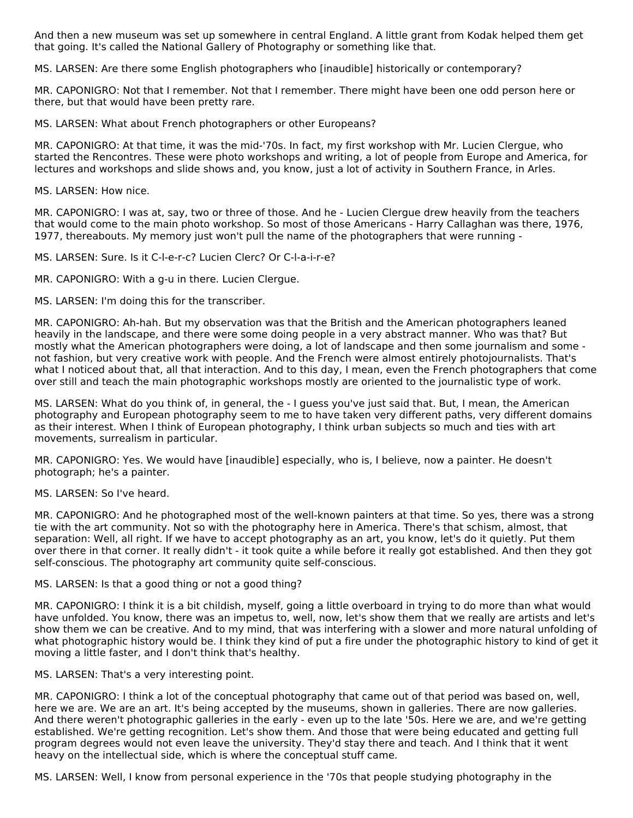And then a new museum was set up somewhere in central England. A little grant from Kodak helped them get that going. It's called the National Gallery of Photography or something like that.

MS. LARSEN: Are there some English photographers who [inaudible] historically or contemporary?

MR. CAPONIGRO: Not that I remember. Not that I remember. There might have been one odd person here or there, but that would have been pretty rare.

MS. LARSEN: What about French photographers or other Europeans?

MR. CAPONIGRO: At that time, it was the mid-'70s. In fact, my first workshop with Mr. Lucien Clergue, who started the Rencontres. These were photo workshops and writing, a lot of people from Europe and America, for lectures and workshops and slide shows and, you know, just a lot of activity in Southern France, in Arles.

MS. LARSEN: How nice.

MR. CAPONIGRO: I was at, say, two or three of those. And he - Lucien Clergue drew heavily from the teachers that would come to the main photo workshop. So most of those Americans - Harry Callaghan was there, 1976, 1977, thereabouts. My memory just won't pull the name of the photographers that were running -

MS. LARSEN: Sure. Is it C-l-e-r-c? Lucien Clerc? Or C-l-a-i-r-e?

MR. CAPONIGRO: With a g-u in there. Lucien Clergue.

MS. LARSEN: I'm doing this for the transcriber.

MR. CAPONIGRO: Ah-hah. But my observation was that the British and the American photographers leaned heavily in the landscape, and there were some doing people in a very abstract manner. Who was that? But mostly what the American photographers were doing, a lot of landscape and then some journalism and some not fashion, but very creative work with people. And the French were almost entirely photojournalists. That's what I noticed about that, all that interaction. And to this day, I mean, even the French photographers that come over still and teach the main photographic workshops mostly are oriented to the journalistic type of work.

MS. LARSEN: What do you think of, in general, the - I guess you've just said that. But, I mean, the American photography and European photography seem to me to have taken very different paths, very different domains as their interest. When I think of European photography, I think urban subjects so much and ties with art movements, surrealism in particular.

MR. CAPONIGRO: Yes. We would have [inaudible] especially, who is, I believe, now a painter. He doesn't photograph; he's a painter.

MS. LARSEN: So I've heard.

MR. CAPONIGRO: And he photographed most of the well-known painters at that time. So yes, there was a strong tie with the art community. Not so with the photography here in America. There's that schism, almost, that separation: Well, all right. If we have to accept photography as an art, you know, let's do it quietly. Put them over there in that corner. It really didn't - it took quite a while before it really got established. And then they got self-conscious. The photography art community quite self-conscious.

MS. LARSEN: Is that a good thing or not a good thing?

MR. CAPONIGRO: I think it is a bit childish, myself, going a little overboard in trying to do more than what would have unfolded. You know, there was an impetus to, well, now, let's show them that we really are artists and let's show them we can be creative. And to my mind, that was interfering with a slower and more natural unfolding of what photographic history would be. I think they kind of put a fire under the photographic history to kind of get it moving a little faster, and I don't think that's healthy.

MS. LARSEN: That's a very interesting point.

MR. CAPONIGRO: I think a lot of the conceptual photography that came out of that period was based on, well, here we are. We are an art. It's being accepted by the museums, shown in galleries. There are now galleries. And there weren't photographic galleries in the early - even up to the late '50s. Here we are, and we're getting established. We're getting recognition. Let's show them. And those that were being educated and getting full program degrees would not even leave the university. They'd stay there and teach. And I think that it went heavy on the intellectual side, which is where the conceptual stuff came.

MS. LARSEN: Well, I know from personal experience in the '70s that people studying photography in the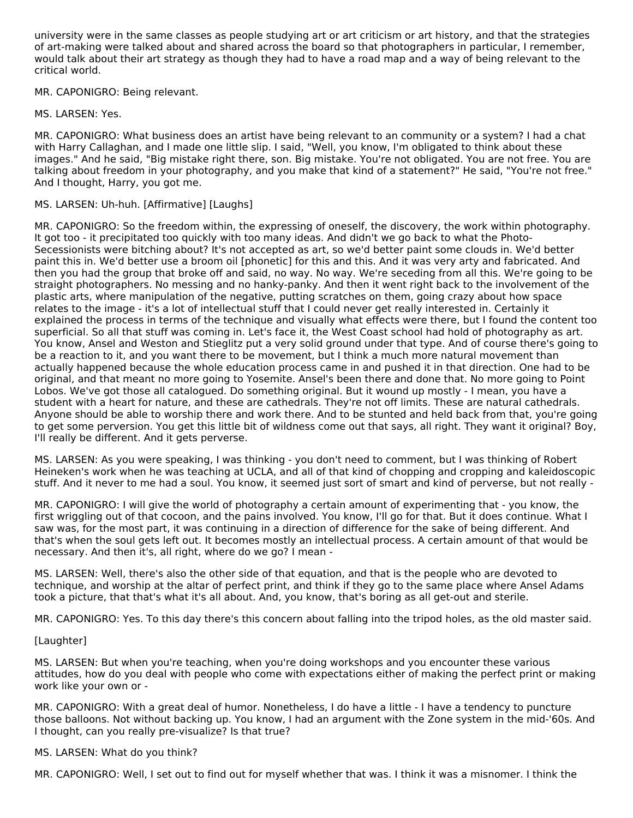university were in the same classes as people studying art or art criticism or art history, and that the strategies of art-making were talked about and shared across the board so that photographers in particular, I remember, would talk about their art strategy as though they had to have a road map and a way of being relevant to the critical world.

# MR. CAPONIGRO: Being relevant.

MS. LARSEN: Yes.

MR. CAPONIGRO: What business does an artist have being relevant to an community or a system? I had a chat with Harry Callaghan, and I made one little slip. I said, "Well, you know, I'm obligated to think about these images." And he said, "Big mistake right there, son. Big mistake. You're not obligated. You are not free. You are talking about freedom in your photography, and you make that kind of a statement?" He said, "You're not free." And I thought, Harry, you got me.

### MS. LARSEN: Uh-huh. [Affirmative] [Laughs]

MR. CAPONIGRO: So the freedom within, the expressing of oneself, the discovery, the work within photography. It got too - it precipitated too quickly with too many ideas. And didn't we go back to what the Photo-Secessionists were bitching about? It's not accepted as art, so we'd better paint some clouds in. We'd better paint this in. We'd better use a broom oil [phonetic] for this and this. And it was very arty and fabricated. And then you had the group that broke off and said, no way. No way. We're seceding from all this. We're going to be straight photographers. No messing and no hanky-panky. And then it went right back to the involvement of the plastic arts, where manipulation of the negative, putting scratches on them, going crazy about how space relates to the image - it's a lot of intellectual stuff that I could never get really interested in. Certainly it explained the process in terms of the technique and visually what effects were there, but I found the content too superficial. So all that stuff was coming in. Let's face it, the West Coast school had hold of photography as art. You know, Ansel and Weston and Stieglitz put a very solid ground under that type. And of course there's going to be a reaction to it, and you want there to be movement, but I think a much more natural movement than actually happened because the whole education process came in and pushed it in that direction. One had to be original, and that meant no more going to Yosemite. Ansel's been there and done that. No more going to Point Lobos. We've got those all catalogued. Do something original. But it wound up mostly - I mean, you have a student with a heart for nature, and these are cathedrals. They're not off limits. These are natural cathedrals. Anyone should be able to worship there and work there. And to be stunted and held back from that, you're going to get some perversion. You get this little bit of wildness come out that says, all right. They want it original? Boy, I'll really be different. And it gets perverse.

MS. LARSEN: As you were speaking, I was thinking - you don't need to comment, but I was thinking of Robert Heineken's work when he was teaching at UCLA, and all of that kind of chopping and cropping and kaleidoscopic stuff. And it never to me had a soul. You know, it seemed just sort of smart and kind of perverse, but not really -

MR. CAPONIGRO: I will give the world of photography a certain amount of experimenting that - you know, the first wriggling out of that cocoon, and the pains involved. You know, I'll go for that. But it does continue. What I saw was, for the most part, it was continuing in a direction of difference for the sake of being different. And that's when the soul gets left out. It becomes mostly an intellectual process. A certain amount of that would be necessary. And then it's, all right, where do we go? I mean -

MS. LARSEN: Well, there's also the other side of that equation, and that is the people who are devoted to technique, and worship at the altar of perfect print, and think if they go to the same place where Ansel Adams took a picture, that that's what it's all about. And, you know, that's boring as all get-out and sterile.

MR. CAPONIGRO: Yes. To this day there's this concern about falling into the tripod holes, as the old master said.

# [Laughter]

MS. LARSEN: But when you're teaching, when you're doing workshops and you encounter these various attitudes, how do you deal with people who come with expectations either of making the perfect print or making work like your own or -

MR. CAPONIGRO: With a great deal of humor. Nonetheless, I do have a little - I have a tendency to puncture those balloons. Not without backing up. You know, I had an argument with the Zone system in the mid-'60s. And I thought, can you really pre-visualize? Is that true?

#### MS. LARSEN: What do you think?

MR. CAPONIGRO: Well, I set out to find out for myself whether that was. I think it was a misnomer. I think the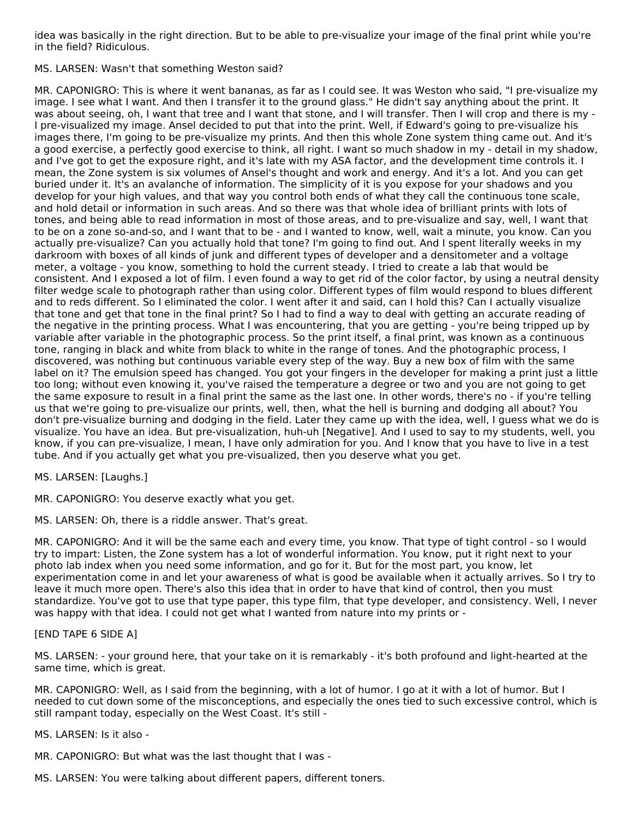idea was basically in the right direction. But to be able to pre-visualize your image of the final print while you're in the field? Ridiculous.

MS. LARSEN: Wasn't that something Weston said?

MR. CAPONIGRO: This is where it went bananas, as far as I could see. It was Weston who said, "I pre-visualize my image. I see what I want. And then I transfer it to the ground glass." He didn't say anything about the print. It was about seeing, oh, I want that tree and I want that stone, and I will transfer. Then I will crop and there is my -I pre-visualized my image. Ansel decided to put that into the print. Well, if Edward's going to pre-visualize his images there, I'm going to be pre-visualize my prints. And then this whole Zone system thing came out. And it's a good exercise, a perfectly good exercise to think, all right. I want so much shadow in my - detail in my shadow, and I've got to get the exposure right, and it's late with my ASA factor, and the development time controls it. I mean, the Zone system is six volumes of Ansel's thought and work and energy. And it's a lot. And you can get buried under it. It's an avalanche of information. The simplicity of it is you expose for your shadows and you develop for your high values, and that way you control both ends of what they call the continuous tone scale, and hold detail or information in such areas. And so there was that whole idea of brilliant prints with lots of tones, and being able to read information in most of those areas, and to pre-visualize and say, well, I want that to be on a zone so-and-so, and I want that to be - and I wanted to know, well, wait a minute, you know. Can you actually pre-visualize? Can you actually hold that tone? I'm going to find out. And I spent literally weeks in my darkroom with boxes of all kinds of junk and different types of developer and a densitometer and a voltage meter, a voltage - you know, something to hold the current steady. I tried to create a lab that would be consistent. And I exposed a lot of film. I even found a way to get rid of the color factor, by using a neutral density filter wedge scale to photograph rather than using color. Different types of film would respond to blues different and to reds different. So I eliminated the color. I went after it and said, can I hold this? Can I actually visualize that tone and get that tone in the final print? So I had to find a way to deal with getting an accurate reading of the negative in the printing process. What I was encountering, that you are getting - you're being tripped up by variable after variable in the photographic process. So the print itself, a final print, was known as a continuous tone, ranging in black and white from black to white in the range of tones. And the photographic process, I discovered, was nothing but continuous variable every step of the way. Buy a new box of film with the same label on it? The emulsion speed has changed. You got your fingers in the developer for making a print just a little too long; without even knowing it, you've raised the temperature a degree or two and you are not going to get the same exposure to result in a final print the same as the last one. In other words, there's no - if you're telling us that we're going to pre-visualize our prints, well, then, what the hell is burning and dodging all about? You don't pre-visualize burning and dodging in the field. Later they came up with the idea, well, I guess what we do is visualize. You have an idea. But pre-visualization, huh-uh [Negative]. And I used to say to my students, well, you know, if you can pre-visualize, I mean, I have only admiration for you. And I know that you have to live in a test tube. And if you actually get what you pre-visualized, then you deserve what you get.

MS. LARSEN: [Laughs.]

MR. CAPONIGRO: You deserve exactly what you get.

MS. LARSEN: Oh, there is a riddle answer. That's great.

MR. CAPONIGRO: And it will be the same each and every time, you know. That type of tight control - so I would try to impart: Listen, the Zone system has a lot of wonderful information. You know, put it right next to your photo lab index when you need some information, and go for it. But for the most part, you know, let experimentation come in and let your awareness of what is good be available when it actually arrives. So I try to leave it much more open. There's also this idea that in order to have that kind of control, then you must standardize. You've got to use that type paper, this type film, that type developer, and consistency. Well, I never was happy with that idea. I could not get what I wanted from nature into my prints or -

[END TAPE 6 SIDE A]

MS. LARSEN: - your ground here, that your take on it is remarkably - it's both profound and light-hearted at the same time, which is great.

MR. CAPONIGRO: Well, as I said from the beginning, with a lot of humor. I go at it with a lot of humor. But I needed to cut down some of the misconceptions, and especially the ones tied to such excessive control, which is still rampant today, especially on the West Coast. It's still -

MS. LARSEN: Is it also -

MR. CAPONIGRO: But what was the last thought that I was -

MS. LARSEN: You were talking about different papers, different toners.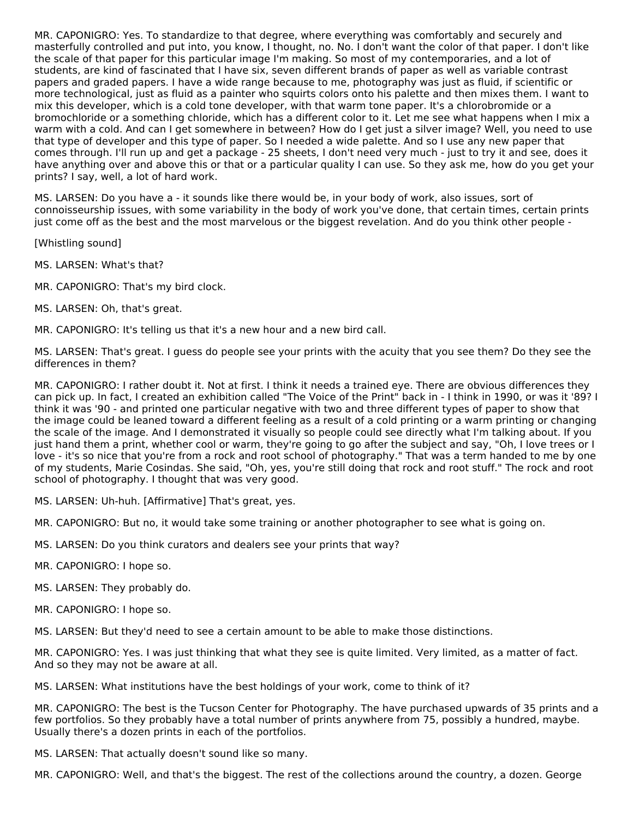MR. CAPONIGRO: Yes. To standardize to that degree, where everything was comfortably and securely and masterfully controlled and put into, you know, I thought, no. No. I don't want the color of that paper. I don't like the scale of that paper for this particular image I'm making. So most of my contemporaries, and a lot of students, are kind of fascinated that I have six, seven different brands of paper as well as variable contrast papers and graded papers. I have a wide range because to me, photography was just as fluid, if scientific or more technological, just as fluid as a painter who squirts colors onto his palette and then mixes them. I want to mix this developer, which is a cold tone developer, with that warm tone paper. It's a chlorobromide or a bromochloride or a something chloride, which has a different color to it. Let me see what happens when I mix a warm with a cold. And can I get somewhere in between? How do I get just a silver image? Well, you need to use that type of developer and this type of paper. So I needed a wide palette. And so I use any new paper that comes through. I'll run up and get a package - 25 sheets, I don't need very much - just to try it and see, does it have anything over and above this or that or a particular quality I can use. So they ask me, how do you get your prints? I say, well, a lot of hard work.

MS. LARSEN: Do you have a - it sounds like there would be, in your body of work, also issues, sort of connoisseurship issues, with some variability in the body of work you've done, that certain times, certain prints just come off as the best and the most marvelous or the biggest revelation. And do you think other people -

[Whistling sound]

MS. LARSEN: What's that?

MR. CAPONIGRO: That's my bird clock.

MS. LARSEN: Oh, that's great.

MR. CAPONIGRO: It's telling us that it's a new hour and a new bird call.

MS. LARSEN: That's great. I guess do people see your prints with the acuity that you see them? Do they see the differences in them?

MR. CAPONIGRO: I rather doubt it. Not at first. I think it needs a trained eye. There are obvious differences they can pick up. In fact, I created an exhibition called "The Voice of the Print" back in - I think in 1990, or was it '89? I think it was '90 - and printed one particular negative with two and three different types of paper to show that the image could be leaned toward a different feeling as a result of a cold printing or a warm printing or changing the scale of the image. And I demonstrated it visually so people could see directly what I'm talking about. If you just hand them a print, whether cool or warm, they're going to go after the subject and say, "Oh, I love trees or I love - it's so nice that you're from a rock and root school of photography." That was a term handed to me by one of my students, Marie Cosindas. She said, "Oh, yes, you're still doing that rock and root stuff." The rock and root school of photography. I thought that was very good.

MS. LARSEN: Uh-huh. [Affirmative] That's great, yes.

MR. CAPONIGRO: But no, it would take some training or another photographer to see what is going on.

MS. LARSEN: Do you think curators and dealers see your prints that way?

MR. CAPONIGRO: I hope so.

MS. LARSEN: They probably do.

MR. CAPONIGRO: I hope so.

MS. LARSEN: But they'd need to see a certain amount to be able to make those distinctions.

MR. CAPONIGRO: Yes. I was just thinking that what they see is quite limited. Very limited, as a matter of fact. And so they may not be aware at all.

MS. LARSEN: What institutions have the best holdings of your work, come to think of it?

MR. CAPONIGRO: The best is the Tucson Center for Photography. The have purchased upwards of 35 prints and a few portfolios. So they probably have a total number of prints anywhere from 75, possibly a hundred, maybe. Usually there's a dozen prints in each of the portfolios.

MS. LARSEN: That actually doesn't sound like so many.

MR. CAPONIGRO: Well, and that's the biggest. The rest of the collections around the country, a dozen. George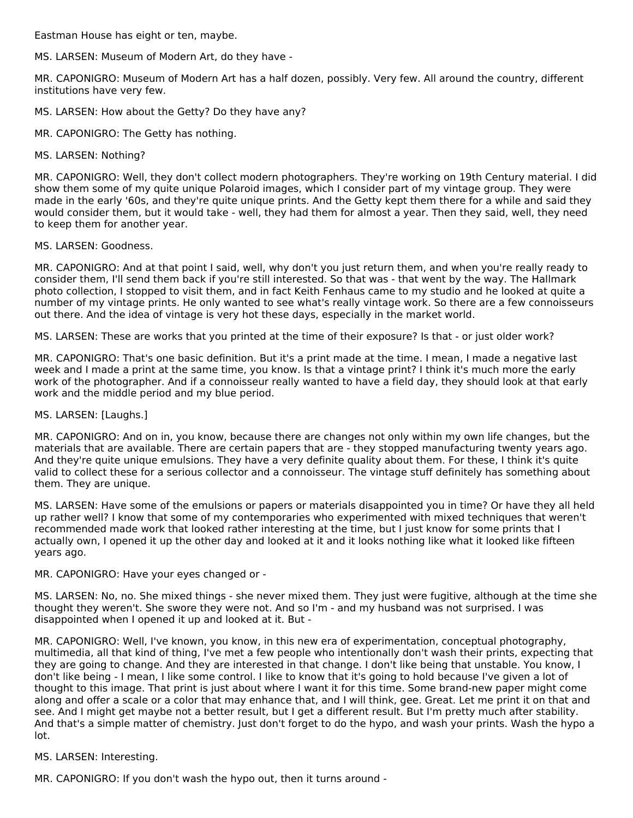Eastman House has eight or ten, maybe.

MS. LARSEN: Museum of Modern Art, do they have -

MR. CAPONIGRO: Museum of Modern Art has a half dozen, possibly. Very few. All around the country, different institutions have very few.

MS. LARSEN: How about the Getty? Do they have any?

MR. CAPONIGRO: The Getty has nothing.

#### MS. LARSEN: Nothing?

MR. CAPONIGRO: Well, they don't collect modern photographers. They're working on 19th Century material. I did show them some of my quite unique Polaroid images, which I consider part of my vintage group. They were made in the early '60s, and they're quite unique prints. And the Getty kept them there for a while and said they would consider them, but it would take - well, they had them for almost a year. Then they said, well, they need to keep them for another year.

#### MS. LARSEN: Goodness.

MR. CAPONIGRO: And at that point I said, well, why don't you just return them, and when you're really ready to consider them, I'll send them back if you're still interested. So that was - that went by the way. The Hallmark photo collection, I stopped to visit them, and in fact Keith Fenhaus came to my studio and he looked at quite a number of my vintage prints. He only wanted to see what's really vintage work. So there are a few connoisseurs out there. And the idea of vintage is very hot these days, especially in the market world.

MS. LARSEN: These are works that you printed at the time of their exposure? Is that - or just older work?

MR. CAPONIGRO: That's one basic definition. But it's a print made at the time. I mean, I made a negative last week and I made a print at the same time, you know. Is that a vintage print? I think it's much more the early work of the photographer. And if a connoisseur really wanted to have a field day, they should look at that early work and the middle period and my blue period.

#### MS. LARSEN: [Laughs.]

MR. CAPONIGRO: And on in, you know, because there are changes not only within my own life changes, but the materials that are available. There are certain papers that are - they stopped manufacturing twenty years ago. And they're quite unique emulsions. They have a very definite quality about them. For these, I think it's quite valid to collect these for a serious collector and a connoisseur. The vintage stuff definitely has something about them. They are unique.

MS. LARSEN: Have some of the emulsions or papers or materials disappointed you in time? Or have they all held up rather well? I know that some of my contemporaries who experimented with mixed techniques that weren't recommended made work that looked rather interesting at the time, but I just know for some prints that I actually own, I opened it up the other day and looked at it and it looks nothing like what it looked like fifteen years ago.

MR. CAPONIGRO: Have your eyes changed or -

MS. LARSEN: No, no. She mixed things - she never mixed them. They just were fugitive, although at the time she thought they weren't. She swore they were not. And so I'm - and my husband was not surprised. I was disappointed when I opened it up and looked at it. But -

MR. CAPONIGRO: Well, I've known, you know, in this new era of experimentation, conceptual photography, multimedia, all that kind of thing, I've met a few people who intentionally don't wash their prints, expecting that they are going to change. And they are interested in that change. I don't like being that unstable. You know, I don't like being - I mean, I like some control. I like to know that it's going to hold because I've given a lot of thought to this image. That print is just about where I want it for this time. Some brand-new paper might come along and offer a scale or a color that may enhance that, and I will think, gee. Great. Let me print it on that and see. And I might get maybe not a better result, but I get a different result. But I'm pretty much after stability. And that's a simple matter of chemistry. Just don't forget to do the hypo, and wash your prints. Wash the hypo a lot.

#### MS. LARSEN: Interesting.

MR. CAPONIGRO: If you don't wash the hypo out, then it turns around -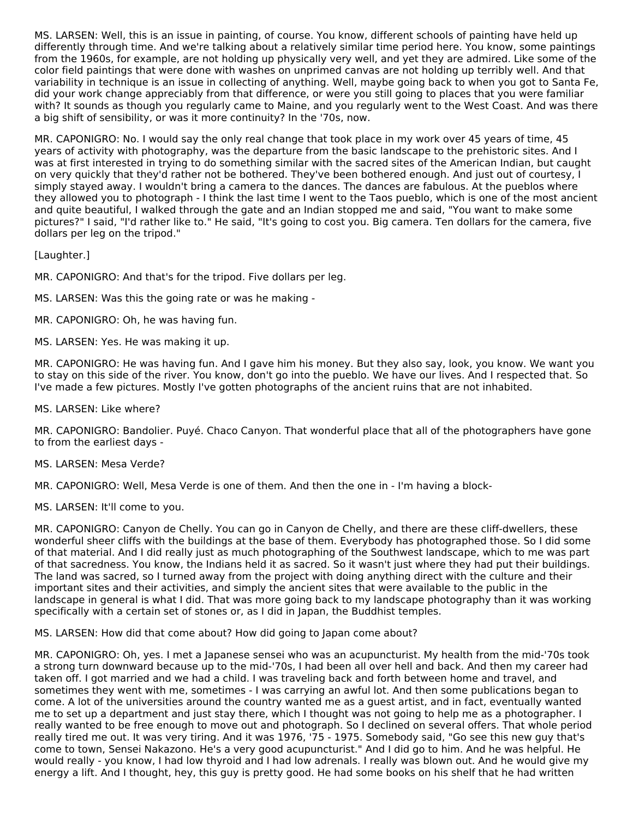MS. LARSEN: Well, this is an issue in painting, of course. You know, different schools of painting have held up differently through time. And we're talking about a relatively similar time period here. You know, some paintings from the 1960s, for example, are not holding up physically very well, and yet they are admired. Like some of the color field paintings that were done with washes on unprimed canvas are not holding up terribly well. And that variability in technique is an issue in collecting of anything. Well, maybe going back to when you got to Santa Fe, did your work change appreciably from that difference, or were you still going to places that you were familiar with? It sounds as though you regularly came to Maine, and you regularly went to the West Coast. And was there a big shift of sensibility, or was it more continuity? In the '70s, now.

MR. CAPONIGRO: No. I would say the only real change that took place in my work over 45 years of time, 45 years of activity with photography, was the departure from the basic landscape to the prehistoric sites. And I was at first interested in trying to do something similar with the sacred sites of the American Indian, but caught on very quickly that they'd rather not be bothered. They've been bothered enough. And just out of courtesy, I simply stayed away. I wouldn't bring a camera to the dances. The dances are fabulous. At the pueblos where they allowed you to photograph - I think the last time I went to the Taos pueblo, which is one of the most ancient and quite beautiful, I walked through the gate and an Indian stopped me and said, "You want to make some pictures?" I said, "I'd rather like to." He said, "It's going to cost you. Big camera. Ten dollars for the camera, five dollars per leg on the tripod."

[Laughter.]

MR. CAPONIGRO: And that's for the tripod. Five dollars per leg.

MS. LARSEN: Was this the going rate or was he making -

MR. CAPONIGRO: Oh, he was having fun.

MS. LARSEN: Yes. He was making it up.

MR. CAPONIGRO: He was having fun. And I gave him his money. But they also say, look, you know. We want you to stay on this side of the river. You know, don't go into the pueblo. We have our lives. And I respected that. So I've made a few pictures. Mostly I've gotten photographs of the ancient ruins that are not inhabited.

MS. LARSEN: Like where?

MR. CAPONIGRO: Bandolier. Puyé. Chaco Canyon. That wonderful place that all of the photographers have gone to from the earliest days -

MS. LARSEN: Mesa Verde?

MR. CAPONIGRO: Well, Mesa Verde is one of them. And then the one in - I'm having a block-

MS. LARSEN: It'll come to you.

MR. CAPONIGRO: Canyon de Chelly. You can go in Canyon de Chelly, and there are these cliff-dwellers, these wonderful sheer cliffs with the buildings at the base of them. Everybody has photographed those. So I did some of that material. And I did really just as much photographing of the Southwest landscape, which to me was part of that sacredness. You know, the Indians held it as sacred. So it wasn't just where they had put their buildings. The land was sacred, so I turned away from the project with doing anything direct with the culture and their important sites and their activities, and simply the ancient sites that were available to the public in the landscape in general is what I did. That was more going back to my landscape photography than it was working specifically with a certain set of stones or, as I did in Japan, the Buddhist temples.

MS. LARSEN: How did that come about? How did going to Japan come about?

MR. CAPONIGRO: Oh, yes. I met a Japanese sensei who was an acupuncturist. My health from the mid-'70s took a strong turn downward because up to the mid-'70s, I had been all over hell and back. And then my career had taken off. I got married and we had a child. I was traveling back and forth between home and travel, and sometimes they went with me, sometimes - I was carrying an awful lot. And then some publications began to come. A lot of the universities around the country wanted me as a guest artist, and in fact, eventually wanted me to set up a department and just stay there, which I thought was not going to help me as a photographer. I really wanted to be free enough to move out and photograph. So I declined on several offers. That whole period really tired me out. It was very tiring. And it was 1976, '75 - 1975. Somebody said, "Go see this new guy that's come to town, Sensei Nakazono. He's a very good acupuncturist." And I did go to him. And he was helpful. He would really - you know, I had low thyroid and I had low adrenals. I really was blown out. And he would give my energy a lift. And I thought, hey, this guy is pretty good. He had some books on his shelf that he had written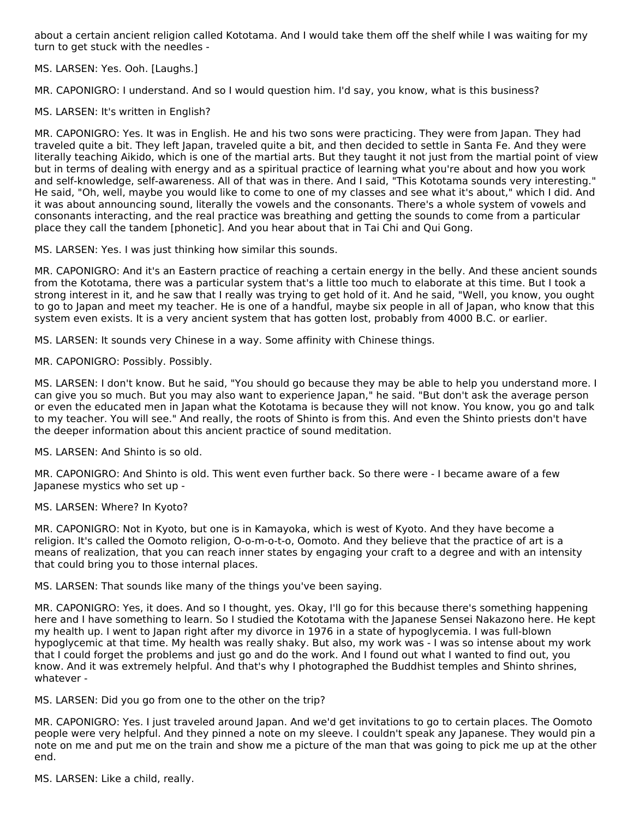about a certain ancient religion called Kototama. And I would take them off the shelf while I was waiting for my turn to get stuck with the needles -

MS. LARSEN: Yes. Ooh. [Laughs.]

MR. CAPONIGRO: I understand. And so I would question him. I'd say, you know, what is this business?

MS. LARSEN: It's written in English?

MR. CAPONIGRO: Yes. It was in English. He and his two sons were practicing. They were from Japan. They had traveled quite a bit. They left Japan, traveled quite a bit, and then decided to settle in Santa Fe. And they were literally teaching Aikido, which is one of the martial arts. But they taught it not just from the martial point of view but in terms of dealing with energy and as a spiritual practice of learning what you're about and how you work and self-knowledge, self-awareness. All of that was in there. And I said, "This Kototama sounds very interesting." He said, "Oh, well, maybe you would like to come to one of my classes and see what it's about," which I did. And it was about announcing sound, literally the vowels and the consonants. There's a whole system of vowels and consonants interacting, and the real practice was breathing and getting the sounds to come from a particular place they call the tandem [phonetic]. And you hear about that in Tai Chi and Qui Gong.

MS. LARSEN: Yes. I was just thinking how similar this sounds.

MR. CAPONIGRO: And it's an Eastern practice of reaching a certain energy in the belly. And these ancient sounds from the Kototama, there was a particular system that's a little too much to elaborate at this time. But I took a strong interest in it, and he saw that I really was trying to get hold of it. And he said, "Well, you know, you ought to go to Japan and meet my teacher. He is one of a handful, maybe six people in all of Japan, who know that this system even exists. It is a very ancient system that has gotten lost, probably from 4000 B.C. or earlier.

MS. LARSEN: It sounds very Chinese in a way. Some affinity with Chinese things.

MR. CAPONIGRO: Possibly. Possibly.

MS. LARSEN: I don't know. But he said, "You should go because they may be able to help you understand more. I can give you so much. But you may also want to experience Japan," he said. "But don't ask the average person or even the educated men in Japan what the Kototama is because they will not know. You know, you go and talk to my teacher. You will see." And really, the roots of Shinto is from this. And even the Shinto priests don't have the deeper information about this ancient practice of sound meditation.

MS. LARSEN: And Shinto is so old.

MR. CAPONIGRO: And Shinto is old. This went even further back. So there were - I became aware of a few Japanese mystics who set up -

#### MS. LARSEN: Where? In Kyoto?

MR. CAPONIGRO: Not in Kyoto, but one is in Kamayoka, which is west of Kyoto. And they have become a religion. It's called the Oomoto religion, O-o-m-o-t-o, Oomoto. And they believe that the practice of art is a means of realization, that you can reach inner states by engaging your craft to a degree and with an intensity that could bring you to those internal places.

MS. LARSEN: That sounds like many of the things you've been saying.

MR. CAPONIGRO: Yes, it does. And so I thought, yes. Okay, I'll go for this because there's something happening here and I have something to learn. So I studied the Kototama with the Japanese Sensei Nakazono here. He kept my health up. I went to Japan right after my divorce in 1976 in a state of hypoglycemia. I was full-blown hypoglycemic at that time. My health was really shaky. But also, my work was - I was so intense about my work that I could forget the problems and just go and do the work. And I found out what I wanted to find out, you know. And it was extremely helpful. And that's why I photographed the Buddhist temples and Shinto shrines, whatever -

MS. LARSEN: Did you go from one to the other on the trip?

MR. CAPONIGRO: Yes. I just traveled around Japan. And we'd get invitations to go to certain places. The Oomoto people were very helpful. And they pinned a note on my sleeve. I couldn't speak any Japanese. They would pin a note on me and put me on the train and show me a picture of the man that was going to pick me up at the other end.

MS. LARSEN: Like a child, really.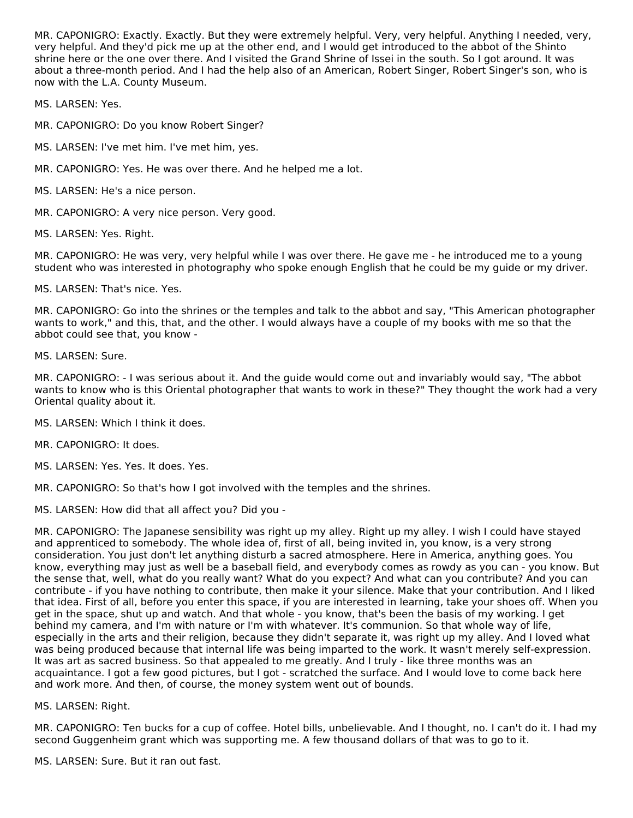MR. CAPONIGRO: Exactly. Exactly. But they were extremely helpful. Very, very helpful. Anything I needed, very, very helpful. And they'd pick me up at the other end, and I would get introduced to the abbot of the Shinto shrine here or the one over there. And I visited the Grand Shrine of Issei in the south. So I got around. It was about a three-month period. And I had the help also of an American, Robert Singer, Robert Singer's son, who is now with the L.A. County Museum.

MS. LARSEN: Yes.

MR. CAPONIGRO: Do you know Robert Singer?

- MS. LARSEN: I've met him. I've met him, yes.
- MR. CAPONIGRO: Yes. He was over there. And he helped me a lot.
- MS. LARSEN: He's a nice person.
- MR. CAPONIGRO: A very nice person. Very good.
- MS. LARSEN: Yes. Right.

MR. CAPONIGRO: He was very, very helpful while I was over there. He gave me - he introduced me to a young student who was interested in photography who spoke enough English that he could be my guide or my driver.

MS. LARSEN: That's nice. Yes.

MR. CAPONIGRO: Go into the shrines or the temples and talk to the abbot and say, "This American photographer wants to work," and this, that, and the other. I would always have a couple of my books with me so that the abbot could see that, you know -

MS. LARSEN: Sure.

MR. CAPONIGRO: - I was serious about it. And the guide would come out and invariably would say, "The abbot wants to know who is this Oriental photographer that wants to work in these?" They thought the work had a very Oriental quality about it.

MS. LARSEN: Which I think it does.

MR. CAPONIGRO: It does.

- MS. LARSEN: Yes. Yes. It does. Yes.
- MR. CAPONIGRO: So that's how I got involved with the temples and the shrines.

MS. LARSEN: How did that all affect you? Did you -

MR. CAPONIGRO: The Japanese sensibility was right up my alley. Right up my alley. I wish I could have stayed and apprenticed to somebody. The whole idea of, first of all, being invited in, you know, is a very strong consideration. You just don't let anything disturb a sacred atmosphere. Here in America, anything goes. You know, everything may just as well be a baseball field, and everybody comes as rowdy as you can - you know. But the sense that, well, what do you really want? What do you expect? And what can you contribute? And you can contribute - if you have nothing to contribute, then make it your silence. Make that your contribution. And I liked that idea. First of all, before you enter this space, if you are interested in learning, take your shoes off. When you get in the space, shut up and watch. And that whole - you know, that's been the basis of my working. I get behind my camera, and I'm with nature or I'm with whatever. It's communion. So that whole way of life, especially in the arts and their religion, because they didn't separate it, was right up my alley. And I loved what was being produced because that internal life was being imparted to the work. It wasn't merely self-expression. It was art as sacred business. So that appealed to me greatly. And I truly - like three months was an acquaintance. I got a few good pictures, but I got - scratched the surface. And I would love to come back here and work more. And then, of course, the money system went out of bounds.

#### MS. LARSEN: Right.

MR. CAPONIGRO: Ten bucks for a cup of coffee. Hotel bills, unbelievable. And I thought, no. I can't do it. I had my second Guggenheim grant which was supporting me. A few thousand dollars of that was to go to it.

MS. LARSEN: Sure. But it ran out fast.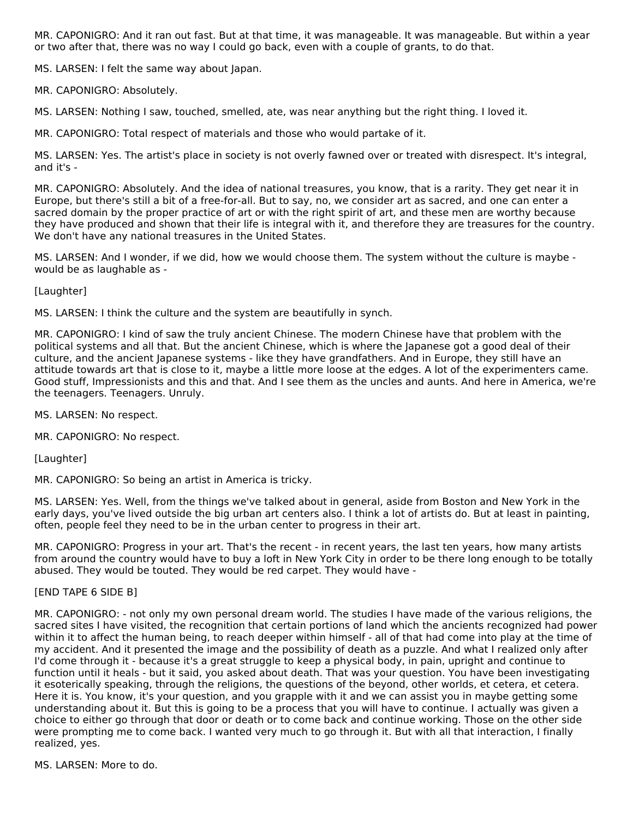MR. CAPONIGRO: And it ran out fast. But at that time, it was manageable. It was manageable. But within a year or two after that, there was no way I could go back, even with a couple of grants, to do that.

MS. LARSEN: I felt the same way about Japan.

MR. CAPONIGRO: Absolutely.

MS. LARSEN: Nothing I saw, touched, smelled, ate, was near anything but the right thing. I loved it.

MR. CAPONIGRO: Total respect of materials and those who would partake of it.

MS. LARSEN: Yes. The artist's place in society is not overly fawned over or treated with disrespect. It's integral, and it's -

MR. CAPONIGRO: Absolutely. And the idea of national treasures, you know, that is a rarity. They get near it in Europe, but there's still a bit of a free-for-all. But to say, no, we consider art as sacred, and one can enter a sacred domain by the proper practice of art or with the right spirit of art, and these men are worthy because they have produced and shown that their life is integral with it, and therefore they are treasures for the country. We don't have any national treasures in the United States.

MS. LARSEN: And I wonder, if we did, how we would choose them. The system without the culture is maybe would be as laughable as -

[Laughter]

MS. LARSEN: I think the culture and the system are beautifully in synch.

MR. CAPONIGRO: I kind of saw the truly ancient Chinese. The modern Chinese have that problem with the political systems and all that. But the ancient Chinese, which is where the Japanese got a good deal of their culture, and the ancient Japanese systems - like they have grandfathers. And in Europe, they still have an attitude towards art that is close to it, maybe a little more loose at the edges. A lot of the experimenters came. Good stuff, Impressionists and this and that. And I see them as the uncles and aunts. And here in America, we're the teenagers. Teenagers. Unruly.

MS. LARSEN: No respect.

MR. CAPONIGRO: No respect.

[Laughter]

MR. CAPONIGRO: So being an artist in America is tricky.

MS. LARSEN: Yes. Well, from the things we've talked about in general, aside from Boston and New York in the early days, you've lived outside the big urban art centers also. I think a lot of artists do. But at least in painting, often, people feel they need to be in the urban center to progress in their art.

MR. CAPONIGRO: Progress in your art. That's the recent - in recent years, the last ten years, how many artists from around the country would have to buy a loft in New York City in order to be there long enough to be totally abused. They would be touted. They would be red carpet. They would have -

[END TAPE 6 SIDE B]

MR. CAPONIGRO: - not only my own personal dream world. The studies I have made of the various religions, the sacred sites I have visited, the recognition that certain portions of land which the ancients recognized had power within it to affect the human being, to reach deeper within himself - all of that had come into play at the time of my accident. And it presented the image and the possibility of death as a puzzle. And what I realized only after I'd come through it - because it's a great struggle to keep a physical body, in pain, upright and continue to function until it heals - but it said, you asked about death. That was your question. You have been investigating it esoterically speaking, through the religions, the questions of the beyond, other worlds, et cetera, et cetera. Here it is. You know, it's your question, and you grapple with it and we can assist you in maybe getting some understanding about it. But this is going to be a process that you will have to continue. I actually was given a choice to either go through that door or death or to come back and continue working. Those on the other side were prompting me to come back. I wanted very much to go through it. But with all that interaction, I finally realized, yes.

MS. LARSEN: More to do.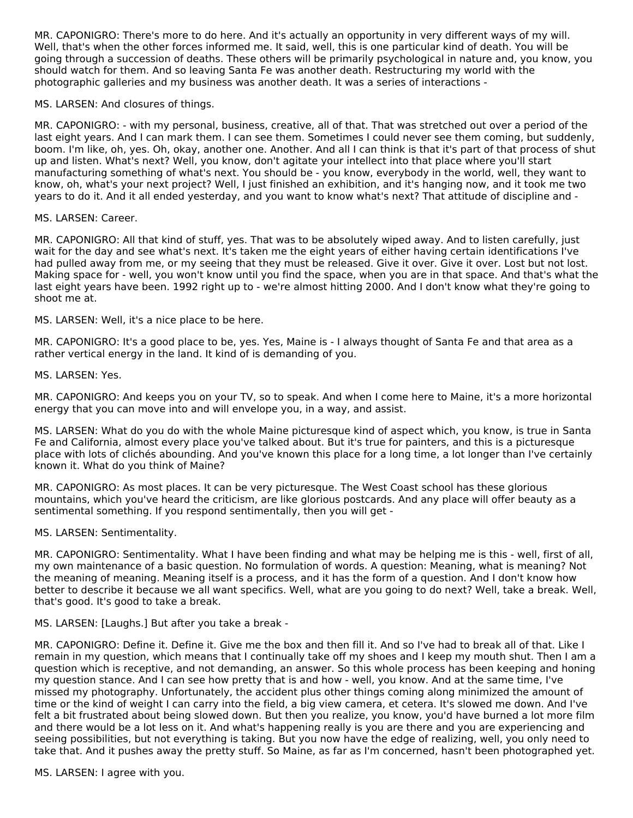MR. CAPONIGRO: There's more to do here. And it's actually an opportunity in very different ways of my will. Well, that's when the other forces informed me. It said, well, this is one particular kind of death. You will be going through a succession of deaths. These others will be primarily psychological in nature and, you know, you should watch for them. And so leaving Santa Fe was another death. Restructuring my world with the photographic galleries and my business was another death. It was a series of interactions -

MS. LARSEN: And closures of things.

MR. CAPONIGRO: - with my personal, business, creative, all of that. That was stretched out over a period of the last eight years. And I can mark them. I can see them. Sometimes I could never see them coming, but suddenly, boom. I'm like, oh, yes. Oh, okay, another one. Another. And all I can think is that it's part of that process of shut up and listen. What's next? Well, you know, don't agitate your intellect into that place where you'll start manufacturing something of what's next. You should be - you know, everybody in the world, well, they want to know, oh, what's your next project? Well, I just finished an exhibition, and it's hanging now, and it took me two years to do it. And it all ended yesterday, and you want to know what's next? That attitude of discipline and -

MS. LARSEN: Career.

MR. CAPONIGRO: All that kind of stuff, yes. That was to be absolutely wiped away. And to listen carefully, just wait for the day and see what's next. It's taken me the eight years of either having certain identifications I've had pulled away from me, or my seeing that they must be released. Give it over. Give it over. Lost but not lost. Making space for - well, you won't know until you find the space, when you are in that space. And that's what the last eight years have been. 1992 right up to - we're almost hitting 2000. And I don't know what they're going to shoot me at.

MS. LARSEN: Well, it's a nice place to be here.

MR. CAPONIGRO: It's a good place to be, yes. Yes, Maine is - I always thought of Santa Fe and that area as a rather vertical energy in the land. It kind of is demanding of you.

MS. LARSEN: Yes.

MR. CAPONIGRO: And keeps you on your TV, so to speak. And when I come here to Maine, it's a more horizontal energy that you can move into and will envelope you, in a way, and assist.

MS. LARSEN: What do you do with the whole Maine picturesque kind of aspect which, you know, is true in Santa Fe and California, almost every place you've talked about. But it's true for painters, and this is a picturesque place with lots of clichés abounding. And you've known this place for a long time, a lot longer than I've certainly known it. What do you think of Maine?

MR. CAPONIGRO: As most places. It can be very picturesque. The West Coast school has these glorious mountains, which you've heard the criticism, are like glorious postcards. And any place will offer beauty as a sentimental something. If you respond sentimentally, then you will get -

MS. LARSEN: Sentimentality.

MR. CAPONIGRO: Sentimentality. What I have been finding and what may be helping me is this - well, first of all, my own maintenance of a basic question. No formulation of words. A question: Meaning, what is meaning? Not the meaning of meaning. Meaning itself is a process, and it has the form of a question. And I don't know how better to describe it because we all want specifics. Well, what are you going to do next? Well, take a break. Well, that's good. It's good to take a break.

MS. LARSEN: [Laughs.] But after you take a break -

MR. CAPONIGRO: Define it. Define it. Give me the box and then fill it. And so I've had to break all of that. Like I remain in my question, which means that I continually take off my shoes and I keep my mouth shut. Then I am a question which is receptive, and not demanding, an answer. So this whole process has been keeping and honing my question stance. And I can see how pretty that is and how - well, you know. And at the same time, I've missed my photography. Unfortunately, the accident plus other things coming along minimized the amount of time or the kind of weight I can carry into the field, a big view camera, et cetera. It's slowed me down. And I've felt a bit frustrated about being slowed down. But then you realize, you know, you'd have burned a lot more film and there would be a lot less on it. And what's happening really is you are there and you are experiencing and seeing possibilities, but not everything is taking. But you now have the edge of realizing, well, you only need to take that. And it pushes away the pretty stuff. So Maine, as far as I'm concerned, hasn't been photographed yet.

MS. LARSEN: I agree with you.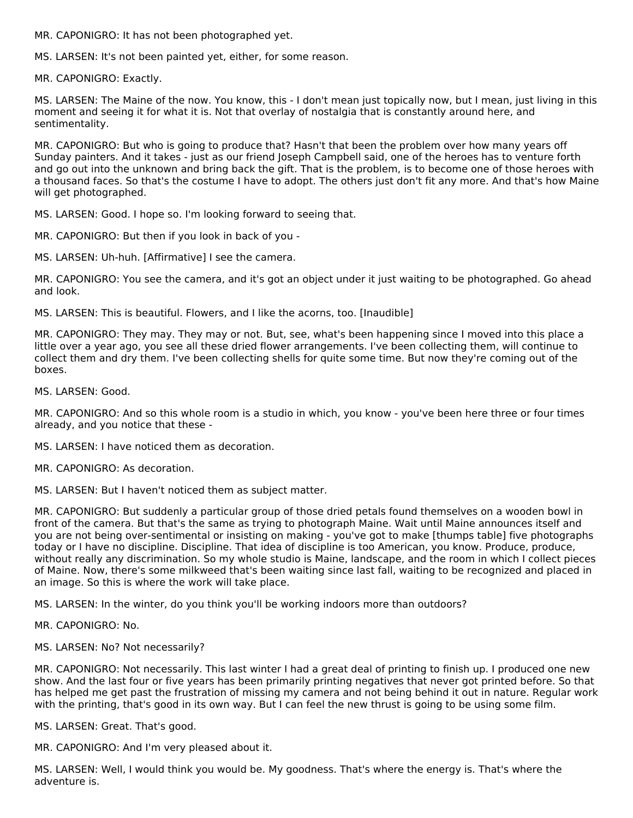MR. CAPONIGRO: It has not been photographed yet.

MS. LARSEN: It's not been painted yet, either, for some reason.

MR. CAPONIGRO: Exactly.

MS. LARSEN: The Maine of the now. You know, this - I don't mean just topically now, but I mean, just living in this moment and seeing it for what it is. Not that overlay of nostalgia that is constantly around here, and sentimentality.

MR. CAPONIGRO: But who is going to produce that? Hasn't that been the problem over how many years off Sunday painters. And it takes - just as our friend Joseph Campbell said, one of the heroes has to venture forth and go out into the unknown and bring back the gift. That is the problem, is to become one of those heroes with a thousand faces. So that's the costume I have to adopt. The others just don't fit any more. And that's how Maine will get photographed.

MS. LARSEN: Good. I hope so. I'm looking forward to seeing that.

MR. CAPONIGRO: But then if you look in back of you -

MS. LARSEN: Uh-huh. [Affirmative] I see the camera.

MR. CAPONIGRO: You see the camera, and it's got an object under it just waiting to be photographed. Go ahead and look.

MS. LARSEN: This is beautiful. Flowers, and I like the acorns, too. [Inaudible]

MR. CAPONIGRO: They may. They may or not. But, see, what's been happening since I moved into this place a little over a year ago, you see all these dried flower arrangements. I've been collecting them, will continue to collect them and dry them. I've been collecting shells for quite some time. But now they're coming out of the boxes.

MS. LARSEN: Good.

MR. CAPONIGRO: And so this whole room is a studio in which, you know - you've been here three or four times already, and you notice that these -

MS. LARSEN: I have noticed them as decoration.

MR. CAPONIGRO: As decoration.

MS. LARSEN: But I haven't noticed them as subject matter.

MR. CAPONIGRO: But suddenly a particular group of those dried petals found themselves on a wooden bowl in front of the camera. But that's the same as trying to photograph Maine. Wait until Maine announces itself and you are not being over-sentimental or insisting on making - you've got to make [thumps table] five photographs today or I have no discipline. Discipline. That idea of discipline is too American, you know. Produce, produce, without really any discrimination. So my whole studio is Maine, landscape, and the room in which I collect pieces of Maine. Now, there's some milkweed that's been waiting since last fall, waiting to be recognized and placed in an image. So this is where the work will take place.

MS. LARSEN: In the winter, do you think you'll be working indoors more than outdoors?

MR. CAPONIGRO: No.

MS. LARSEN: No? Not necessarily?

MR. CAPONIGRO: Not necessarily. This last winter I had a great deal of printing to finish up. I produced one new show. And the last four or five years has been primarily printing negatives that never got printed before. So that has helped me get past the frustration of missing my camera and not being behind it out in nature. Regular work with the printing, that's good in its own way. But I can feel the new thrust is going to be using some film.

MS. LARSEN: Great. That's good.

MR. CAPONIGRO: And I'm very pleased about it.

MS. LARSEN: Well, I would think you would be. My goodness. That's where the energy is. That's where the adventure is.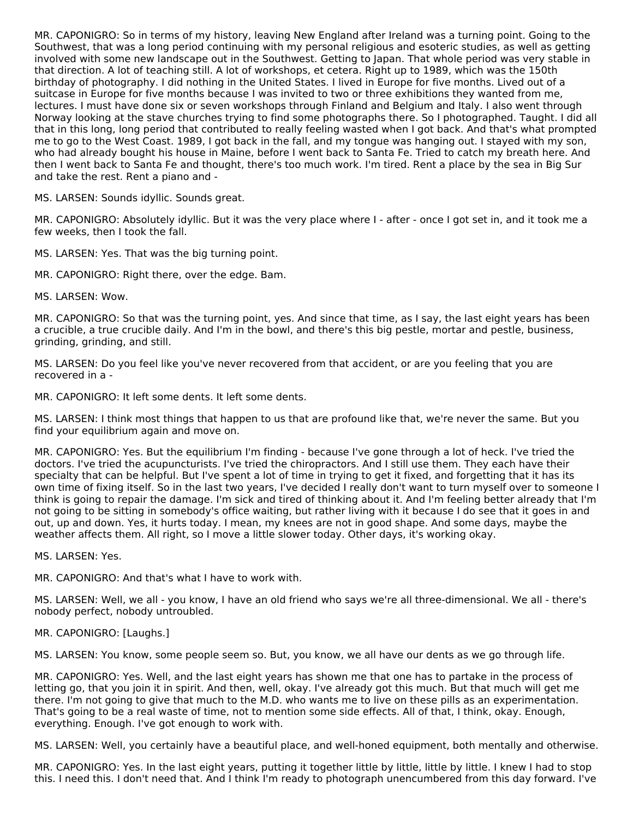MR. CAPONIGRO: So in terms of my history, leaving New England after Ireland was a turning point. Going to the Southwest, that was a long period continuing with my personal religious and esoteric studies, as well as getting involved with some new landscape out in the Southwest. Getting to Japan. That whole period was very stable in that direction. A lot of teaching still. A lot of workshops, et cetera. Right up to 1989, which was the 150th birthday of photography. I did nothing in the United States. I lived in Europe for five months. Lived out of a suitcase in Europe for five months because I was invited to two or three exhibitions they wanted from me, lectures. I must have done six or seven workshops through Finland and Belgium and Italy. I also went through Norway looking at the stave churches trying to find some photographs there. So I photographed. Taught. I did all that in this long, long period that contributed to really feeling wasted when I got back. And that's what prompted me to go to the West Coast. 1989, I got back in the fall, and my tongue was hanging out. I stayed with my son, who had already bought his house in Maine, before I went back to Santa Fe. Tried to catch my breath here. And then I went back to Santa Fe and thought, there's too much work. I'm tired. Rent a place by the sea in Big Sur and take the rest. Rent a piano and -

MS. LARSEN: Sounds idyllic. Sounds great.

MR. CAPONIGRO: Absolutely idyllic. But it was the very place where I - after - once I got set in, and it took me a few weeks, then I took the fall.

MS. LARSEN: Yes. That was the big turning point.

MR. CAPONIGRO: Right there, over the edge. Bam.

MS. LARSEN: Wow.

MR. CAPONIGRO: So that was the turning point, yes. And since that time, as I say, the last eight years has been a crucible, a true crucible daily. And I'm in the bowl, and there's this big pestle, mortar and pestle, business, grinding, grinding, and still.

MS. LARSEN: Do you feel like you've never recovered from that accident, or are you feeling that you are recovered in a -

MR. CAPONIGRO: It left some dents. It left some dents.

MS. LARSEN: I think most things that happen to us that are profound like that, we're never the same. But you find your equilibrium again and move on.

MR. CAPONIGRO: Yes. But the equilibrium I'm finding - because I've gone through a lot of heck. I've tried the doctors. I've tried the acupuncturists. I've tried the chiropractors. And I still use them. They each have their specialty that can be helpful. But I've spent a lot of time in trying to get it fixed, and forgetting that it has its own time of fixing itself. So in the last two years, I've decided I really don't want to turn myself over to someone I think is going to repair the damage. I'm sick and tired of thinking about it. And I'm feeling better already that I'm not going to be sitting in somebody's office waiting, but rather living with it because I do see that it goes in and out, up and down. Yes, it hurts today. I mean, my knees are not in good shape. And some days, maybe the weather affects them. All right, so I move a little slower today. Other days, it's working okay.

MS. LARSEN: Yes.

MR. CAPONIGRO: And that's what I have to work with.

MS. LARSEN: Well, we all - you know, I have an old friend who says we're all three-dimensional. We all - there's nobody perfect, nobody untroubled.

# MR. CAPONIGRO: [Laughs.]

MS. LARSEN: You know, some people seem so. But, you know, we all have our dents as we go through life.

MR. CAPONIGRO: Yes. Well, and the last eight years has shown me that one has to partake in the process of letting go, that you join it in spirit. And then, well, okay. I've already got this much. But that much will get me there. I'm not going to give that much to the M.D. who wants me to live on these pills as an experimentation. That's going to be a real waste of time, not to mention some side effects. All of that, I think, okay. Enough, everything. Enough. I've got enough to work with.

MS. LARSEN: Well, you certainly have a beautiful place, and well-honed equipment, both mentally and otherwise.

MR. CAPONIGRO: Yes. In the last eight years, putting it together little by little, little by little. I knew I had to stop this. I need this. I don't need that. And I think I'm ready to photograph unencumbered from this day forward. I've